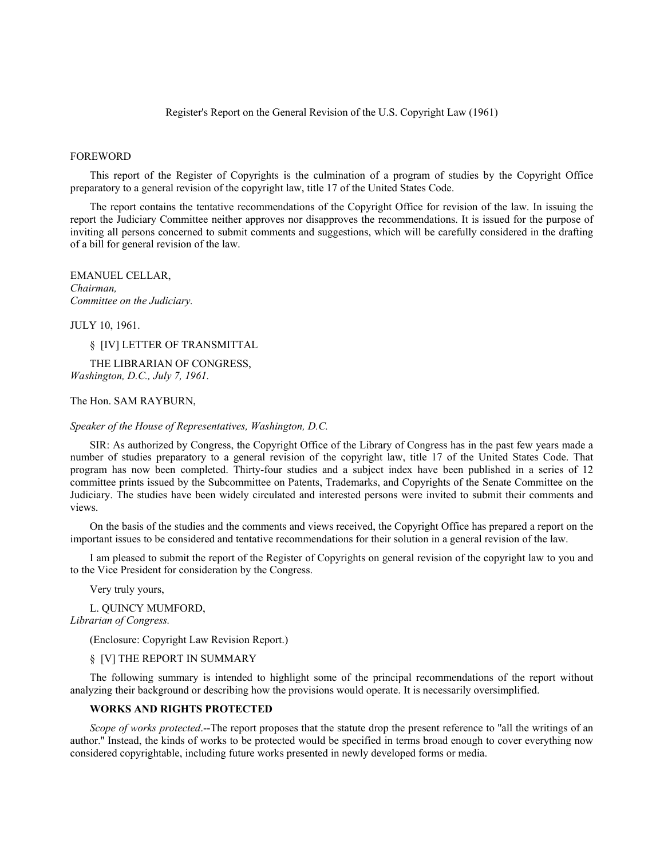## Register's Report on the General Revision of the U.S. Copyright Law (1961)

### FOREWORD

This report of the Register of Copyrights is the culmination of a program of studies by the Copyright Office preparatory to a general revision of the copyright law, title 17 of the United States Code.

The report contains the tentative recommendations of the Copyright Office for revision of the law. In issuing the report the Judiciary Committee neither approves nor disapproves the recommendations. It is issued for the purpose of inviting all persons concerned to submit comments and suggestions, which will be carefully considered in the drafting of a bill for general revision of the law.

EMANUEL CELLAR, *Chairman, Committee on the Judiciary.*

JULY 10, 1961.

§ [IV] LETTER OF TRANSMITTAL

THE LIBRARIAN OF CONGRESS, *Washington, D.C., July 7, 1961.*

The Hon. SAM RAYBURN,

#### *Speaker of the House of Representatives, Washington, D.C.*

SIR: As authorized by Congress, the Copyright Office of the Library of Congress has in the past few years made a number of studies preparatory to a general revision of the copyright law, title 17 of the United States Code. That program has now been completed. Thirty-four studies and a subject index have been published in a series of 12 committee prints issued by the Subcommittee on Patents, Trademarks, and Copyrights of the Senate Committee on the Judiciary. The studies have been widely circulated and interested persons were invited to submit their comments and views.

On the basis of the studies and the comments and views received, the Copyright Office has prepared a report on the important issues to be considered and tentative recommendations for their solution in a general revision of the law.

I am pleased to submit the report of the Register of Copyrights on general revision of the copyright law to you and to the Vice President for consideration by the Congress.

Very truly yours,

L. QUINCY MUMFORD, *Librarian of Congress.*

(Enclosure: Copyright Law Revision Report.)

§ [V] THE REPORT IN SUMMARY

The following summary is intended to highlight some of the principal recommendations of the report without analyzing their background or describing how the provisions would operate. It is necessarily oversimplified.

### **WORKS AND RIGHTS PROTECTED**

*Scope of works protected*.--The report proposes that the statute drop the present reference to "all the writings of an author.'' Instead, the kinds of works to be protected would be specified in terms broad enough to cover everything now considered copyrightable, including future works presented in newly developed forms or media.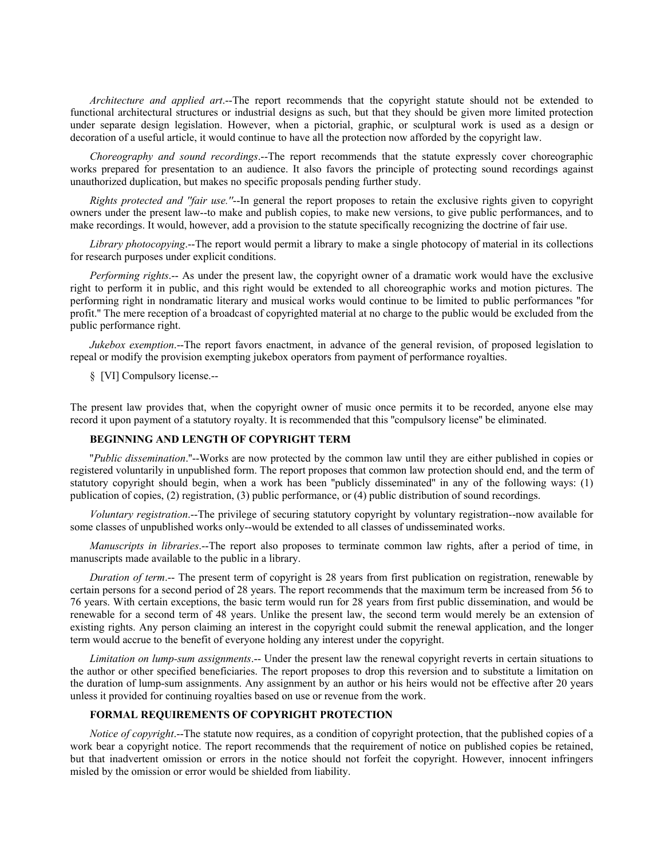*Architecture and applied art*.--The report recommends that the copyright statute should not be extended to functional architectural structures or industrial designs as such, but that they should be given more limited protection under separate design legislation. However, when a pictorial, graphic, or sculptural work is used as a design or decoration of a useful article, it would continue to have all the protection now afforded by the copyright law.

*Choreography and sound recordings*.--The report recommends that the statute expressly cover choreographic works prepared for presentation to an audience. It also favors the principle of protecting sound recordings against unauthorized duplication, but makes no specific proposals pending further study.

*Rights protected and ''fair use.''*--In general the report proposes to retain the exclusive rights given to copyright owners under the present law--to make and publish copies, to make new versions, to give public performances, and to make recordings. It would, however, add a provision to the statute specifically recognizing the doctrine of fair use.

*Library photocopying*.--The report would permit a library to make a single photocopy of material in its collections for research purposes under explicit conditions.

*Performing rights.*-- As under the present law, the copyright owner of a dramatic work would have the exclusive right to perform it in public, and this right would be extended to all choreographic works and motion pictures. The performing right in nondramatic literary and musical works would continue to be limited to public performances ''for profit.'' The mere reception of a broadcast of copyrighted material at no charge to the public would be excluded from the public performance right.

*Jukebox exemption*.--The report favors enactment, in advance of the general revision, of proposed legislation to repeal or modify the provision exempting jukebox operators from payment of performance royalties.

§ [VI] Compulsory license.--

The present law provides that, when the copyright owner of music once permits it to be recorded, anyone else may record it upon payment of a statutory royalty. It is recommended that this ''compulsory license'' be eliminated.

### **BEGINNING AND LENGTH OF COPYRIGHT TERM**

''*Public dissemination*.''--Works are now protected by the common law until they are either published in copies or registered voluntarily in unpublished form. The report proposes that common law protection should end, and the term of statutory copyright should begin, when a work has been ''publicly disseminated'' in any of the following ways: (1) publication of copies, (2) registration, (3) public performance, or (4) public distribution of sound recordings.

*Voluntary registration*.--The privilege of securing statutory copyright by voluntary registration--now available for some classes of unpublished works only--would be extended to all classes of undisseminated works.

*Manuscripts in libraries*.--The report also proposes to terminate common law rights, after a period of time, in manuscripts made available to the public in a library.

*Duration of term*.-- The present term of copyright is 28 years from first publication on registration, renewable by certain persons for a second period of 28 years. The report recommends that the maximum term be increased from 56 to 76 years. With certain exceptions, the basic term would run for 28 years from first public dissemination, and would be renewable for a second term of 48 years. Unlike the present law, the second term would merely be an extension of existing rights. Any person claiming an interest in the copyright could submit the renewal application, and the longer term would accrue to the benefit of everyone holding any interest under the copyright.

*Limitation on lump-sum assignments*.-- Under the present law the renewal copyright reverts in certain situations to the author or other specified beneficiaries. The report proposes to drop this reversion and to substitute a limitation on the duration of lump-sum assignments. Any assignment by an author or his heirs would not be effective after 20 years unless it provided for continuing royalties based on use or revenue from the work.

## **FORMAL REQUIREMENTS OF COPYRIGHT PROTECTION**

*Notice of copyright*.--The statute now requires, as a condition of copyright protection, that the published copies of a work bear a copyright notice. The report recommends that the requirement of notice on published copies be retained, but that inadvertent omission or errors in the notice should not forfeit the copyright. However, innocent infringers misled by the omission or error would be shielded from liability.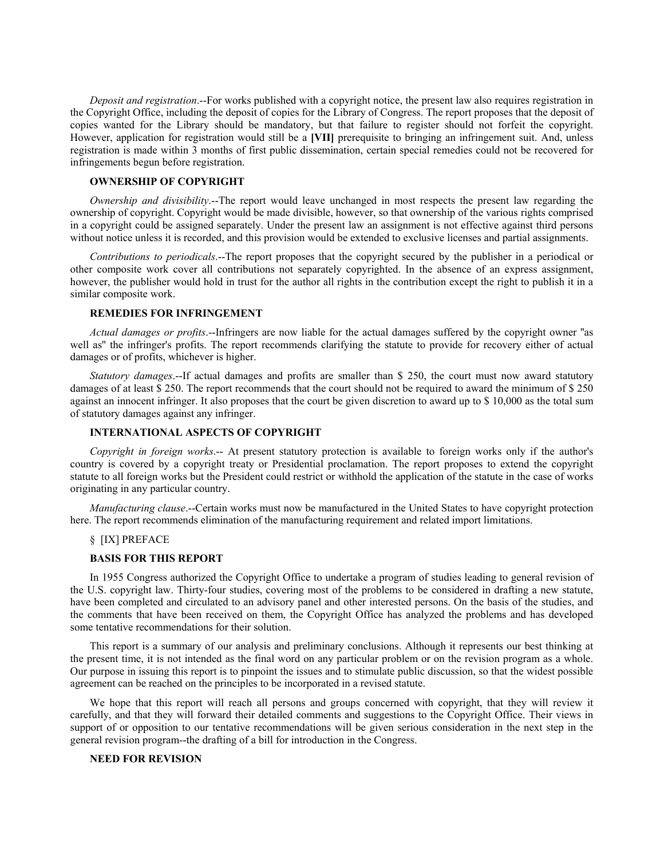*Deposit and registration*.--For works published with a copyright notice, the present law also requires registration in the Copyright Office, including the deposit of copies for the Library of Congress. The report proposes that the deposit of copies wanted for the Library should be mandatory, but that failure to register should not forfeit the copyright. However, application for registration would still be a **[VII]** prerequisite to bringing an infringement suit. And, unless registration is made within 3 months of first public dissemination, certain special remedies could not be recovered for infringements begun before registration.

# **OWNERSHIP OF COPYRIGHT**

*Ownership and divisibility*.--The report would leave unchanged in most respects the present law regarding the ownership of copyright. Copyright would be made divisible, however, so that ownership of the various rights comprised in a copyright could be assigned separately. Under the present law an assignment is not effective against third persons without notice unless it is recorded, and this provision would be extended to exclusive licenses and partial assignments.

*Contributions to periodicals*.--The report proposes that the copyright secured by the publisher in a periodical or other composite work cover all contributions not separately copyrighted. In the absence of an express assignment, however, the publisher would hold in trust for the author all rights in the contribution except the right to publish it in a similar composite work.

## **REMEDIES FOR INFRINGEMENT**

*Actual damages or profits*.--Infringers are now liable for the actual damages suffered by the copyright owner ''as well as'' the infringer's profits. The report recommends clarifying the statute to provide for recovery either of actual damages or of profits, whichever is higher.

*Statutory damages*.--If actual damages and profits are smaller than \$ 250, the court must now award statutory damages of at least \$ 250. The report recommends that the court should not be required to award the minimum of \$ 250 against an innocent infringer. It also proposes that the court be given discretion to award up to \$ 10,000 as the total sum of statutory damages against any infringer.

## **INTERNATIONAL ASPECTS OF COPYRIGHT**

*Copyright in foreign works*.-- At present statutory protection is available to foreign works only if the author's country is covered by a copyright treaty or Presidential proclamation. The report proposes to extend the copyright statute to all foreign works but the President could restrict or withhold the application of the statute in the case of works originating in any particular country.

*Manufacturing clause*.--Certain works must now be manufactured in the United States to have copyright protection here. The report recommends elimination of the manufacturing requirement and related import limitations.

# § [IX] PREFACE

### **BASIS FOR THIS REPORT**

In 1955 Congress authorized the Copyright Office to undertake a program of studies leading to general revision of the U.S. copyright law. Thirty-four studies, covering most of the problems to be considered in drafting a new statute, have been completed and circulated to an advisory panel and other interested persons. On the basis of the studies, and the comments that have been received on them, the Copyright Office has analyzed the problems and has developed some tentative recommendations for their solution.

This report is a summary of our analysis and preliminary conclusions. Although it represents our best thinking at the present time, it is not intended as the final word on any particular problem or on the revision program as a whole. Our purpose in issuing this report is to pinpoint the issues and to stimulate public discussion, so that the widest possible agreement can be reached on the principles to be incorporated in a revised statute.

We hope that this report will reach all persons and groups concerned with copyright, that they will review it carefully, and that they will forward their detailed comments and suggestions to the Copyright Office. Their views in support of or opposition to our tentative recommendations will be given serious consideration in the next step in the general revision program--the drafting of a bill for introduction in the Congress.

## **NEED FOR REVISION**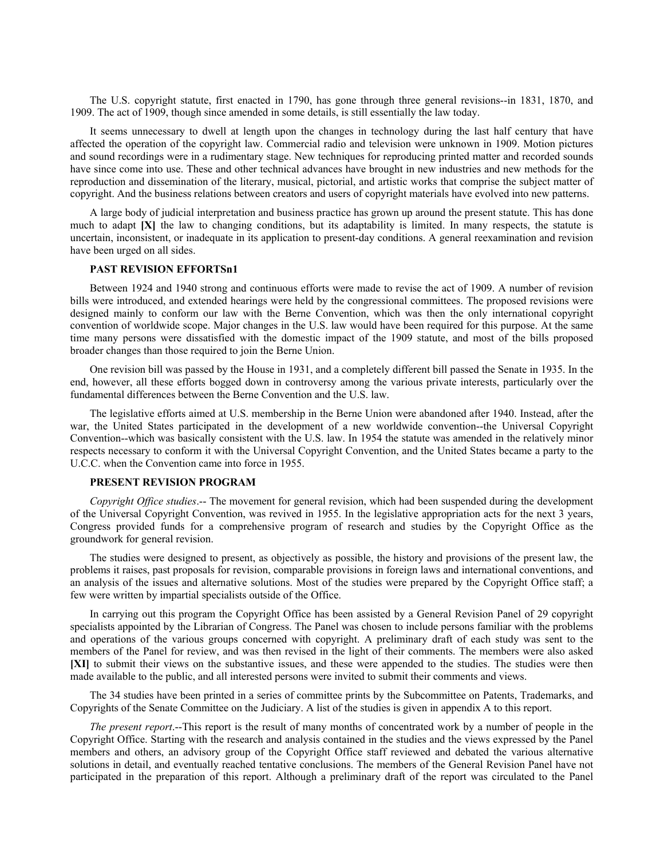The U.S. copyright statute, first enacted in 1790, has gone through three general revisions--in 1831, 1870, and 1909. The act of 1909, though since amended in some details, is still essentially the law today.

It seems unnecessary to dwell at length upon the changes in technology during the last half century that have affected the operation of the copyright law. Commercial radio and television were unknown in 1909. Motion pictures and sound recordings were in a rudimentary stage. New techniques for reproducing printed matter and recorded sounds have since come into use. These and other technical advances have brought in new industries and new methods for the reproduction and dissemination of the literary, musical, pictorial, and artistic works that comprise the subject matter of copyright. And the business relations between creators and users of copyright materials have evolved into new patterns.

A large body of judicial interpretation and business practice has grown up around the present statute. This has done much to adapt **[X]** the law to changing conditions, but its adaptability is limited. In many respects, the statute is uncertain, inconsistent, or inadequate in its application to present-day conditions. A general reexamination and revision have been urged on all sides.

## **PAST REVISION EFFORTSn1**

Between 1924 and 1940 strong and continuous efforts were made to revise the act of 1909. A number of revision bills were introduced, and extended hearings were held by the congressional committees. The proposed revisions were designed mainly to conform our law with the Berne Convention, which was then the only international copyright convention of worldwide scope. Major changes in the U.S. law would have been required for this purpose. At the same time many persons were dissatisfied with the domestic impact of the 1909 statute, and most of the bills proposed broader changes than those required to join the Berne Union.

One revision bill was passed by the House in 1931, and a completely different bill passed the Senate in 1935. In the end, however, all these efforts bogged down in controversy among the various private interests, particularly over the fundamental differences between the Berne Convention and the U.S. law.

The legislative efforts aimed at U.S. membership in the Berne Union were abandoned after 1940. Instead, after the war, the United States participated in the development of a new worldwide convention--the Universal Copyright Convention--which was basically consistent with the U.S. law. In 1954 the statute was amended in the relatively minor respects necessary to conform it with the Universal Copyright Convention, and the United States became a party to the U.C.C. when the Convention came into force in 1955.

## **PRESENT REVISION PROGRAM**

*Copyright Office studies*.-- The movement for general revision, which had been suspended during the development of the Universal Copyright Convention, was revived in 1955. In the legislative appropriation acts for the next 3 years, Congress provided funds for a comprehensive program of research and studies by the Copyright Office as the groundwork for general revision.

The studies were designed to present, as objectively as possible, the history and provisions of the present law, the problems it raises, past proposals for revision, comparable provisions in foreign laws and international conventions, and an analysis of the issues and alternative solutions. Most of the studies were prepared by the Copyright Office staff; a few were written by impartial specialists outside of the Office.

In carrying out this program the Copyright Office has been assisted by a General Revision Panel of 29 copyright specialists appointed by the Librarian of Congress. The Panel was chosen to include persons familiar with the problems and operations of the various groups concerned with copyright. A preliminary draft of each study was sent to the members of the Panel for review, and was then revised in the light of their comments. The members were also asked **[XI]** to submit their views on the substantive issues, and these were appended to the studies. The studies were then made available to the public, and all interested persons were invited to submit their comments and views.

The 34 studies have been printed in a series of committee prints by the Subcommittee on Patents, Trademarks, and Copyrights of the Senate Committee on the Judiciary. A list of the studies is given in appendix A to this report.

*The present report*.--This report is the result of many months of concentrated work by a number of people in the Copyright Office. Starting with the research and analysis contained in the studies and the views expressed by the Panel members and others, an advisory group of the Copyright Office staff reviewed and debated the various alternative solutions in detail, and eventually reached tentative conclusions. The members of the General Revision Panel have not participated in the preparation of this report. Although a preliminary draft of the report was circulated to the Panel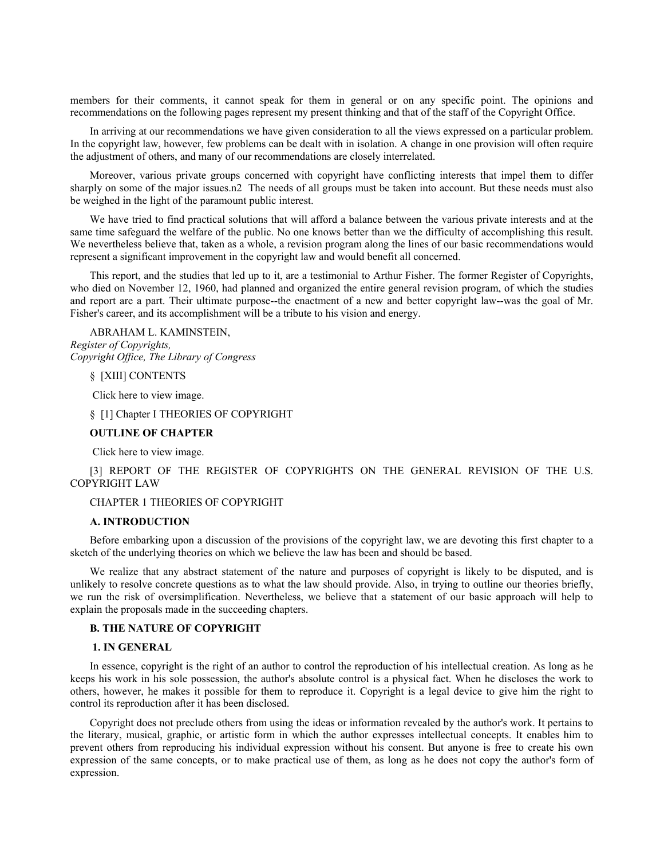members for their comments, it cannot speak for them in general or on any specific point. The opinions and recommendations on the following pages represent my present thinking and that of the staff of the Copyright Office.

In arriving at our recommendations we have given consideration to all the views expressed on a particular problem. In the copyright law, however, few problems can be dealt with in isolation. A change in one provision will often require the adjustment of others, and many of our recommendations are closely interrelated.

Moreover, various private groups concerned with copyright have conflicting interests that impel them to differ sharply on some of the major issues.n2 The needs of all groups must be taken into account. But these needs must also be weighed in the light of the paramount public interest.

We have tried to find practical solutions that will afford a balance between the various private interests and at the same time safeguard the welfare of the public. No one knows better than we the difficulty of accomplishing this result. We nevertheless believe that, taken as a whole, a revision program along the lines of our basic recommendations would represent a significant improvement in the copyright law and would benefit all concerned.

This report, and the studies that led up to it, are a testimonial to Arthur Fisher. The former Register of Copyrights, who died on November 12, 1960, had planned and organized the entire general revision program, of which the studies and report are a part. Their ultimate purpose--the enactment of a new and better copyright law--was the goal of Mr. Fisher's career, and its accomplishment will be a tribute to his vision and energy.

ABRAHAM L. KAMINSTEIN, *Register of Copyrights, Copyright Office, The Library of Congress*

§ [XIII] CONTENTS

Click here to view image.

§ [1] Chapter I THEORIES OF COPYRIGHT

## **OUTLINE OF CHAPTER**

Click here to view image.

[3] REPORT OF THE REGISTER OF COPYRIGHTS ON THE GENERAL REVISION OF THE U.S. COPYRIGHT LAW

## CHAPTER 1 THEORIES OF COPYRIGHT

## **A. INTRODUCTION**

Before embarking upon a discussion of the provisions of the copyright law, we are devoting this first chapter to a sketch of the underlying theories on which we believe the law has been and should be based.

We realize that any abstract statement of the nature and purposes of copyright is likely to be disputed, and is unlikely to resolve concrete questions as to what the law should provide. Also, in trying to outline our theories briefly, we run the risk of oversimplification. Nevertheless, we believe that a statement of our basic approach will help to explain the proposals made in the succeeding chapters.

## **B. THE NATURE OF COPYRIGHT**

#### **1. IN GENERAL**

In essence, copyright is the right of an author to control the reproduction of his intellectual creation. As long as he keeps his work in his sole possession, the author's absolute control is a physical fact. When he discloses the work to others, however, he makes it possible for them to reproduce it. Copyright is a legal device to give him the right to control its reproduction after it has been disclosed.

Copyright does not preclude others from using the ideas or information revealed by the author's work. It pertains to the literary, musical, graphic, or artistic form in which the author expresses intellectual concepts. It enables him to prevent others from reproducing his individual expression without his consent. But anyone is free to create his own expression of the same concepts, or to make practical use of them, as long as he does not copy the author's form of expression.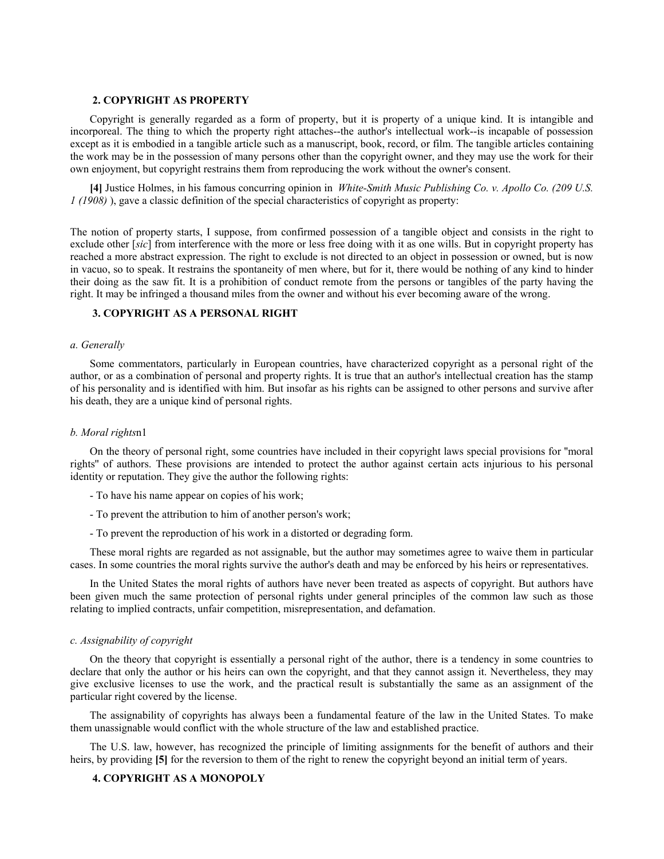## **2. COPYRIGHT AS PROPERTY**

Copyright is generally regarded as a form of property, but it is property of a unique kind. It is intangible and incorporeal. The thing to which the property right attaches--the author's intellectual work--is incapable of possession except as it is embodied in a tangible article such as a manuscript, book, record, or film. The tangible articles containing the work may be in the possession of many persons other than the copyright owner, and they may use the work for their own enjoyment, but copyright restrains them from reproducing the work without the owner's consent.

**[4]** Justice Holmes, in his famous concurring opinion in *White-Smith Music Publishing Co. v. Apollo Co. (209 U.S. 1 (1908)* ), gave a classic definition of the special characteristics of copyright as property:

The notion of property starts, I suppose, from confirmed possession of a tangible object and consists in the right to exclude other [*sic*] from interference with the more or less free doing with it as one wills. But in copyright property has reached a more abstract expression. The right to exclude is not directed to an object in possession or owned, but is now in vacuo, so to speak. It restrains the spontaneity of men where, but for it, there would be nothing of any kind to hinder their doing as the saw fit. It is a prohibition of conduct remote from the persons or tangibles of the party having the right. It may be infringed a thousand miles from the owner and without his ever becoming aware of the wrong.

## **3. COPYRIGHT AS A PERSONAL RIGHT**

#### *a. Generally*

Some commentators, particularly in European countries, have characterized copyright as a personal right of the author, or as a combination of personal and property rights. It is true that an author's intellectual creation has the stamp of his personality and is identified with him. But insofar as his rights can be assigned to other persons and survive after his death, they are a unique kind of personal rights.

#### *b. Moral rights*n1

On the theory of personal right, some countries have included in their copyright laws special provisions for ''moral rights'' of authors. These provisions are intended to protect the author against certain acts injurious to his personal identity or reputation. They give the author the following rights:

- To have his name appear on copies of his work;
- To prevent the attribution to him of another person's work;
- To prevent the reproduction of his work in a distorted or degrading form.

These moral rights are regarded as not assignable, but the author may sometimes agree to waive them in particular cases. In some countries the moral rights survive the author's death and may be enforced by his heirs or representatives.

In the United States the moral rights of authors have never been treated as aspects of copyright. But authors have been given much the same protection of personal rights under general principles of the common law such as those relating to implied contracts, unfair competition, misrepresentation, and defamation.

### *c. Assignability of copyright*

On the theory that copyright is essentially a personal right of the author, there is a tendency in some countries to declare that only the author or his heirs can own the copyright, and that they cannot assign it. Nevertheless, they may give exclusive licenses to use the work, and the practical result is substantially the same as an assignment of the particular right covered by the license.

The assignability of copyrights has always been a fundamental feature of the law in the United States. To make them unassignable would conflict with the whole structure of the law and established practice.

The U.S. law, however, has recognized the principle of limiting assignments for the benefit of authors and their heirs, by providing **[5]** for the reversion to them of the right to renew the copyright beyond an initial term of years.

### **4. COPYRIGHT AS A MONOPOLY**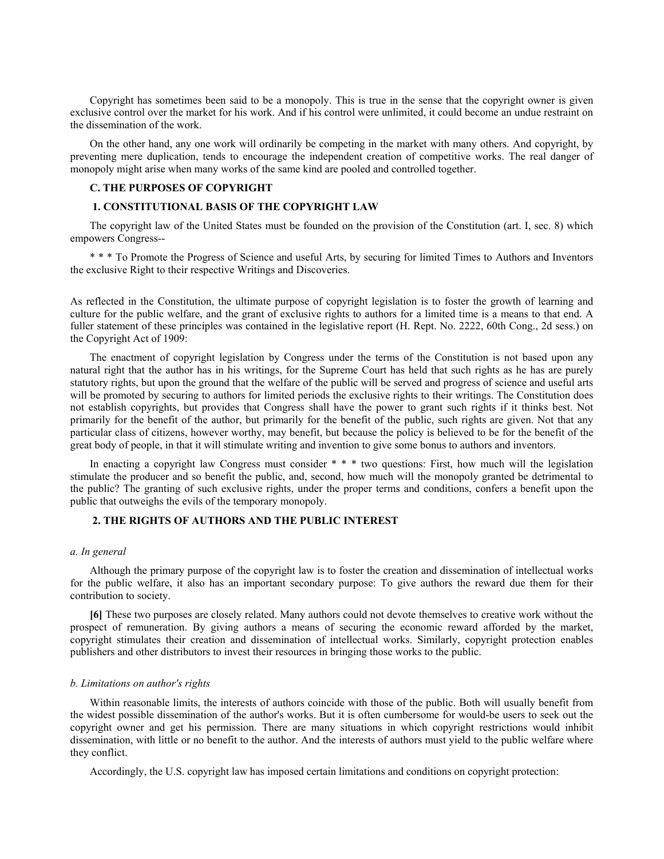Copyright has sometimes been said to be a monopoly. This is true in the sense that the copyright owner is given exclusive control over the market for his work. And if his control were unlimited, it could become an undue restraint on the dissemination of the work.

On the other hand, any one work will ordinarily be competing in the market with many others. And copyright, by preventing mere duplication, tends to encourage the independent creation of competitive works. The real danger of monopoly might arise when many works of the same kind are pooled and controlled together.

#### **C. THE PURPOSES OF COPYRIGHT**

## **1. CONSTITUTIONAL BASIS OF THE COPYRIGHT LAW**

The copyright law of the United States must be founded on the provision of the Constitution (art. I, sec. 8) which empowers Congress--

\* \* \* To Promote the Progress of Science and useful Arts, by securing for limited Times to Authors and Inventors the exclusive Right to their respective Writings and Discoveries.

As reflected in the Constitution, the ultimate purpose of copyright legislation is to foster the growth of learning and culture for the public welfare, and the grant of exclusive rights to authors for a limited time is a means to that end. A fuller statement of these principles was contained in the legislative report (H. Rept. No. 2222, 60th Cong., 2d sess.) on the Copyright Act of 1909:

The enactment of copyright legislation by Congress under the terms of the Constitution is not based upon any natural right that the author has in his writings, for the Supreme Court has held that such rights as he has are purely statutory rights, but upon the ground that the welfare of the public will be served and progress of science and useful arts will be promoted by securing to authors for limited periods the exclusive rights to their writings. The Constitution does not establish copyrights, but provides that Congress shall have the power to grant such rights if it thinks best. Not primarily for the benefit of the author, but primarily for the benefit of the public, such rights are given. Not that any particular class of citizens, however worthy, may benefit, but because the policy is believed to be for the benefit of the great body of people, in that it will stimulate writing and invention to give some bonus to authors and inventors.

In enacting a copyright law Congress must consider \* \* \* two questions: First, how much will the legislation stimulate the producer and so benefit the public, and, second, how much will the monopoly granted be detrimental to the public? The granting of such exclusive rights, under the proper terms and conditions, confers a benefit upon the public that outweighs the evils of the temporary monopoly.

## **2. THE RIGHTS OF AUTHORS AND THE PUBLIC INTEREST**

#### *a. In general*

Although the primary purpose of the copyright law is to foster the creation and dissemination of intellectual works for the public welfare, it also has an important secondary purpose: To give authors the reward due them for their contribution to society.

**[6]** These two purposes are closely related. Many authors could not devote themselves to creative work without the prospect of remuneration. By giving authors a means of securing the economic reward afforded by the market, copyright stimulates their creation and dissemination of intellectual works. Similarly, copyright protection enables publishers and other distributors to invest their resources in bringing those works to the public.

#### *b. Limitations on author's rights*

Within reasonable limits, the interests of authors coincide with those of the public. Both will usually benefit from the widest possible dissemination of the author's works. But it is often cumbersome for would-be users to seek out the copyright owner and get his permission. There are many situations in which copyright restrictions would inhibit dissemination, with little or no benefit to the author. And the interests of authors must yield to the public welfare where they conflict.

Accordingly, the U.S. copyright law has imposed certain limitations and conditions on copyright protection: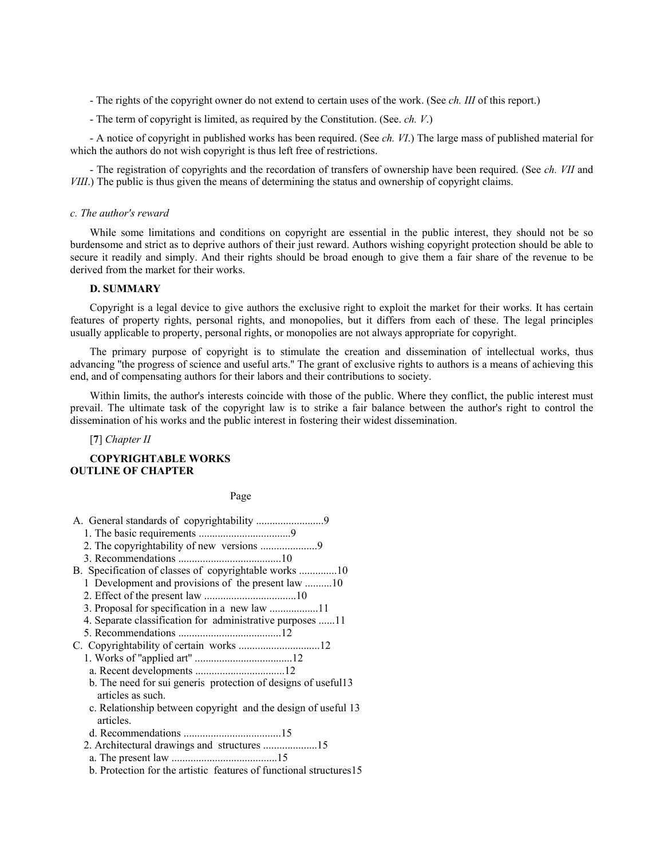- The rights of the copyright owner do not extend to certain uses of the work. (See *ch. III* of this report.)

- The term of copyright is limited, as required by the Constitution. (See. *ch. V*.)

- A notice of copyright in published works has been required. (See *ch. VI*.) The large mass of published material for which the authors do not wish copyright is thus left free of restrictions.

- The registration of copyrights and the recordation of transfers of ownership have been required. (See *ch. VII* and *VIII*.) The public is thus given the means of determining the status and ownership of copyright claims.

### *c. The author's reward*

While some limitations and conditions on copyright are essential in the public interest, they should not be so burdensome and strict as to deprive authors of their just reward. Authors wishing copyright protection should be able to secure it readily and simply. And their rights should be broad enough to give them a fair share of the revenue to be derived from the market for their works.

### **D. SUMMARY**

Copyright is a legal device to give authors the exclusive right to exploit the market for their works. It has certain features of property rights, personal rights, and monopolies, but it differs from each of these. The legal principles usually applicable to property, personal rights, or monopolies are not always appropriate for copyright.

The primary purpose of copyright is to stimulate the creation and dissemination of intellectual works, thus advancing ''the progress of science and useful arts.'' The grant of exclusive rights to authors is a means of achieving this end, and of compensating authors for their labors and their contributions to society.

Within limits, the author's interests coincide with those of the public. Where they conflict, the public interest must prevail. The ultimate task of the copyright law is to strike a fair balance between the author's right to control the dissemination of his works and the public interest in fostering their widest dissemination.

[**7**] *Chapter II*

# **COPYRIGHTABLE WORKS OUTLINE OF CHAPTER**

Page

| 1 Development and provisions of the present law 10                  |
|---------------------------------------------------------------------|
|                                                                     |
| 3. Proposal for specification in a new law 11                       |
| 4. Separate classification for administrative purposes 11           |
|                                                                     |
|                                                                     |
|                                                                     |
|                                                                     |
| b. The need for sui generis protection of designs of useful13       |
| articles as such.                                                   |
| c. Relationship between copyright and the design of useful 13       |
| articles.                                                           |
|                                                                     |
|                                                                     |
|                                                                     |
| b. Protection for the artistic features of functional structures 15 |
|                                                                     |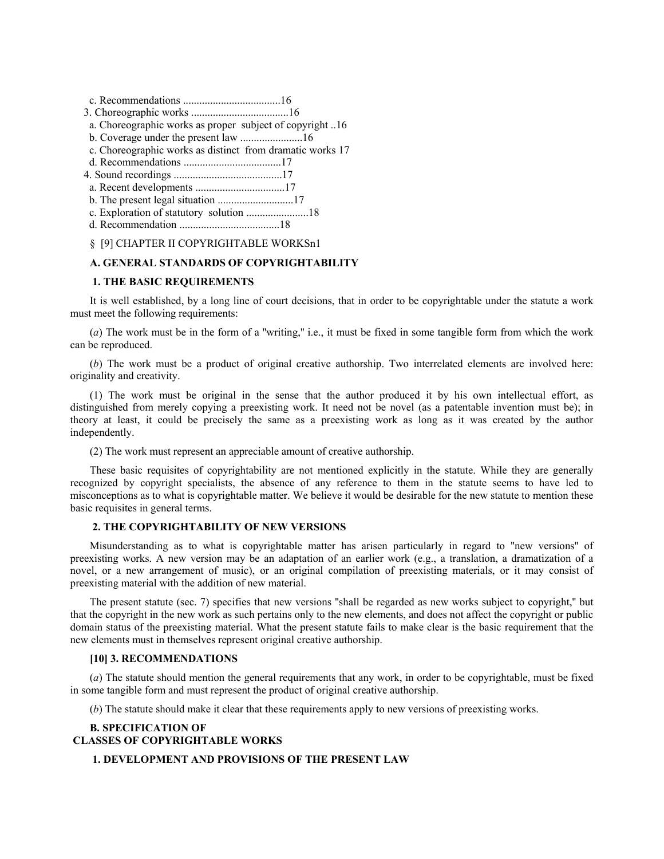c. Recommendations ....................................16

- 3. Choreographic works ....................................16
- a. Choreographic works as proper subject of copyright ..16
- b. Coverage under the present law .......................16
- c. Choreographic works as distinct from dramatic works 17
- d. Recommendations ....................................17
- 4. Sound recordings ........................................17
- a. Recent developments .................................17
- b. The present legal situation ............................17
- c. Exploration of statutory solution .......................18
- d. Recommendation .....................................18

# § [9] CHAPTER II COPYRIGHTABLE WORKSn1

# **A. GENERAL STANDARDS OF COPYRIGHTABILITY**

## **1. THE BASIC REQUIREMENTS**

It is well established, by a long line of court decisions, that in order to be copyrightable under the statute a work must meet the following requirements:

(*a*) The work must be in the form of a ''writing,'' i.e., it must be fixed in some tangible form from which the work can be reproduced.

(*b*) The work must be a product of original creative authorship. Two interrelated elements are involved here: originality and creativity.

(1) The work must be original in the sense that the author produced it by his own intellectual effort, as distinguished from merely copying a preexisting work. It need not be novel (as a patentable invention must be); in theory at least, it could be precisely the same as a preexisting work as long as it was created by the author independently.

(2) The work must represent an appreciable amount of creative authorship.

These basic requisites of copyrightability are not mentioned explicitly in the statute. While they are generally recognized by copyright specialists, the absence of any reference to them in the statute seems to have led to misconceptions as to what is copyrightable matter. We believe it would be desirable for the new statute to mention these basic requisites in general terms.

## **2. THE COPYRIGHTABILITY OF NEW VERSIONS**

Misunderstanding as to what is copyrightable matter has arisen particularly in regard to ''new versions'' of preexisting works. A new version may be an adaptation of an earlier work (e.g., a translation, a dramatization of a novel, or a new arrangement of music), or an original compilation of preexisting materials, or it may consist of preexisting material with the addition of new material.

The present statute (sec. 7) specifies that new versions ''shall be regarded as new works subject to copyright,'' but that the copyright in the new work as such pertains only to the new elements, and does not affect the copyright or public domain status of the preexisting material. What the present statute fails to make clear is the basic requirement that the new elements must in themselves represent original creative authorship.

## **[10] 3. RECOMMENDATIONS**

(*a*) The statute should mention the general requirements that any work, in order to be copyrightable, must be fixed in some tangible form and must represent the product of original creative authorship.

(*b*) The statute should make it clear that these requirements apply to new versions of preexisting works.

# **B. SPECIFICATION OF CLASSES OF COPYRIGHTABLE WORKS**

# **1. DEVELOPMENT AND PROVISIONS OF THE PRESENT LAW**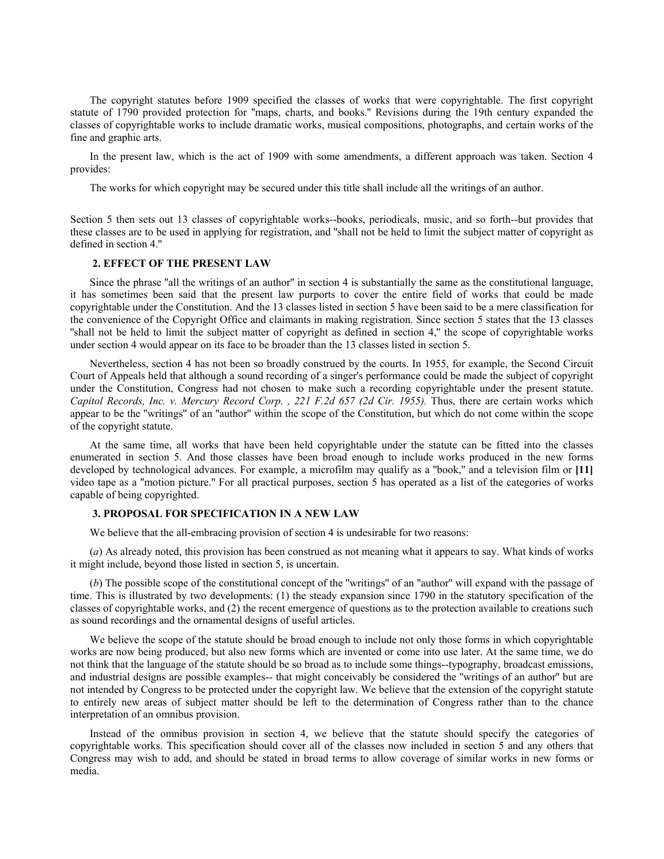The copyright statutes before 1909 specified the classes of works that were copyrightable. The first copyright statute of 1790 provided protection for ''maps, charts, and books.'' Revisions during the 19th century expanded the classes of copyrightable works to include dramatic works, musical compositions, photographs, and certain works of the fine and graphic arts.

In the present law, which is the act of 1909 with some amendments, a different approach was taken. Section 4 provides:

The works for which copyright may be secured under this title shall include all the writings of an author.

Section 5 then sets out 13 classes of copyrightable works--books, periodicals, music, and so forth--but provides that these classes are to be used in applying for registration, and ''shall not be held to limit the subject matter of copyright as defined in section 4.''

## **2. EFFECT OF THE PRESENT LAW**

Since the phrase ''all the writings of an author'' in section 4 is substantially the same as the constitutional language, it has sometimes been said that the present law purports to cover the entire field of works that could be made copyrightable under the Constitution. And the 13 classes listed in section 5 have been said to be a mere classification for the convenience of the Copyright Office and claimants in making registration. Since section 5 states that the 13 classes "shall not be held to limit the subject matter of copyright as defined in section 4," the scope of copyrightable works under section 4 would appear on its face to be broader than the 13 classes listed in section 5.

Nevertheless, section 4 has not been so broadly construed by the courts. In 1955, for example, the Second Circuit Court of Appeals held that although a sound recording of a singer's performance could be made the subject of copyright under the Constitution, Congress had not chosen to make such a recording copyrightable under the present statute. *Capitol Records, Inc. v. Mercury Record Corp. , 221 F.2d 657 (2d Cir. 1955).* Thus, there are certain works which appear to be the ''writings'' of an ''author'' within the scope of the Constitution, but which do not come within the scope of the copyright statute.

At the same time, all works that have been held copyrightable under the statute can be fitted into the classes enumerated in section 5. And those classes have been broad enough to include works produced in the new forms developed by technological advances. For example, a microfilm may qualify as a ''book,'' and a television film or **[11]**  video tape as a ''motion picture.'' For all practical purposes, section 5 has operated as a list of the categories of works capable of being copyrighted.

## **3. PROPOSAL FOR SPECIFICATION IN A NEW LAW**

We believe that the all-embracing provision of section 4 is undesirable for two reasons:

(*a*) As already noted, this provision has been construed as not meaning what it appears to say. What kinds of works it might include, beyond those listed in section 5, is uncertain.

(*b*) The possible scope of the constitutional concept of the ''writings'' of an ''author'' will expand with the passage of time. This is illustrated by two developments: (1) the steady expansion since 1790 in the statutory specification of the classes of copyrightable works, and (2) the recent emergence of questions as to the protection available to creations such as sound recordings and the ornamental designs of useful articles.

We believe the scope of the statute should be broad enough to include not only those forms in which copyrightable works are now being produced, but also new forms which are invented or come into use later. At the same time, we do not think that the language of the statute should be so broad as to include some things--typography, broadcast emissions, and industrial designs are possible examples-- that might conceivably be considered the ''writings of an author'' but are not intended by Congress to be protected under the copyright law. We believe that the extension of the copyright statute to entirely new areas of subject matter should be left to the determination of Congress rather than to the chance interpretation of an omnibus provision.

Instead of the omnibus provision in section 4, we believe that the statute should specify the categories of copyrightable works. This specification should cover all of the classes now included in section 5 and any others that Congress may wish to add, and should be stated in broad terms to allow coverage of similar works in new forms or media.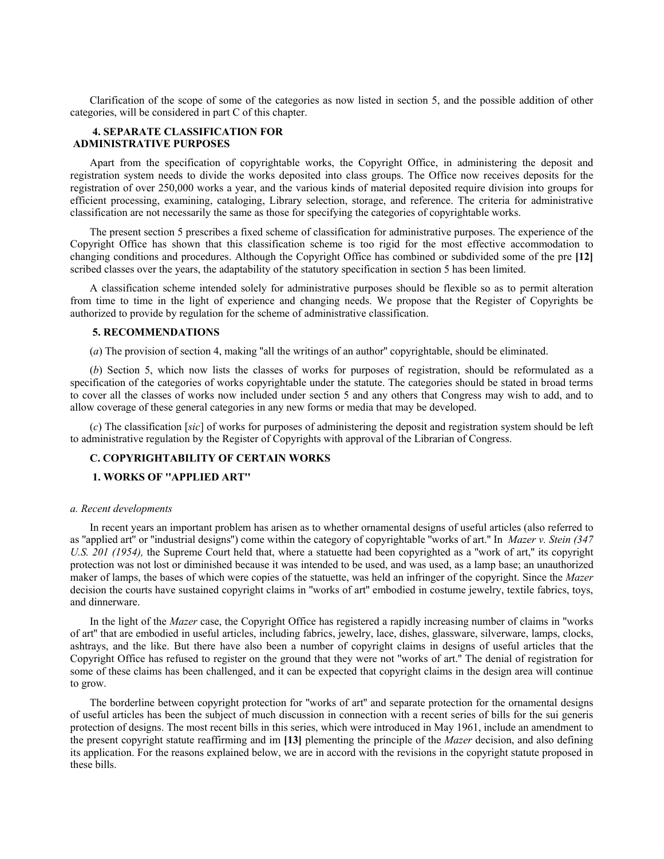Clarification of the scope of some of the categories as now listed in section 5, and the possible addition of other categories, will be considered in part C of this chapter.

# **4. SEPARATE CLASSIFICATION FOR ADMINISTRATIVE PURPOSES**

Apart from the specification of copyrightable works, the Copyright Office, in administering the deposit and registration system needs to divide the works deposited into class groups. The Office now receives deposits for the registration of over 250,000 works a year, and the various kinds of material deposited require division into groups for efficient processing, examining, cataloging, Library selection, storage, and reference. The criteria for administrative classification are not necessarily the same as those for specifying the categories of copyrightable works.

The present section 5 prescribes a fixed scheme of classification for administrative purposes. The experience of the Copyright Office has shown that this classification scheme is too rigid for the most effective accommodation to changing conditions and procedures. Although the Copyright Office has combined or subdivided some of the pre **[12]**  scribed classes over the years, the adaptability of the statutory specification in section 5 has been limited.

A classification scheme intended solely for administrative purposes should be flexible so as to permit alteration from time to time in the light of experience and changing needs. We propose that the Register of Copyrights be authorized to provide by regulation for the scheme of administrative classification.

#### **5. RECOMMENDATIONS**

(*a*) The provision of section 4, making "all the writings of an author" copyrightable, should be eliminated.

(*b*) Section 5, which now lists the classes of works for purposes of registration, should be reformulated as a specification of the categories of works copyrightable under the statute. The categories should be stated in broad terms to cover all the classes of works now included under section 5 and any others that Congress may wish to add, and to allow coverage of these general categories in any new forms or media that may be developed.

(*c*) The classification [*sic*] of works for purposes of administering the deposit and registration system should be left to administrative regulation by the Register of Copyrights with approval of the Librarian of Congress.

# **C. COPYRIGHTABILITY OF CERTAIN WORKS**

### **1. WORKS OF ''APPLIED ART''**

#### *a. Recent developments*

In recent years an important problem has arisen as to whether ornamental designs of useful articles (also referred to as ''applied art'' or ''industrial designs'') come within the category of copyrightable ''works of art.'' In *Mazer v. Stein (347 U.S. 201 (1954),* the Supreme Court held that, where a statuette had been copyrighted as a ''work of art,'' its copyright protection was not lost or diminished because it was intended to be used, and was used, as a lamp base; an unauthorized maker of lamps, the bases of which were copies of the statuette, was held an infringer of the copyright. Since the *Mazer* decision the courts have sustained copyright claims in ''works of art'' embodied in costume jewelry, textile fabrics, toys, and dinnerware.

In the light of the *Mazer* case, the Copyright Office has registered a rapidly increasing number of claims in ''works of art'' that are embodied in useful articles, including fabrics, jewelry, lace, dishes, glassware, silverware, lamps, clocks, ashtrays, and the like. But there have also been a number of copyright claims in designs of useful articles that the Copyright Office has refused to register on the ground that they were not ''works of art.'' The denial of registration for some of these claims has been challenged, and it can be expected that copyright claims in the design area will continue to grow.

The borderline between copyright protection for ''works of art'' and separate protection for the ornamental designs of useful articles has been the subject of much discussion in connection with a recent series of bills for the sui generis protection of designs. The most recent bills in this series, which were introduced in May 1961, include an amendment to the present copyright statute reaffirming and im **[13]** plementing the principle of the *Mazer* decision, and also defining its application. For the reasons explained below, we are in accord with the revisions in the copyright statute proposed in these bills.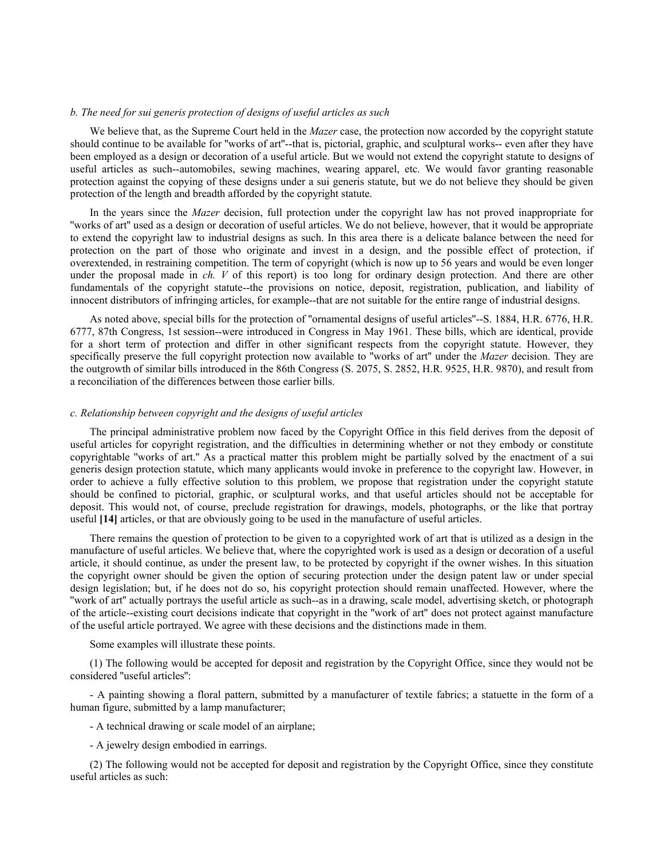## *b. The need for sui generis protection of designs of useful articles as such*

We believe that, as the Supreme Court held in the *Mazer* case, the protection now accorded by the copyright statute should continue to be available for ''works of art''--that is, pictorial, graphic, and sculptural works-- even after they have been employed as a design or decoration of a useful article. But we would not extend the copyright statute to designs of useful articles as such--automobiles, sewing machines, wearing apparel, etc. We would favor granting reasonable protection against the copying of these designs under a sui generis statute, but we do not believe they should be given protection of the length and breadth afforded by the copyright statute.

In the years since the *Mazer* decision, full protection under the copyright law has not proved inappropriate for ''works of art'' used as a design or decoration of useful articles. We do not believe, however, that it would be appropriate to extend the copyright law to industrial designs as such. In this area there is a delicate balance between the need for protection on the part of those who originate and invest in a design, and the possible effect of protection, if overextended, in restraining competition. The term of copyright (which is now up to 56 years and would be even longer under the proposal made in *ch. V* of this report) is too long for ordinary design protection. And there are other fundamentals of the copyright statute--the provisions on notice, deposit, registration, publication, and liability of innocent distributors of infringing articles, for example--that are not suitable for the entire range of industrial designs.

As noted above, special bills for the protection of ''ornamental designs of useful articles''--S. 1884, H.R. 6776, H.R. 6777, 87th Congress, 1st session--were introduced in Congress in May 1961. These bills, which are identical, provide for a short term of protection and differ in other significant respects from the copyright statute. However, they specifically preserve the full copyright protection now available to ''works of art'' under the *Mazer* decision. They are the outgrowth of similar bills introduced in the 86th Congress (S. 2075, S. 2852, H.R. 9525, H.R. 9870), and result from a reconciliation of the differences between those earlier bills.

# *c. Relationship between copyright and the designs of useful articles*

The principal administrative problem now faced by the Copyright Office in this field derives from the deposit of useful articles for copyright registration, and the difficulties in determining whether or not they embody or constitute copyrightable ''works of art.'' As a practical matter this problem might be partially solved by the enactment of a sui generis design protection statute, which many applicants would invoke in preference to the copyright law. However, in order to achieve a fully effective solution to this problem, we propose that registration under the copyright statute should be confined to pictorial, graphic, or sculptural works, and that useful articles should not be acceptable for deposit. This would not, of course, preclude registration for drawings, models, photographs, or the like that portray useful **[14]** articles, or that are obviously going to be used in the manufacture of useful articles.

There remains the question of protection to be given to a copyrighted work of art that is utilized as a design in the manufacture of useful articles. We believe that, where the copyrighted work is used as a design or decoration of a useful article, it should continue, as under the present law, to be protected by copyright if the owner wishes. In this situation the copyright owner should be given the option of securing protection under the design patent law or under special design legislation; but, if he does not do so, his copyright protection should remain unaffected. However, where the ''work of art'' actually portrays the useful article as such--as in a drawing, scale model, advertising sketch, or photograph of the article--existing court decisions indicate that copyright in the ''work of art'' does not protect against manufacture of the useful article portrayed. We agree with these decisions and the distinctions made in them.

Some examples will illustrate these points.

(1) The following would be accepted for deposit and registration by the Copyright Office, since they would not be considered ''useful articles'':

- A painting showing a floral pattern, submitted by a manufacturer of textile fabrics; a statuette in the form of a human figure, submitted by a lamp manufacturer;

- A technical drawing or scale model of an airplane;

- A jewelry design embodied in earrings.

(2) The following would not be accepted for deposit and registration by the Copyright Office, since they constitute useful articles as such: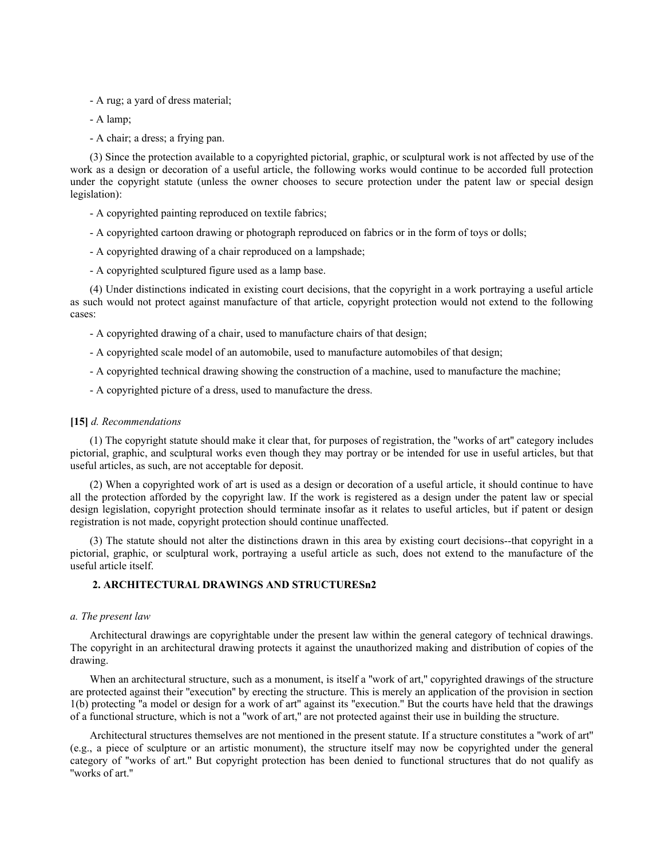- A rug; a yard of dress material;

- A lamp;
- A chair; a dress; a frying pan.

(3) Since the protection available to a copyrighted pictorial, graphic, or sculptural work is not affected by use of the work as a design or decoration of a useful article, the following works would continue to be accorded full protection under the copyright statute (unless the owner chooses to secure protection under the patent law or special design legislation):

- A copyrighted painting reproduced on textile fabrics;
- A copyrighted cartoon drawing or photograph reproduced on fabrics or in the form of toys or dolls;
- A copyrighted drawing of a chair reproduced on a lampshade;
- A copyrighted sculptured figure used as a lamp base.

(4) Under distinctions indicated in existing court decisions, that the copyright in a work portraying a useful article as such would not protect against manufacture of that article, copyright protection would not extend to the following cases:

- A copyrighted drawing of a chair, used to manufacture chairs of that design;
- A copyrighted scale model of an automobile, used to manufacture automobiles of that design;
- A copyrighted technical drawing showing the construction of a machine, used to manufacture the machine;
- A copyrighted picture of a dress, used to manufacture the dress.

#### **[15]** *d. Recommendations*

(1) The copyright statute should make it clear that, for purposes of registration, the ''works of art'' category includes pictorial, graphic, and sculptural works even though they may portray or be intended for use in useful articles, but that useful articles, as such, are not acceptable for deposit.

(2) When a copyrighted work of art is used as a design or decoration of a useful article, it should continue to have all the protection afforded by the copyright law. If the work is registered as a design under the patent law or special design legislation, copyright protection should terminate insofar as it relates to useful articles, but if patent or design registration is not made, copyright protection should continue unaffected.

(3) The statute should not alter the distinctions drawn in this area by existing court decisions--that copyright in a pictorial, graphic, or sculptural work, portraying a useful article as such, does not extend to the manufacture of the useful article itself.

# **2. ARCHITECTURAL DRAWINGS AND STRUCTURESn2**

#### *a. The present law*

Architectural drawings are copyrightable under the present law within the general category of technical drawings. The copyright in an architectural drawing protects it against the unauthorized making and distribution of copies of the drawing.

When an architectural structure, such as a monument, is itself a "work of art," copyrighted drawings of the structure are protected against their ''execution'' by erecting the structure. This is merely an application of the provision in section 1(b) protecting ''a model or design for a work of art'' against its ''execution.'' But the courts have held that the drawings of a functional structure, which is not a ''work of art,'' are not protected against their use in building the structure.

Architectural structures themselves are not mentioned in the present statute. If a structure constitutes a ''work of art'' (e.g., a piece of sculpture or an artistic monument), the structure itself may now be copyrighted under the general category of ''works of art.'' But copyright protection has been denied to functional structures that do not qualify as ''works of art.''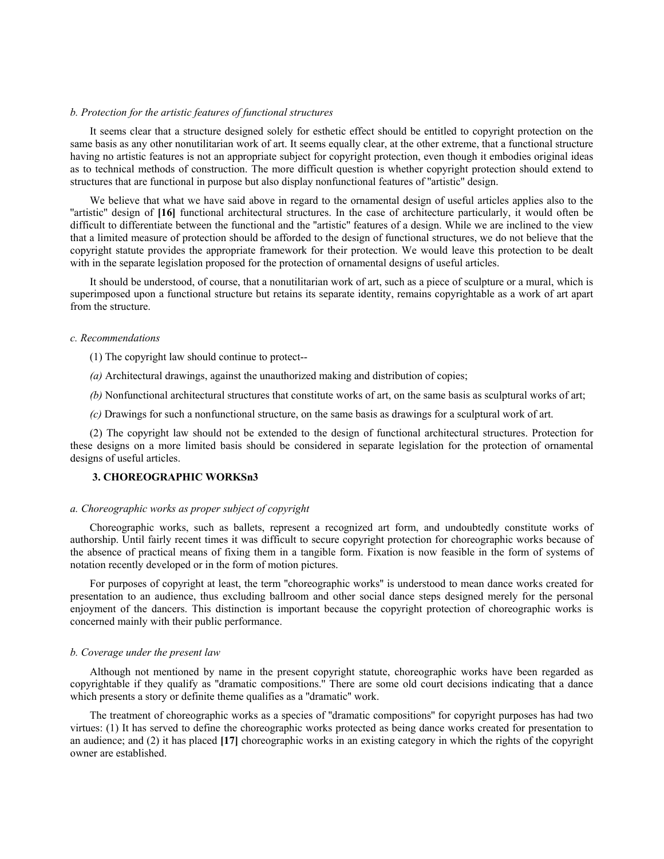## *b. Protection for the artistic features of functional structures*

It seems clear that a structure designed solely for esthetic effect should be entitled to copyright protection on the same basis as any other nonutilitarian work of art. It seems equally clear, at the other extreme, that a functional structure having no artistic features is not an appropriate subject for copyright protection, even though it embodies original ideas as to technical methods of construction. The more difficult question is whether copyright protection should extend to structures that are functional in purpose but also display nonfunctional features of ''artistic'' design.

We believe that what we have said above in regard to the ornamental design of useful articles applies also to the ''artistic'' design of **[16]** functional architectural structures. In the case of architecture particularly, it would often be difficult to differentiate between the functional and the ''artistic'' features of a design. While we are inclined to the view that a limited measure of protection should be afforded to the design of functional structures, we do not believe that the copyright statute provides the appropriate framework for their protection. We would leave this protection to be dealt with in the separate legislation proposed for the protection of ornamental designs of useful articles.

It should be understood, of course, that a nonutilitarian work of art, such as a piece of sculpture or a mural, which is superimposed upon a functional structure but retains its separate identity, remains copyrightable as a work of art apart from the structure.

#### *c. Recommendations*

- (1) The copyright law should continue to protect--
- *(a)* Architectural drawings, against the unauthorized making and distribution of copies;
- *(b)* Nonfunctional architectural structures that constitute works of art, on the same basis as sculptural works of art;
- *(c)* Drawings for such a nonfunctional structure, on the same basis as drawings for a sculptural work of art.

(2) The copyright law should not be extended to the design of functional architectural structures. Protection for these designs on a more limited basis should be considered in separate legislation for the protection of ornamental designs of useful articles.

# **3. CHOREOGRAPHIC WORKSn3**

## *a. Choreographic works as proper subject of copyright*

Choreographic works, such as ballets, represent a recognized art form, and undoubtedly constitute works of authorship. Until fairly recent times it was difficult to secure copyright protection for choreographic works because of the absence of practical means of fixing them in a tangible form. Fixation is now feasible in the form of systems of notation recently developed or in the form of motion pictures.

For purposes of copyright at least, the term ''choreographic works'' is understood to mean dance works created for presentation to an audience, thus excluding ballroom and other social dance steps designed merely for the personal enjoyment of the dancers. This distinction is important because the copyright protection of choreographic works is concerned mainly with their public performance.

#### *b. Coverage under the present law*

Although not mentioned by name in the present copyright statute, choreographic works have been regarded as copyrightable if they qualify as ''dramatic compositions.'' There are some old court decisions indicating that a dance which presents a story or definite theme qualifies as a ''dramatic'' work.

The treatment of choreographic works as a species of ''dramatic compositions'' for copyright purposes has had two virtues: (1) It has served to define the choreographic works protected as being dance works created for presentation to an audience; and (2) it has placed **[17]** choreographic works in an existing category in which the rights of the copyright owner are established.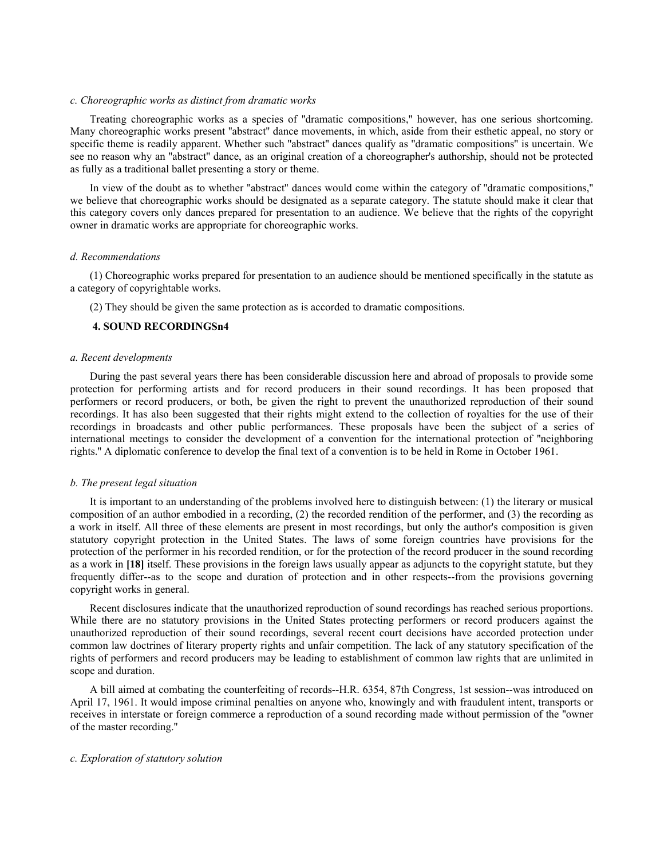#### *c. Choreographic works as distinct from dramatic works*

Treating choreographic works as a species of ''dramatic compositions,'' however, has one serious shortcoming. Many choreographic works present ''abstract'' dance movements, in which, aside from their esthetic appeal, no story or specific theme is readily apparent. Whether such ''abstract'' dances qualify as ''dramatic compositions'' is uncertain. We see no reason why an ''abstract'' dance, as an original creation of a choreographer's authorship, should not be protected as fully as a traditional ballet presenting a story or theme.

In view of the doubt as to whether "abstract" dances would come within the category of "dramatic compositions," we believe that choreographic works should be designated as a separate category. The statute should make it clear that this category covers only dances prepared for presentation to an audience. We believe that the rights of the copyright owner in dramatic works are appropriate for choreographic works.

#### *d. Recommendations*

(1) Choreographic works prepared for presentation to an audience should be mentioned specifically in the statute as a category of copyrightable works.

(2) They should be given the same protection as is accorded to dramatic compositions.

### **4. SOUND RECORDINGSn4**

#### *a. Recent developments*

During the past several years there has been considerable discussion here and abroad of proposals to provide some protection for performing artists and for record producers in their sound recordings. It has been proposed that performers or record producers, or both, be given the right to prevent the unauthorized reproduction of their sound recordings. It has also been suggested that their rights might extend to the collection of royalties for the use of their recordings in broadcasts and other public performances. These proposals have been the subject of a series of international meetings to consider the development of a convention for the international protection of ''neighboring rights.'' A diplomatic conference to develop the final text of a convention is to be held in Rome in October 1961.

#### *b. The present legal situation*

It is important to an understanding of the problems involved here to distinguish between: (1) the literary or musical composition of an author embodied in a recording, (2) the recorded rendition of the performer, and (3) the recording as a work in itself. All three of these elements are present in most recordings, but only the author's composition is given statutory copyright protection in the United States. The laws of some foreign countries have provisions for the protection of the performer in his recorded rendition, or for the protection of the record producer in the sound recording as a work in **[18]** itself. These provisions in the foreign laws usually appear as adjuncts to the copyright statute, but they frequently differ--as to the scope and duration of protection and in other respects--from the provisions governing copyright works in general.

Recent disclosures indicate that the unauthorized reproduction of sound recordings has reached serious proportions. While there are no statutory provisions in the United States protecting performers or record producers against the unauthorized reproduction of their sound recordings, several recent court decisions have accorded protection under common law doctrines of literary property rights and unfair competition. The lack of any statutory specification of the rights of performers and record producers may be leading to establishment of common law rights that are unlimited in scope and duration.

A bill aimed at combating the counterfeiting of records--H.R. 6354, 87th Congress, 1st session--was introduced on April 17, 1961. It would impose criminal penalties on anyone who, knowingly and with fraudulent intent, transports or receives in interstate or foreign commerce a reproduction of a sound recording made without permission of the ''owner of the master recording.''

#### *c. Exploration of statutory solution*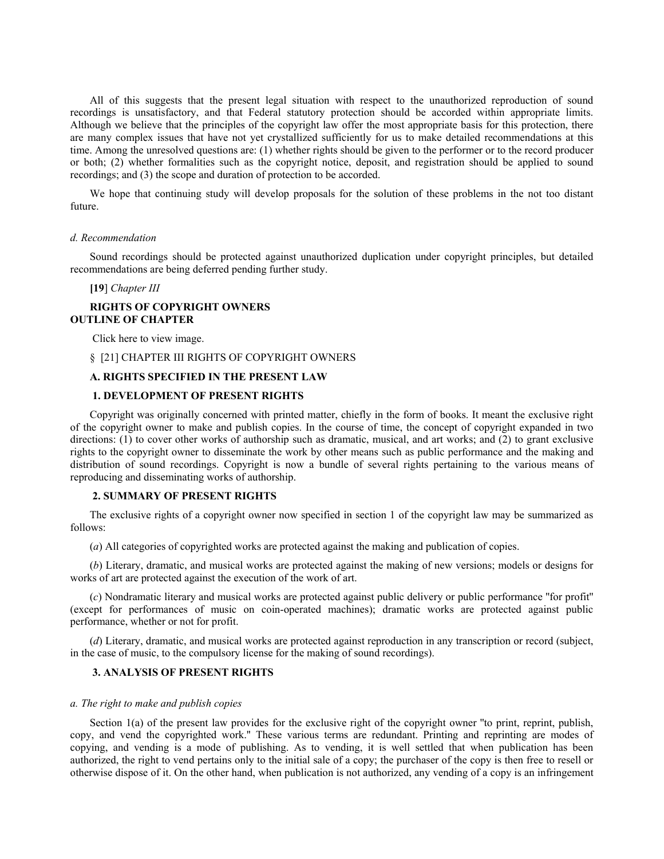All of this suggests that the present legal situation with respect to the unauthorized reproduction of sound recordings is unsatisfactory, and that Federal statutory protection should be accorded within appropriate limits. Although we believe that the principles of the copyright law offer the most appropriate basis for this protection, there are many complex issues that have not yet crystallized sufficiently for us to make detailed recommendations at this time. Among the unresolved questions are: (1) whether rights should be given to the performer or to the record producer or both; (2) whether formalities such as the copyright notice, deposit, and registration should be applied to sound recordings; and (3) the scope and duration of protection to be accorded.

We hope that continuing study will develop proposals for the solution of these problems in the not too distant future.

## *d. Recommendation*

Sound recordings should be protected against unauthorized duplication under copyright principles, but detailed recommendations are being deferred pending further study.

**[19**] *Chapter III*

## **RIGHTS OF COPYRIGHT OWNERS OUTLINE OF CHAPTER**

Click here to view image.

§ [21] CHAPTER III RIGHTS OF COPYRIGHT OWNERS

## **A. RIGHTS SPECIFIED IN THE PRESENT LAW**

## **1. DEVELOPMENT OF PRESENT RIGHTS**

Copyright was originally concerned with printed matter, chiefly in the form of books. It meant the exclusive right of the copyright owner to make and publish copies. In the course of time, the concept of copyright expanded in two directions: (1) to cover other works of authorship such as dramatic, musical, and art works; and (2) to grant exclusive rights to the copyright owner to disseminate the work by other means such as public performance and the making and distribution of sound recordings. Copyright is now a bundle of several rights pertaining to the various means of reproducing and disseminating works of authorship.

# **2. SUMMARY OF PRESENT RIGHTS**

The exclusive rights of a copyright owner now specified in section 1 of the copyright law may be summarized as follows:

(*a*) All categories of copyrighted works are protected against the making and publication of copies.

(*b*) Literary, dramatic, and musical works are protected against the making of new versions; models or designs for works of art are protected against the execution of the work of art.

(*c*) Nondramatic literary and musical works are protected against public delivery or public performance ''for profit'' (except for performances of music on coin-operated machines); dramatic works are protected against public performance, whether or not for profit.

(*d*) Literary, dramatic, and musical works are protected against reproduction in any transcription or record (subject, in the case of music, to the compulsory license for the making of sound recordings).

### **3. ANALYSIS OF PRESENT RIGHTS**

## *a. The right to make and publish copies*

Section 1(a) of the present law provides for the exclusive right of the copyright owner ''to print, reprint, publish, copy, and vend the copyrighted work.'' These various terms are redundant. Printing and reprinting are modes of copying, and vending is a mode of publishing. As to vending, it is well settled that when publication has been authorized, the right to vend pertains only to the initial sale of a copy; the purchaser of the copy is then free to resell or otherwise dispose of it. On the other hand, when publication is not authorized, any vending of a copy is an infringement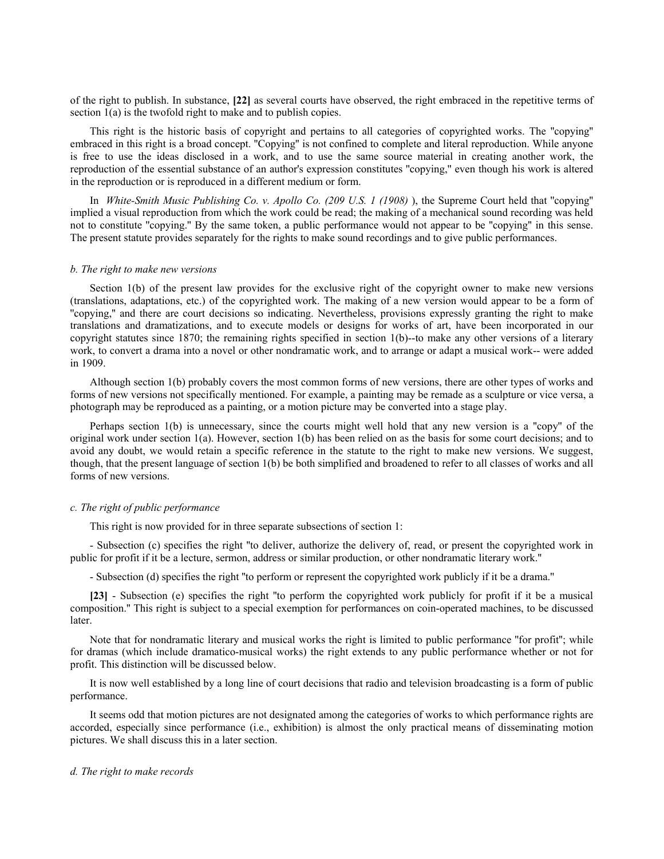of the right to publish. In substance, **[22]** as several courts have observed, the right embraced in the repetitive terms of section 1(a) is the twofold right to make and to publish copies.

This right is the historic basis of copyright and pertains to all categories of copyrighted works. The ''copying'' embraced in this right is a broad concept. ''Copying'' is not confined to complete and literal reproduction. While anyone is free to use the ideas disclosed in a work, and to use the same source material in creating another work, the reproduction of the essential substance of an author's expression constitutes ''copying,'' even though his work is altered in the reproduction or is reproduced in a different medium or form.

In *White-Smith Music Publishing Co. v. Apollo Co. (209 U.S. 1 (1908)* ), the Supreme Court held that ''copying'' implied a visual reproduction from which the work could be read; the making of a mechanical sound recording was held not to constitute ''copying.'' By the same token, a public performance would not appear to be ''copying'' in this sense. The present statute provides separately for the rights to make sound recordings and to give public performances.

#### *b. The right to make new versions*

Section 1(b) of the present law provides for the exclusive right of the copyright owner to make new versions (translations, adaptations, etc.) of the copyrighted work. The making of a new version would appear to be a form of ''copying,'' and there are court decisions so indicating. Nevertheless, provisions expressly granting the right to make translations and dramatizations, and to execute models or designs for works of art, have been incorporated in our copyright statutes since 1870; the remaining rights specified in section 1(b)--to make any other versions of a literary work, to convert a drama into a novel or other nondramatic work, and to arrange or adapt a musical work-- were added in 1909.

Although section 1(b) probably covers the most common forms of new versions, there are other types of works and forms of new versions not specifically mentioned. For example, a painting may be remade as a sculpture or vice versa, a photograph may be reproduced as a painting, or a motion picture may be converted into a stage play.

Perhaps section 1(b) is unnecessary, since the courts might well hold that any new version is a ''copy'' of the original work under section 1(a). However, section 1(b) has been relied on as the basis for some court decisions; and to avoid any doubt, we would retain a specific reference in the statute to the right to make new versions. We suggest, though, that the present language of section 1(b) be both simplified and broadened to refer to all classes of works and all forms of new versions.

## *c. The right of public performance*

This right is now provided for in three separate subsections of section 1:

- Subsection (c) specifies the right ''to deliver, authorize the delivery of, read, or present the copyrighted work in public for profit if it be a lecture, sermon, address or similar production, or other nondramatic literary work.''

- Subsection (d) specifies the right ''to perform or represent the copyrighted work publicly if it be a drama.''

**[23]** - Subsection (e) specifies the right ''to perform the copyrighted work publicly for profit if it be a musical composition.'' This right is subject to a special exemption for performances on coin-operated machines, to be discussed later.

Note that for nondramatic literary and musical works the right is limited to public performance ''for profit''; while for dramas (which include dramatico-musical works) the right extends to any public performance whether or not for profit. This distinction will be discussed below.

It is now well established by a long line of court decisions that radio and television broadcasting is a form of public performance.

It seems odd that motion pictures are not designated among the categories of works to which performance rights are accorded, especially since performance (i.e., exhibition) is almost the only practical means of disseminating motion pictures. We shall discuss this in a later section.

#### *d. The right to make records*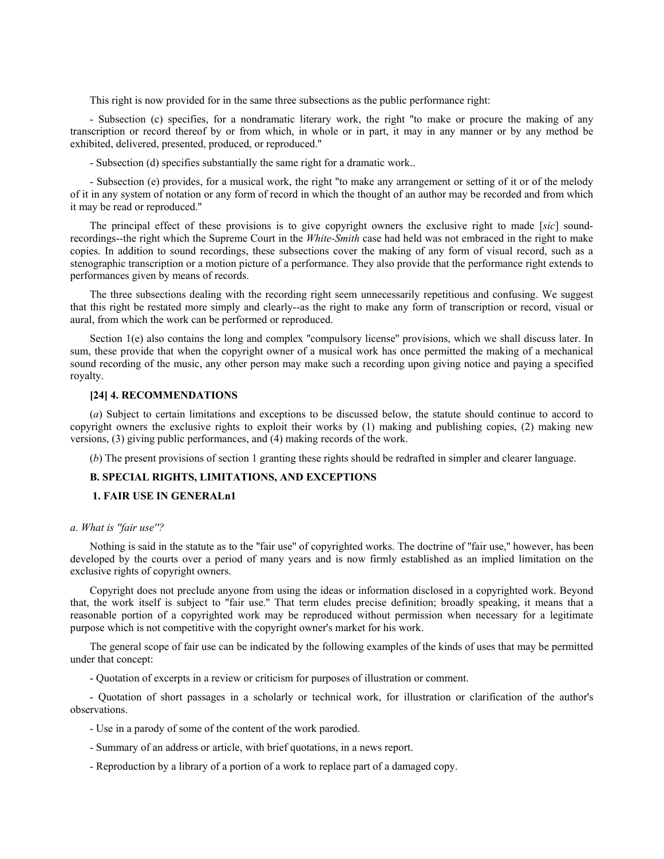This right is now provided for in the same three subsections as the public performance right:

- Subsection (c) specifies, for a nondramatic literary work, the right ''to make or procure the making of any transcription or record thereof by or from which, in whole or in part, it may in any manner or by any method be exhibited, delivered, presented, produced, or reproduced.''

- Subsection (d) specifies substantially the same right for a dramatic work..

- Subsection (e) provides, for a musical work, the right ''to make any arrangement or setting of it or of the melody of it in any system of notation or any form of record in which the thought of an author may be recorded and from which it may be read or reproduced.''

The principal effect of these provisions is to give copyright owners the exclusive right to made [*sic*] soundrecordings--the right which the Supreme Court in the *White-Smith* case had held was not embraced in the right to make copies. In addition to sound recordings, these subsections cover the making of any form of visual record, such as a stenographic transcription or a motion picture of a performance. They also provide that the performance right extends to performances given by means of records.

The three subsections dealing with the recording right seem unnecessarily repetitious and confusing. We suggest that this right be restated more simply and clearly--as the right to make any form of transcription or record, visual or aural, from which the work can be performed or reproduced.

Section 1(e) also contains the long and complex ''compulsory license'' provisions, which we shall discuss later. In sum, these provide that when the copyright owner of a musical work has once permitted the making of a mechanical sound recording of the music, any other person may make such a recording upon giving notice and paying a specified royalty.

### **[24] 4. RECOMMENDATIONS**

(*a*) Subject to certain limitations and exceptions to be discussed below, the statute should continue to accord to copyright owners the exclusive rights to exploit their works by (1) making and publishing copies, (2) making new versions, (3) giving public performances, and (4) making records of the work.

(*b*) The present provisions of section 1 granting these rights should be redrafted in simpler and clearer language.

## **B. SPECIAL RIGHTS, LIMITATIONS, AND EXCEPTIONS**

## **1. FAIR USE IN GENERALn1**

### *a. What is ''fair use''?*

Nothing is said in the statute as to the ''fair use'' of copyrighted works. The doctrine of ''fair use,'' however, has been developed by the courts over a period of many years and is now firmly established as an implied limitation on the exclusive rights of copyright owners.

Copyright does not preclude anyone from using the ideas or information disclosed in a copyrighted work. Beyond that, the work itself is subject to ''fair use.'' That term eludes precise definition; broadly speaking, it means that a reasonable portion of a copyrighted work may be reproduced without permission when necessary for a legitimate purpose which is not competitive with the copyright owner's market for his work.

The general scope of fair use can be indicated by the following examples of the kinds of uses that may be permitted under that concept:

- Quotation of excerpts in a review or criticism for purposes of illustration or comment.

- Quotation of short passages in a scholarly or technical work, for illustration or clarification of the author's observations.

- Use in a parody of some of the content of the work parodied.
- Summary of an address or article, with brief quotations, in a news report.
- Reproduction by a library of a portion of a work to replace part of a damaged copy.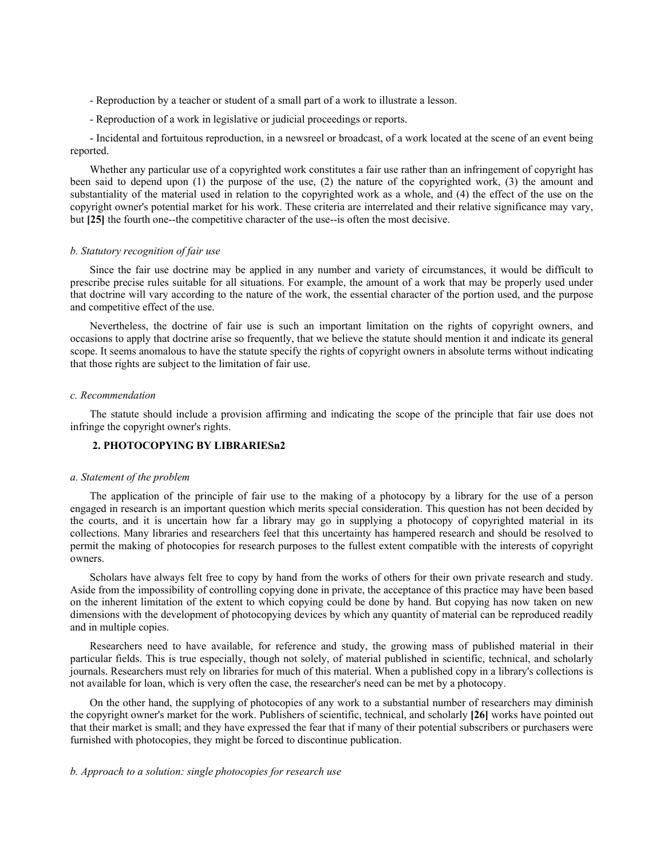- Reproduction by a teacher or student of a small part of a work to illustrate a lesson.
- Reproduction of a work in legislative or judicial proceedings or reports.

- Incidental and fortuitous reproduction, in a newsreel or broadcast, of a work located at the scene of an event being reported.

Whether any particular use of a copyrighted work constitutes a fair use rather than an infringement of copyright has been said to depend upon (1) the purpose of the use, (2) the nature of the copyrighted work, (3) the amount and substantiality of the material used in relation to the copyrighted work as a whole, and (4) the effect of the use on the copyright owner's potential market for his work. These criteria are interrelated and their relative significance may vary, but **[25]** the fourth one--the competitive character of the use--is often the most decisive.

### *b. Statutory recognition of fair use*

Since the fair use doctrine may be applied in any number and variety of circumstances, it would be difficult to prescribe precise rules suitable for all situations. For example, the amount of a work that may be properly used under that doctrine will vary according to the nature of the work, the essential character of the portion used, and the purpose and competitive effect of the use.

Nevertheless, the doctrine of fair use is such an important limitation on the rights of copyright owners, and occasions to apply that doctrine arise so frequently, that we believe the statute should mention it and indicate its general scope. It seems anomalous to have the statute specify the rights of copyright owners in absolute terms without indicating that those rights are subject to the limitation of fair use.

#### *c. Recommendation*

The statute should include a provision affirming and indicating the scope of the principle that fair use does not infringe the copyright owner's rights.

# **2. PHOTOCOPYING BY LIBRARIESn2**

### *a. Statement of the problem*

The application of the principle of fair use to the making of a photocopy by a library for the use of a person engaged in research is an important question which merits special consideration. This question has not been decided by the courts, and it is uncertain how far a library may go in supplying a photocopy of copyrighted material in its collections. Many libraries and researchers feel that this uncertainty has hampered research and should be resolved to permit the making of photocopies for research purposes to the fullest extent compatible with the interests of copyright owners.

Scholars have always felt free to copy by hand from the works of others for their own private research and study. Aside from the impossibility of controlling copying done in private, the acceptance of this practice may have been based on the inherent limitation of the extent to which copying could be done by hand. But copying has now taken on new dimensions with the development of photocopying devices by which any quantity of material can be reproduced readily and in multiple copies.

Researchers need to have available, for reference and study, the growing mass of published material in their particular fields. This is true especially, though not solely, of material published in scientific, technical, and scholarly journals. Researchers must rely on libraries for much of this material. When a published copy in a library's collections is not available for loan, which is very often the case, the researcher's need can be met by a photocopy.

On the other hand, the supplying of photocopies of any work to a substantial number of researchers may diminish the copyright owner's market for the work. Publishers of scientific, technical, and scholarly **[26]** works have pointed out that their market is small; and they have expressed the fear that if many of their potential subscribers or purchasers were furnished with photocopies, they might be forced to discontinue publication.

### *b. Approach to a solution: single photocopies for research use*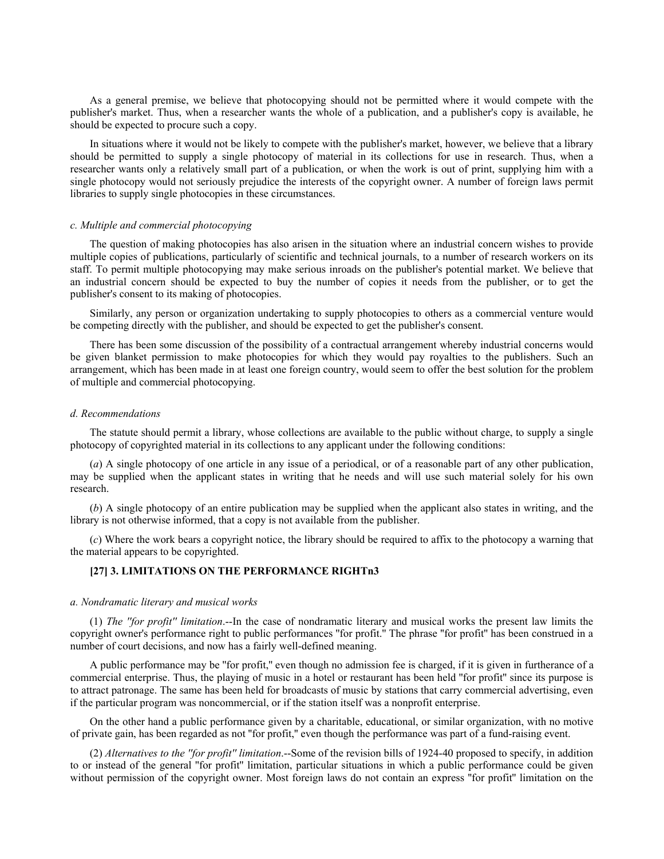As a general premise, we believe that photocopying should not be permitted where it would compete with the publisher's market. Thus, when a researcher wants the whole of a publication, and a publisher's copy is available, he should be expected to procure such a copy.

In situations where it would not be likely to compete with the publisher's market, however, we believe that a library should be permitted to supply a single photocopy of material in its collections for use in research. Thus, when a researcher wants only a relatively small part of a publication, or when the work is out of print, supplying him with a single photocopy would not seriously prejudice the interests of the copyright owner. A number of foreign laws permit libraries to supply single photocopies in these circumstances.

#### *c. Multiple and commercial photocopying*

The question of making photocopies has also arisen in the situation where an industrial concern wishes to provide multiple copies of publications, particularly of scientific and technical journals, to a number of research workers on its staff. To permit multiple photocopying may make serious inroads on the publisher's potential market. We believe that an industrial concern should be expected to buy the number of copies it needs from the publisher, or to get the publisher's consent to its making of photocopies.

Similarly, any person or organization undertaking to supply photocopies to others as a commercial venture would be competing directly with the publisher, and should be expected to get the publisher's consent.

There has been some discussion of the possibility of a contractual arrangement whereby industrial concerns would be given blanket permission to make photocopies for which they would pay royalties to the publishers. Such an arrangement, which has been made in at least one foreign country, would seem to offer the best solution for the problem of multiple and commercial photocopying.

#### *d. Recommendations*

The statute should permit a library, whose collections are available to the public without charge, to supply a single photocopy of copyrighted material in its collections to any applicant under the following conditions:

(*a*) A single photocopy of one article in any issue of a periodical, or of a reasonable part of any other publication, may be supplied when the applicant states in writing that he needs and will use such material solely for his own research.

(*b*) A single photocopy of an entire publication may be supplied when the applicant also states in writing, and the library is not otherwise informed, that a copy is not available from the publisher.

(*c*) Where the work bears a copyright notice, the library should be required to affix to the photocopy a warning that the material appears to be copyrighted.

### **[27] 3. LIMITATIONS ON THE PERFORMANCE RIGHTn3**

### *a. Nondramatic literary and musical works*

(1) *The ''for profit'' limitation*.--In the case of nondramatic literary and musical works the present law limits the copyright owner's performance right to public performances ''for profit.'' The phrase ''for profit'' has been construed in a number of court decisions, and now has a fairly well-defined meaning.

A public performance may be ''for profit,'' even though no admission fee is charged, if it is given in furtherance of a commercial enterprise. Thus, the playing of music in a hotel or restaurant has been held ''for profit'' since its purpose is to attract patronage. The same has been held for broadcasts of music by stations that carry commercial advertising, even if the particular program was noncommercial, or if the station itself was a nonprofit enterprise.

On the other hand a public performance given by a charitable, educational, or similar organization, with no motive of private gain, has been regarded as not ''for profit,'' even though the performance was part of a fund-raising event.

(2) *Alternatives to the ''for profit'' limitation*.--Some of the revision bills of 1924-40 proposed to specify, in addition to or instead of the general ''for profit'' limitation, particular situations in which a public performance could be given without permission of the copyright owner. Most foreign laws do not contain an express ''for profit'' limitation on the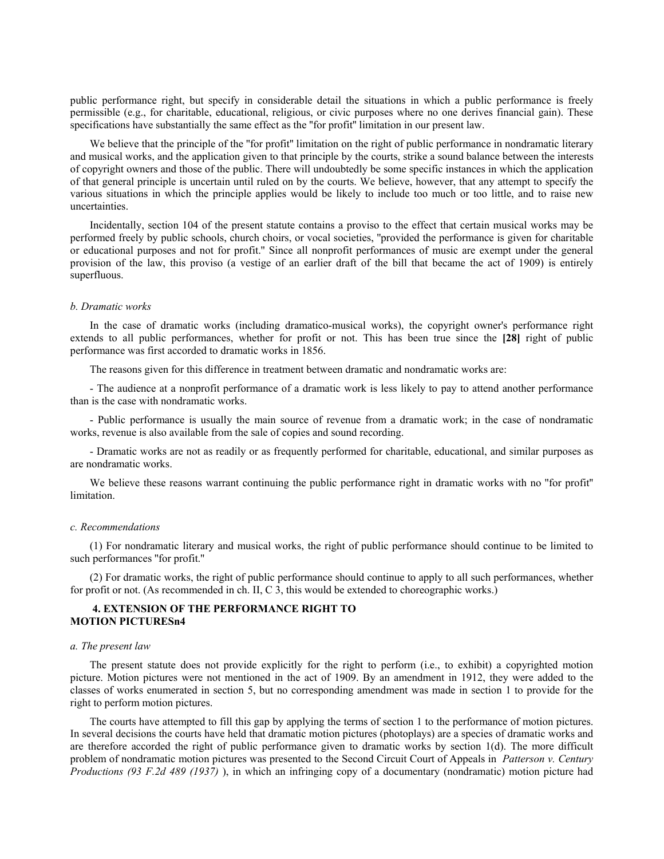public performance right, but specify in considerable detail the situations in which a public performance is freely permissible (e.g., for charitable, educational, religious, or civic purposes where no one derives financial gain). These specifications have substantially the same effect as the ''for profit'' limitation in our present law.

We believe that the principle of the "for profit" limitation on the right of public performance in nondramatic literary and musical works, and the application given to that principle by the courts, strike a sound balance between the interests of copyright owners and those of the public. There will undoubtedly be some specific instances in which the application of that general principle is uncertain until ruled on by the courts. We believe, however, that any attempt to specify the various situations in which the principle applies would be likely to include too much or too little, and to raise new uncertainties.

Incidentally, section 104 of the present statute contains a proviso to the effect that certain musical works may be performed freely by public schools, church choirs, or vocal societies, ''provided the performance is given for charitable or educational purposes and not for profit.'' Since all nonprofit performances of music are exempt under the general provision of the law, this proviso (a vestige of an earlier draft of the bill that became the act of 1909) is entirely superfluous.

#### *b. Dramatic works*

In the case of dramatic works (including dramatico-musical works), the copyright owner's performance right extends to all public performances, whether for profit or not. This has been true since the **[28]** right of public performance was first accorded to dramatic works in 1856.

The reasons given for this difference in treatment between dramatic and nondramatic works are:

- The audience at a nonprofit performance of a dramatic work is less likely to pay to attend another performance than is the case with nondramatic works.

- Public performance is usually the main source of revenue from a dramatic work; in the case of nondramatic works, revenue is also available from the sale of copies and sound recording.

- Dramatic works are not as readily or as frequently performed for charitable, educational, and similar purposes as are nondramatic works.

We believe these reasons warrant continuing the public performance right in dramatic works with no "for profit" limitation.

#### *c. Recommendations*

(1) For nondramatic literary and musical works, the right of public performance should continue to be limited to such performances ''for profit.''

(2) For dramatic works, the right of public performance should continue to apply to all such performances, whether for profit or not. (As recommended in ch. II, C 3, this would be extended to choreographic works.)

# **4. EXTENSION OF THE PERFORMANCE RIGHT TO MOTION PICTURESn4**

#### *a. The present law*

The present statute does not provide explicitly for the right to perform (i.e., to exhibit) a copyrighted motion picture. Motion pictures were not mentioned in the act of 1909. By an amendment in 1912, they were added to the classes of works enumerated in section 5, but no corresponding amendment was made in section 1 to provide for the right to perform motion pictures.

The courts have attempted to fill this gap by applying the terms of section 1 to the performance of motion pictures. In several decisions the courts have held that dramatic motion pictures (photoplays) are a species of dramatic works and are therefore accorded the right of public performance given to dramatic works by section 1(d). The more difficult problem of nondramatic motion pictures was presented to the Second Circuit Court of Appeals in *Patterson v. Century Productions (93 F.2d 489 (1937)* ), in which an infringing copy of a documentary (nondramatic) motion picture had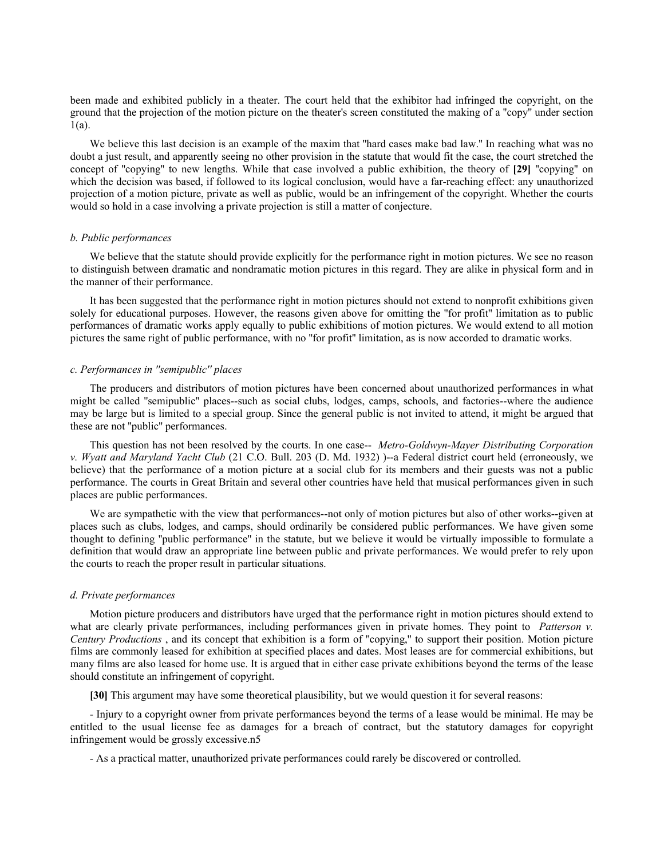been made and exhibited publicly in a theater. The court held that the exhibitor had infringed the copyright, on the ground that the projection of the motion picture on the theater's screen constituted the making of a ''copy'' under section 1(a).

We believe this last decision is an example of the maxim that "hard cases make bad law." In reaching what was no doubt a just result, and apparently seeing no other provision in the statute that would fit the case, the court stretched the concept of ''copying'' to new lengths. While that case involved a public exhibition, the theory of **[29]** ''copying'' on which the decision was based, if followed to its logical conclusion, would have a far-reaching effect: any unauthorized projection of a motion picture, private as well as public, would be an infringement of the copyright. Whether the courts would so hold in a case involving a private projection is still a matter of conjecture.

#### *b. Public performances*

We believe that the statute should provide explicitly for the performance right in motion pictures. We see no reason to distinguish between dramatic and nondramatic motion pictures in this regard. They are alike in physical form and in the manner of their performance.

It has been suggested that the performance right in motion pictures should not extend to nonprofit exhibitions given solely for educational purposes. However, the reasons given above for omitting the ''for profit'' limitation as to public performances of dramatic works apply equally to public exhibitions of motion pictures. We would extend to all motion pictures the same right of public performance, with no ''for profit'' limitation, as is now accorded to dramatic works.

## *c. Performances in ''semipublic'' places*

The producers and distributors of motion pictures have been concerned about unauthorized performances in what might be called ''semipublic'' places--such as social clubs, lodges, camps, schools, and factories--where the audience may be large but is limited to a special group. Since the general public is not invited to attend, it might be argued that these are not ''public'' performances.

This question has not been resolved by the courts. In one case-- *Metro-Goldwyn-Mayer Distributing Corporation v. Wyatt and Maryland Yacht Club* (21 C.O. Bull. 203 (D. Md. 1932) )--a Federal district court held (erroneously, we believe) that the performance of a motion picture at a social club for its members and their guests was not a public performance. The courts in Great Britain and several other countries have held that musical performances given in such places are public performances.

We are sympathetic with the view that performances--not only of motion pictures but also of other works--given at places such as clubs, lodges, and camps, should ordinarily be considered public performances. We have given some thought to defining ''public performance'' in the statute, but we believe it would be virtually impossible to formulate a definition that would draw an appropriate line between public and private performances. We would prefer to rely upon the courts to reach the proper result in particular situations.

### *d. Private performances*

Motion picture producers and distributors have urged that the performance right in motion pictures should extend to what are clearly private performances, including performances given in private homes. They point to *Patterson v. Century Productions* , and its concept that exhibition is a form of ''copying,'' to support their position. Motion picture films are commonly leased for exhibition at specified places and dates. Most leases are for commercial exhibitions, but many films are also leased for home use. It is argued that in either case private exhibitions beyond the terms of the lease should constitute an infringement of copyright.

**[30]** This argument may have some theoretical plausibility, but we would question it for several reasons:

- Injury to a copyright owner from private performances beyond the terms of a lease would be minimal. He may be entitled to the usual license fee as damages for a breach of contract, but the statutory damages for copyright infringement would be grossly excessive.n5

- As a practical matter, unauthorized private performances could rarely be discovered or controlled.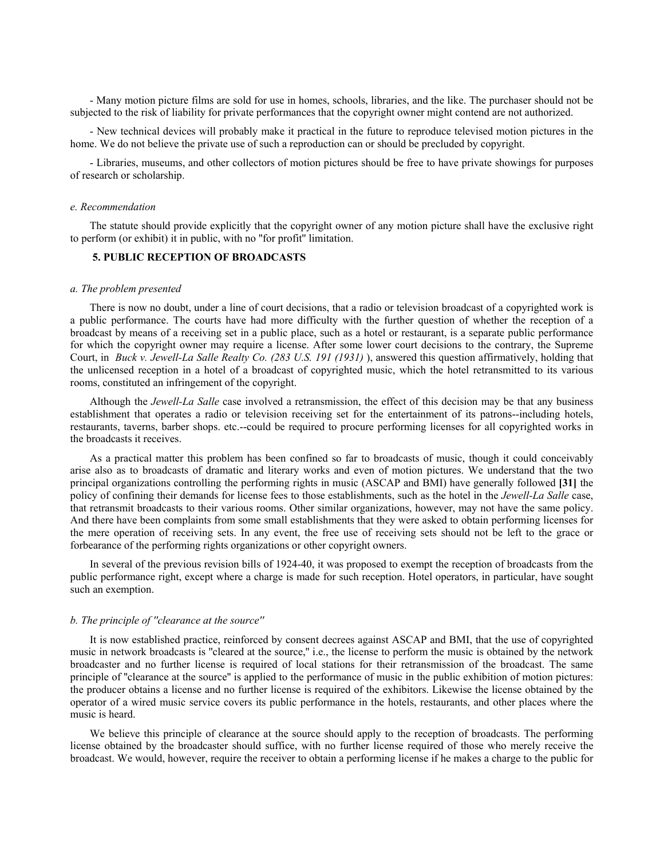- Many motion picture films are sold for use in homes, schools, libraries, and the like. The purchaser should not be subjected to the risk of liability for private performances that the copyright owner might contend are not authorized.

- New technical devices will probably make it practical in the future to reproduce televised motion pictures in the home. We do not believe the private use of such a reproduction can or should be precluded by copyright.

- Libraries, museums, and other collectors of motion pictures should be free to have private showings for purposes of research or scholarship.

#### *e. Recommendation*

The statute should provide explicitly that the copyright owner of any motion picture shall have the exclusive right to perform (or exhibit) it in public, with no ''for profit'' limitation.

## **5. PUBLIC RECEPTION OF BROADCASTS**

#### *a. The problem presented*

There is now no doubt, under a line of court decisions, that a radio or television broadcast of a copyrighted work is a public performance. The courts have had more difficulty with the further question of whether the reception of a broadcast by means of a receiving set in a public place, such as a hotel or restaurant, is a separate public performance for which the copyright owner may require a license. After some lower court decisions to the contrary, the Supreme Court, in *Buck v. Jewell-La Salle Realty Co. (283 U.S. 191 (1931)* ), answered this question affirmatively, holding that the unlicensed reception in a hotel of a broadcast of copyrighted music, which the hotel retransmitted to its various rooms, constituted an infringement of the copyright.

Although the *Jewell-La Salle* case involved a retransmission, the effect of this decision may be that any business establishment that operates a radio or television receiving set for the entertainment of its patrons--including hotels, restaurants, taverns, barber shops. etc.--could be required to procure performing licenses for all copyrighted works in the broadcasts it receives.

As a practical matter this problem has been confined so far to broadcasts of music, though it could conceivably arise also as to broadcasts of dramatic and literary works and even of motion pictures. We understand that the two principal organizations controlling the performing rights in music (ASCAP and BMI) have generally followed **[31]** the policy of confining their demands for license fees to those establishments, such as the hotel in the *Jewell-La Salle* case, that retransmit broadcasts to their various rooms. Other similar organizations, however, may not have the same policy. And there have been complaints from some small establishments that they were asked to obtain performing licenses for the mere operation of receiving sets. In any event, the free use of receiving sets should not be left to the grace or forbearance of the performing rights organizations or other copyright owners.

In several of the previous revision bills of 1924-40, it was proposed to exempt the reception of broadcasts from the public performance right, except where a charge is made for such reception. Hotel operators, in particular, have sought such an exemption.

## *b. The principle of ''clearance at the source''*

It is now established practice, reinforced by consent decrees against ASCAP and BMI, that the use of copyrighted music in network broadcasts is ''cleared at the source,'' i.e., the license to perform the music is obtained by the network broadcaster and no further license is required of local stations for their retransmission of the broadcast. The same principle of ''clearance at the source'' is applied to the performance of music in the public exhibition of motion pictures: the producer obtains a license and no further license is required of the exhibitors. Likewise the license obtained by the operator of a wired music service covers its public performance in the hotels, restaurants, and other places where the music is heard.

We believe this principle of clearance at the source should apply to the reception of broadcasts. The performing license obtained by the broadcaster should suffice, with no further license required of those who merely receive the broadcast. We would, however, require the receiver to obtain a performing license if he makes a charge to the public for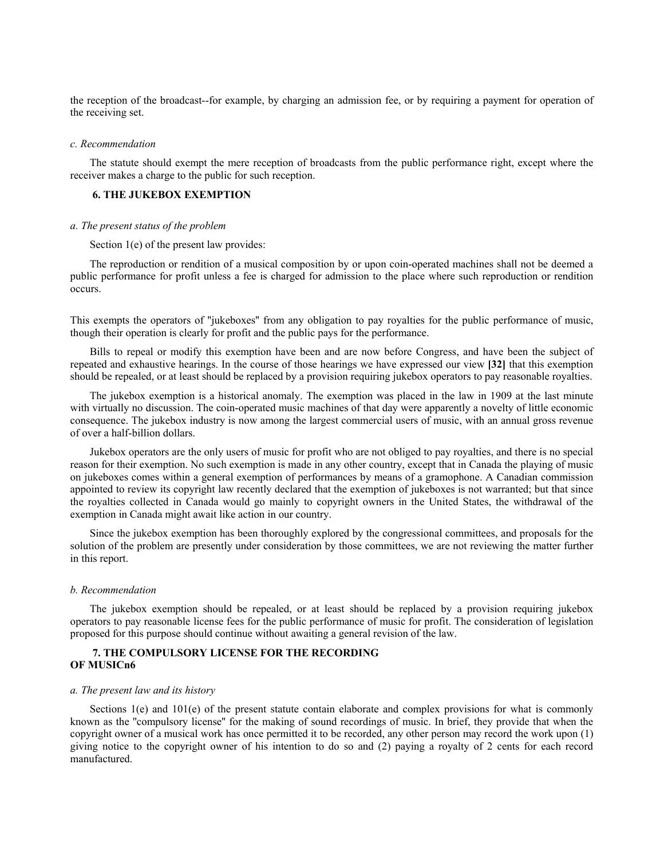the reception of the broadcast--for example, by charging an admission fee, or by requiring a payment for operation of the receiving set.

### *c. Recommendation*

The statute should exempt the mere reception of broadcasts from the public performance right, except where the receiver makes a charge to the public for such reception.

#### **6. THE JUKEBOX EXEMPTION**

#### *a. The present status of the problem*

Section 1(e) of the present law provides:

The reproduction or rendition of a musical composition by or upon coin-operated machines shall not be deemed a public performance for profit unless a fee is charged for admission to the place where such reproduction or rendition occurs.

This exempts the operators of ''jukeboxes'' from any obligation to pay royalties for the public performance of music, though their operation is clearly for profit and the public pays for the performance.

Bills to repeal or modify this exemption have been and are now before Congress, and have been the subject of repeated and exhaustive hearings. In the course of those hearings we have expressed our view **[32]** that this exemption should be repealed, or at least should be replaced by a provision requiring jukebox operators to pay reasonable royalties.

The jukebox exemption is a historical anomaly. The exemption was placed in the law in 1909 at the last minute with virtually no discussion. The coin-operated music machines of that day were apparently a novelty of little economic consequence. The jukebox industry is now among the largest commercial users of music, with an annual gross revenue of over a half-billion dollars.

Jukebox operators are the only users of music for profit who are not obliged to pay royalties, and there is no special reason for their exemption. No such exemption is made in any other country, except that in Canada the playing of music on jukeboxes comes within a general exemption of performances by means of a gramophone. A Canadian commission appointed to review its copyright law recently declared that the exemption of jukeboxes is not warranted; but that since the royalties collected in Canada would go mainly to copyright owners in the United States, the withdrawal of the exemption in Canada might await like action in our country.

Since the jukebox exemption has been thoroughly explored by the congressional committees, and proposals for the solution of the problem are presently under consideration by those committees, we are not reviewing the matter further in this report.

#### *b. Recommendation*

The jukebox exemption should be repealed, or at least should be replaced by a provision requiring jukebox operators to pay reasonable license fees for the public performance of music for profit. The consideration of legislation proposed for this purpose should continue without awaiting a general revision of the law.

## **7. THE COMPULSORY LICENSE FOR THE RECORDING OF MUSICn6**

#### *a. The present law and its history*

Sections 1(e) and 101(e) of the present statute contain elaborate and complex provisions for what is commonly known as the ''compulsory license'' for the making of sound recordings of music. In brief, they provide that when the copyright owner of a musical work has once permitted it to be recorded, any other person may record the work upon (1) giving notice to the copyright owner of his intention to do so and (2) paying a royalty of 2 cents for each record manufactured.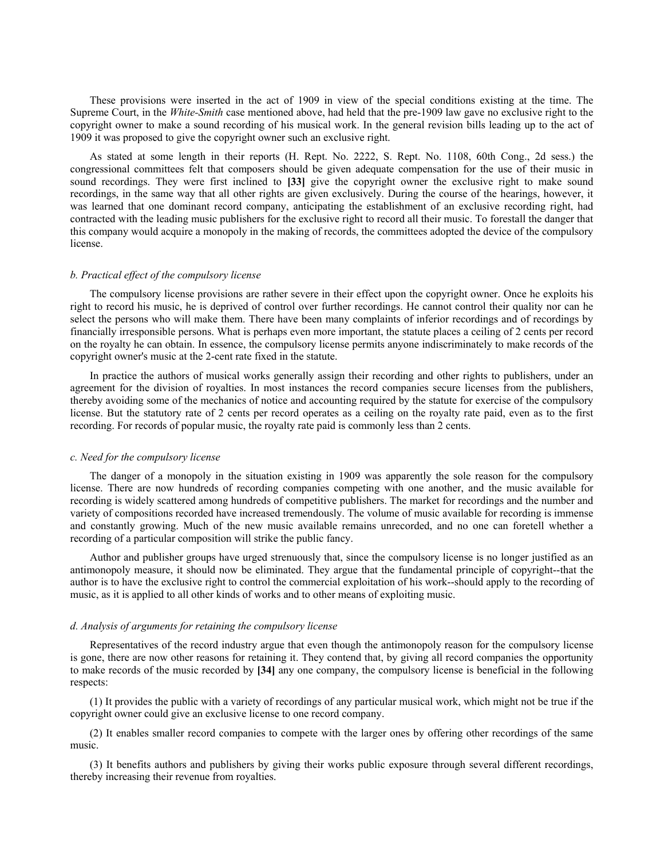These provisions were inserted in the act of 1909 in view of the special conditions existing at the time. The Supreme Court, in the *White-Smith* case mentioned above, had held that the pre-1909 law gave no exclusive right to the copyright owner to make a sound recording of his musical work. In the general revision bills leading up to the act of 1909 it was proposed to give the copyright owner such an exclusive right.

As stated at some length in their reports (H. Rept. No. 2222, S. Rept. No. 1108, 60th Cong., 2d sess.) the congressional committees felt that composers should be given adequate compensation for the use of their music in sound recordings. They were first inclined to **[33]** give the copyright owner the exclusive right to make sound recordings, in the same way that all other rights are given exclusively. During the course of the hearings, however, it was learned that one dominant record company, anticipating the establishment of an exclusive recording right, had contracted with the leading music publishers for the exclusive right to record all their music. To forestall the danger that this company would acquire a monopoly in the making of records, the committees adopted the device of the compulsory license.

## *b. Practical effect of the compulsory license*

The compulsory license provisions are rather severe in their effect upon the copyright owner. Once he exploits his right to record his music, he is deprived of control over further recordings. He cannot control their quality nor can he select the persons who will make them. There have been many complaints of inferior recordings and of recordings by financially irresponsible persons. What is perhaps even more important, the statute places a ceiling of 2 cents per record on the royalty he can obtain. In essence, the compulsory license permits anyone indiscriminately to make records of the copyright owner's music at the 2-cent rate fixed in the statute.

In practice the authors of musical works generally assign their recording and other rights to publishers, under an agreement for the division of royalties. In most instances the record companies secure licenses from the publishers, thereby avoiding some of the mechanics of notice and accounting required by the statute for exercise of the compulsory license. But the statutory rate of 2 cents per record operates as a ceiling on the royalty rate paid, even as to the first recording. For records of popular music, the royalty rate paid is commonly less than 2 cents.

## *c. Need for the compulsory license*

The danger of a monopoly in the situation existing in 1909 was apparently the sole reason for the compulsory license. There are now hundreds of recording companies competing with one another, and the music available for recording is widely scattered among hundreds of competitive publishers. The market for recordings and the number and variety of compositions recorded have increased tremendously. The volume of music available for recording is immense and constantly growing. Much of the new music available remains unrecorded, and no one can foretell whether a recording of a particular composition will strike the public fancy.

Author and publisher groups have urged strenuously that, since the compulsory license is no longer justified as an antimonopoly measure, it should now be eliminated. They argue that the fundamental principle of copyright--that the author is to have the exclusive right to control the commercial exploitation of his work--should apply to the recording of music, as it is applied to all other kinds of works and to other means of exploiting music.

## *d. Analysis of arguments for retaining the compulsory license*

Representatives of the record industry argue that even though the antimonopoly reason for the compulsory license is gone, there are now other reasons for retaining it. They contend that, by giving all record companies the opportunity to make records of the music recorded by **[34]** any one company, the compulsory license is beneficial in the following respects:

(1) It provides the public with a variety of recordings of any particular musical work, which might not be true if the copyright owner could give an exclusive license to one record company.

(2) It enables smaller record companies to compete with the larger ones by offering other recordings of the same music.

(3) It benefits authors and publishers by giving their works public exposure through several different recordings, thereby increasing their revenue from royalties.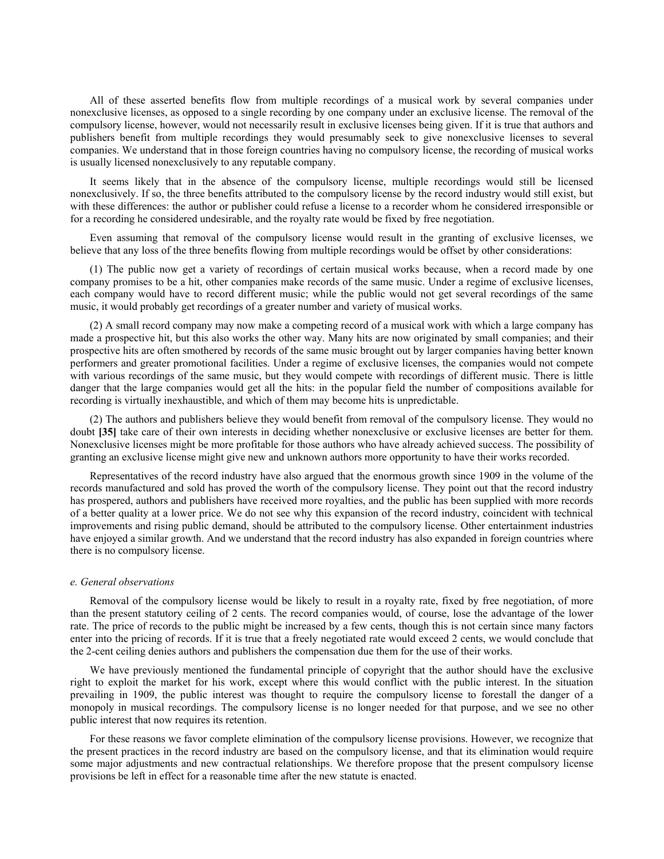All of these asserted benefits flow from multiple recordings of a musical work by several companies under nonexclusive licenses, as opposed to a single recording by one company under an exclusive license. The removal of the compulsory license, however, would not necessarily result in exclusive licenses being given. If it is true that authors and publishers benefit from multiple recordings they would presumably seek to give nonexclusive licenses to several companies. We understand that in those foreign countries having no compulsory license, the recording of musical works is usually licensed nonexclusively to any reputable company.

It seems likely that in the absence of the compulsory license, multiple recordings would still be licensed nonexclusively. If so, the three benefits attributed to the compulsory license by the record industry would still exist, but with these differences: the author or publisher could refuse a license to a recorder whom he considered irresponsible or for a recording he considered undesirable, and the royalty rate would be fixed by free negotiation.

Even assuming that removal of the compulsory license would result in the granting of exclusive licenses, we believe that any loss of the three benefits flowing from multiple recordings would be offset by other considerations:

(1) The public now get a variety of recordings of certain musical works because, when a record made by one company promises to be a hit, other companies make records of the same music. Under a regime of exclusive licenses, each company would have to record different music; while the public would not get several recordings of the same music, it would probably get recordings of a greater number and variety of musical works.

(2) A small record company may now make a competing record of a musical work with which a large company has made a prospective hit, but this also works the other way. Many hits are now originated by small companies; and their prospective hits are often smothered by records of the same music brought out by larger companies having better known performers and greater promotional facilities. Under a regime of exclusive licenses, the companies would not compete with various recordings of the same music, but they would compete with recordings of different music. There is little danger that the large companies would get all the hits: in the popular field the number of compositions available for recording is virtually inexhaustible, and which of them may become hits is unpredictable.

(2) The authors and publishers believe they would benefit from removal of the compulsory license. They would no doubt **[35]** take care of their own interests in deciding whether nonexclusive or exclusive licenses are better for them. Nonexclusive licenses might be more profitable for those authors who have already achieved success. The possibility of granting an exclusive license might give new and unknown authors more opportunity to have their works recorded.

Representatives of the record industry have also argued that the enormous growth since 1909 in the volume of the records manufactured and sold has proved the worth of the compulsory license. They point out that the record industry has prospered, authors and publishers have received more royalties, and the public has been supplied with more records of a better quality at a lower price. We do not see why this expansion of the record industry, coincident with technical improvements and rising public demand, should be attributed to the compulsory license. Other entertainment industries have enjoyed a similar growth. And we understand that the record industry has also expanded in foreign countries where there is no compulsory license.

#### *e. General observations*

Removal of the compulsory license would be likely to result in a royalty rate, fixed by free negotiation, of more than the present statutory ceiling of 2 cents. The record companies would, of course, lose the advantage of the lower rate. The price of records to the public might be increased by a few cents, though this is not certain since many factors enter into the pricing of records. If it is true that a freely negotiated rate would exceed 2 cents, we would conclude that the 2-cent ceiling denies authors and publishers the compensation due them for the use of their works.

We have previously mentioned the fundamental principle of copyright that the author should have the exclusive right to exploit the market for his work, except where this would conflict with the public interest. In the situation prevailing in 1909, the public interest was thought to require the compulsory license to forestall the danger of a monopoly in musical recordings. The compulsory license is no longer needed for that purpose, and we see no other public interest that now requires its retention.

For these reasons we favor complete elimination of the compulsory license provisions. However, we recognize that the present practices in the record industry are based on the compulsory license, and that its elimination would require some major adjustments and new contractual relationships. We therefore propose that the present compulsory license provisions be left in effect for a reasonable time after the new statute is enacted.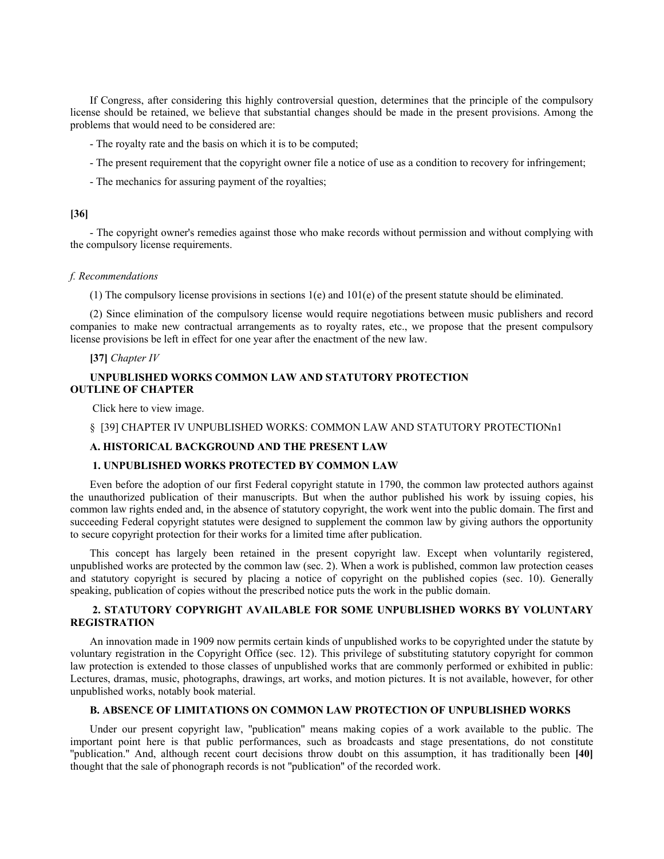If Congress, after considering this highly controversial question, determines that the principle of the compulsory license should be retained, we believe that substantial changes should be made in the present provisions. Among the problems that would need to be considered are:

- The royalty rate and the basis on which it is to be computed;
- The present requirement that the copyright owner file a notice of use as a condition to recovery for infringement;
- The mechanics for assuring payment of the royalties;

## **[36]**

- The copyright owner's remedies against those who make records without permission and without complying with the compulsory license requirements.

#### *f. Recommendations*

(1) The compulsory license provisions in sections 1(e) and 101(e) of the present statute should be eliminated.

(2) Since elimination of the compulsory license would require negotiations between music publishers and record companies to make new contractual arrangements as to royalty rates, etc., we propose that the present compulsory license provisions be left in effect for one year after the enactment of the new law.

### **[37]** *Chapter IV*

# **UNPUBLISHED WORKS COMMON LAW AND STATUTORY PROTECTION OUTLINE OF CHAPTER**

Click here to view image.

§ [39] CHAPTER IV UNPUBLISHED WORKS: COMMON LAW AND STATUTORY PROTECTIONn1

## **A. HISTORICAL BACKGROUND AND THE PRESENT LAW**

## **1. UNPUBLISHED WORKS PROTECTED BY COMMON LAW**

Even before the adoption of our first Federal copyright statute in 1790, the common law protected authors against the unauthorized publication of their manuscripts. But when the author published his work by issuing copies, his common law rights ended and, in the absence of statutory copyright, the work went into the public domain. The first and succeeding Federal copyright statutes were designed to supplement the common law by giving authors the opportunity to secure copyright protection for their works for a limited time after publication.

This concept has largely been retained in the present copyright law. Except when voluntarily registered, unpublished works are protected by the common law (sec. 2). When a work is published, common law protection ceases and statutory copyright is secured by placing a notice of copyright on the published copies (sec. 10). Generally speaking, publication of copies without the prescribed notice puts the work in the public domain.

## **2. STATUTORY COPYRIGHT AVAILABLE FOR SOME UNPUBLISHED WORKS BY VOLUNTARY REGISTRATION**

An innovation made in 1909 now permits certain kinds of unpublished works to be copyrighted under the statute by voluntary registration in the Copyright Office (sec. 12). This privilege of substituting statutory copyright for common law protection is extended to those classes of unpublished works that are commonly performed or exhibited in public: Lectures, dramas, music, photographs, drawings, art works, and motion pictures. It is not available, however, for other unpublished works, notably book material.

## **B. ABSENCE OF LIMITATIONS ON COMMON LAW PROTECTION OF UNPUBLISHED WORKS**

Under our present copyright law, "publication" means making copies of a work available to the public. The important point here is that public performances, such as broadcasts and stage presentations, do not constitute ''publication.'' And, although recent court decisions throw doubt on this assumption, it has traditionally been **[40]**  thought that the sale of phonograph records is not ''publication'' of the recorded work.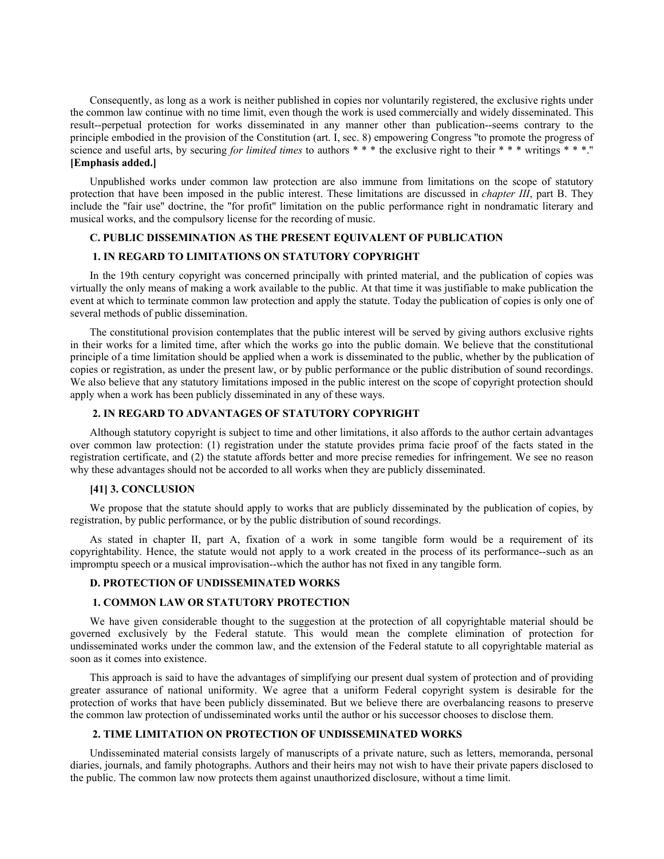Consequently, as long as a work is neither published in copies nor voluntarily registered, the exclusive rights under the common law continue with no time limit, even though the work is used commercially and widely disseminated. This result--perpetual protection for works disseminated in any manner other than publication--seems contrary to the principle embodied in the provision of the Constitution (art. I, sec. 8) empowering Congress ''to promote the progress of science and useful arts, by securing *for limited times* to authors \* \* \* the exclusive right to their \* \* \* writings \* \* \*.'' **[Emphasis added.]**

Unpublished works under common law protection are also immune from limitations on the scope of statutory protection that have been imposed in the public interest. These limitations are discussed in *chapter III*, part B. They include the ''fair use'' doctrine, the ''for profit'' limitation on the public performance right in nondramatic literary and musical works, and the compulsory license for the recording of music.

## **C. PUBLIC DISSEMINATION AS THE PRESENT EQUIVALENT OF PUBLICATION**

# **1. IN REGARD TO LIMITATIONS ON STATUTORY COPYRIGHT**

In the 19th century copyright was concerned principally with printed material, and the publication of copies was virtually the only means of making a work available to the public. At that time it was justifiable to make publication the event at which to terminate common law protection and apply the statute. Today the publication of copies is only one of several methods of public dissemination.

The constitutional provision contemplates that the public interest will be served by giving authors exclusive rights in their works for a limited time, after which the works go into the public domain. We believe that the constitutional principle of a time limitation should be applied when a work is disseminated to the public, whether by the publication of copies or registration, as under the present law, or by public performance or the public distribution of sound recordings. We also believe that any statutory limitations imposed in the public interest on the scope of copyright protection should apply when a work has been publicly disseminated in any of these ways.

# **2. IN REGARD TO ADVANTAGES OF STATUTORY COPYRIGHT**

Although statutory copyright is subject to time and other limitations, it also affords to the author certain advantages over common law protection: (1) registration under the statute provides prima facie proof of the facts stated in the registration certificate, and (2) the statute affords better and more precise remedies for infringement. We see no reason why these advantages should not be accorded to all works when they are publicly disseminated.

## **[41] 3. CONCLUSION**

We propose that the statute should apply to works that are publicly disseminated by the publication of copies, by registration, by public performance, or by the public distribution of sound recordings.

As stated in chapter II, part A, fixation of a work in some tangible form would be a requirement of its copyrightability. Hence, the statute would not apply to a work created in the process of its performance--such as an impromptu speech or a musical improvisation--which the author has not fixed in any tangible form.

## **D. PROTECTION OF UNDISSEMINATED WORKS**

## **1. COMMON LAW OR STATUTORY PROTECTION**

We have given considerable thought to the suggestion at the protection of all copyrightable material should be governed exclusively by the Federal statute. This would mean the complete elimination of protection for undisseminated works under the common law, and the extension of the Federal statute to all copyrightable material as soon as it comes into existence.

This approach is said to have the advantages of simplifying our present dual system of protection and of providing greater assurance of national uniformity. We agree that a uniform Federal copyright system is desirable for the protection of works that have been publicly disseminated. But we believe there are overbalancing reasons to preserve the common law protection of undisseminated works until the author or his successor chooses to disclose them.

# **2. TIME LIMITATION ON PROTECTION OF UNDISSEMINATED WORKS**

Undisseminated material consists largely of manuscripts of a private nature, such as letters, memoranda, personal diaries, journals, and family photographs. Authors and their heirs may not wish to have their private papers disclosed to the public. The common law now protects them against unauthorized disclosure, without a time limit.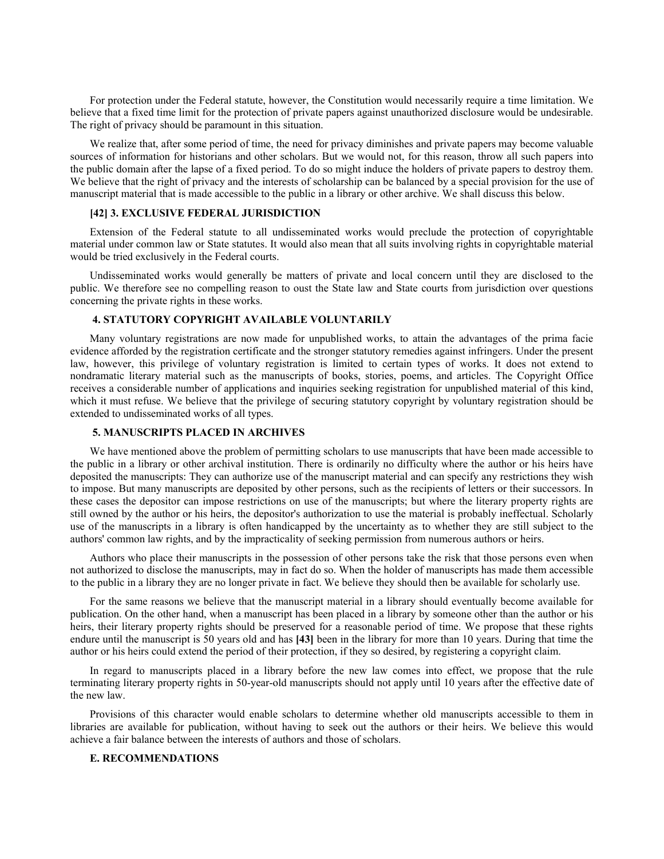For protection under the Federal statute, however, the Constitution would necessarily require a time limitation. We believe that a fixed time limit for the protection of private papers against unauthorized disclosure would be undesirable. The right of privacy should be paramount in this situation.

We realize that, after some period of time, the need for privacy diminishes and private papers may become valuable sources of information for historians and other scholars. But we would not, for this reason, throw all such papers into the public domain after the lapse of a fixed period. To do so might induce the holders of private papers to destroy them. We believe that the right of privacy and the interests of scholarship can be balanced by a special provision for the use of manuscript material that is made accessible to the public in a library or other archive. We shall discuss this below.

#### **[42] 3. EXCLUSIVE FEDERAL JURISDICTION**

Extension of the Federal statute to all undisseminated works would preclude the protection of copyrightable material under common law or State statutes. It would also mean that all suits involving rights in copyrightable material would be tried exclusively in the Federal courts.

Undisseminated works would generally be matters of private and local concern until they are disclosed to the public. We therefore see no compelling reason to oust the State law and State courts from jurisdiction over questions concerning the private rights in these works.

## **4. STATUTORY COPYRIGHT AVAILABLE VOLUNTARILY**

Many voluntary registrations are now made for unpublished works, to attain the advantages of the prima facie evidence afforded by the registration certificate and the stronger statutory remedies against infringers. Under the present law, however, this privilege of voluntary registration is limited to certain types of works. It does not extend to nondramatic literary material such as the manuscripts of books, stories, poems, and articles. The Copyright Office receives a considerable number of applications and inquiries seeking registration for unpublished material of this kind, which it must refuse. We believe that the privilege of securing statutory copyright by voluntary registration should be extended to undisseminated works of all types.

## **5. MANUSCRIPTS PLACED IN ARCHIVES**

We have mentioned above the problem of permitting scholars to use manuscripts that have been made accessible to the public in a library or other archival institution. There is ordinarily no difficulty where the author or his heirs have deposited the manuscripts: They can authorize use of the manuscript material and can specify any restrictions they wish to impose. But many manuscripts are deposited by other persons, such as the recipients of letters or their successors. In these cases the depositor can impose restrictions on use of the manuscripts; but where the literary property rights are still owned by the author or his heirs, the depositor's authorization to use the material is probably ineffectual. Scholarly use of the manuscripts in a library is often handicapped by the uncertainty as to whether they are still subject to the authors' common law rights, and by the impracticality of seeking permission from numerous authors or heirs.

Authors who place their manuscripts in the possession of other persons take the risk that those persons even when not authorized to disclose the manuscripts, may in fact do so. When the holder of manuscripts has made them accessible to the public in a library they are no longer private in fact. We believe they should then be available for scholarly use.

For the same reasons we believe that the manuscript material in a library should eventually become available for publication. On the other hand, when a manuscript has been placed in a library by someone other than the author or his heirs, their literary property rights should be preserved for a reasonable period of time. We propose that these rights endure until the manuscript is 50 years old and has **[43]** been in the library for more than 10 years. During that time the author or his heirs could extend the period of their protection, if they so desired, by registering a copyright claim.

In regard to manuscripts placed in a library before the new law comes into effect, we propose that the rule terminating literary property rights in 50-year-old manuscripts should not apply until 10 years after the effective date of the new law.

Provisions of this character would enable scholars to determine whether old manuscripts accessible to them in libraries are available for publication, without having to seek out the authors or their heirs. We believe this would achieve a fair balance between the interests of authors and those of scholars.

#### **E. RECOMMENDATIONS**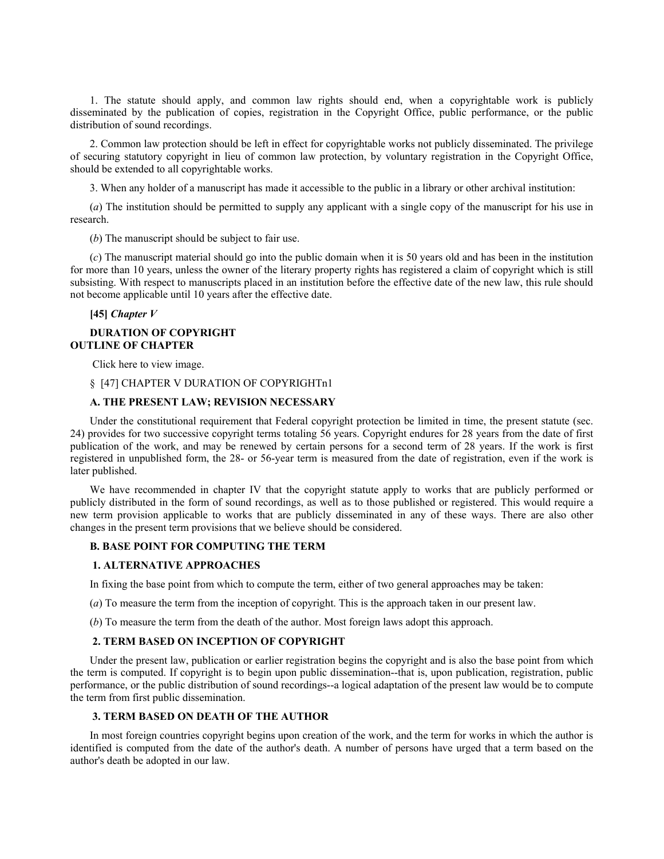1. The statute should apply, and common law rights should end, when a copyrightable work is publicly disseminated by the publication of copies, registration in the Copyright Office, public performance, or the public distribution of sound recordings.

2. Common law protection should be left in effect for copyrightable works not publicly disseminated. The privilege of securing statutory copyright in lieu of common law protection, by voluntary registration in the Copyright Office, should be extended to all copyrightable works.

3. When any holder of a manuscript has made it accessible to the public in a library or other archival institution:

(*a*) The institution should be permitted to supply any applicant with a single copy of the manuscript for his use in research.

(*b*) The manuscript should be subject to fair use.

(*c*) The manuscript material should go into the public domain when it is 50 years old and has been in the institution for more than 10 years, unless the owner of the literary property rights has registered a claim of copyright which is still subsisting. With respect to manuscripts placed in an institution before the effective date of the new law, this rule should not become applicable until 10 years after the effective date.

#### **[45]** *Chapter V*

### **DURATION OF COPYRIGHT OUTLINE OF CHAPTER**

Click here to view image.

## § [47] CHAPTER V DURATION OF COPYRIGHTn1

## **A. THE PRESENT LAW; REVISION NECESSARY**

Under the constitutional requirement that Federal copyright protection be limited in time, the present statute (sec. 24) provides for two successive copyright terms totaling 56 years. Copyright endures for 28 years from the date of first publication of the work, and may be renewed by certain persons for a second term of 28 years. If the work is first registered in unpublished form, the 28- or 56-year term is measured from the date of registration, even if the work is later published.

We have recommended in chapter IV that the copyright statute apply to works that are publicly performed or publicly distributed in the form of sound recordings, as well as to those published or registered. This would require a new term provision applicable to works that are publicly disseminated in any of these ways. There are also other changes in the present term provisions that we believe should be considered.

#### **B. BASE POINT FOR COMPUTING THE TERM**

### **1. ALTERNATIVE APPROACHES**

In fixing the base point from which to compute the term, either of two general approaches may be taken:

- (*a*) To measure the term from the inception of copyright. This is the approach taken in our present law.
- (*b*) To measure the term from the death of the author. Most foreign laws adopt this approach.

# **2. TERM BASED ON INCEPTION OF COPYRIGHT**

Under the present law, publication or earlier registration begins the copyright and is also the base point from which the term is computed. If copyright is to begin upon public dissemination--that is, upon publication, registration, public performance, or the public distribution of sound recordings--a logical adaptation of the present law would be to compute the term from first public dissemination.

## **3. TERM BASED ON DEATH OF THE AUTHOR**

In most foreign countries copyright begins upon creation of the work, and the term for works in which the author is identified is computed from the date of the author's death. A number of persons have urged that a term based on the author's death be adopted in our law.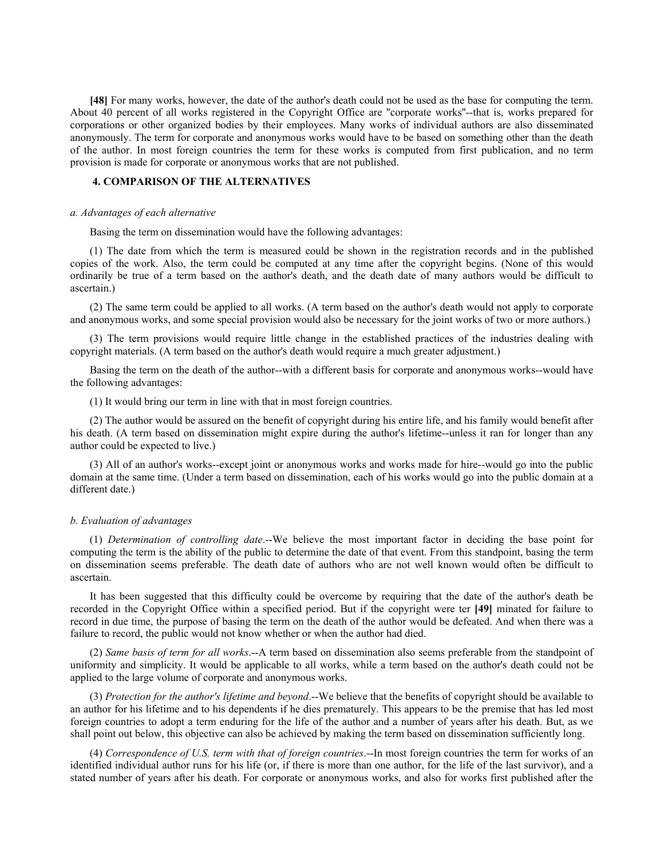**[48]** For many works, however, the date of the author's death could not be used as the base for computing the term. About 40 percent of all works registered in the Copyright Office are ''corporate works''--that is, works prepared for corporations or other organized bodies by their employees. Many works of individual authors are also disseminated anonymously. The term for corporate and anonymous works would have to be based on something other than the death of the author. In most foreign countries the term for these works is computed from first publication, and no term provision is made for corporate or anonymous works that are not published.

# **4. COMPARISON OF THE ALTERNATIVES**

#### *a. Advantages of each alternative*

Basing the term on dissemination would have the following advantages:

(1) The date from which the term is measured could be shown in the registration records and in the published copies of the work. Also, the term could be computed at any time after the copyright begins. (None of this would ordinarily be true of a term based on the author's death, and the death date of many authors would be difficult to ascertain.)

(2) The same term could be applied to all works. (A term based on the author's death would not apply to corporate and anonymous works, and some special provision would also be necessary for the joint works of two or more authors.)

(3) The term provisions would require little change in the established practices of the industries dealing with copyright materials. (A term based on the author's death would require a much greater adjustment.)

Basing the term on the death of the author--with a different basis for corporate and anonymous works--would have the following advantages:

(1) It would bring our term in line with that in most foreign countries.

(2) The author would be assured on the benefit of copyright during his entire life, and his family would benefit after his death. (A term based on dissemination might expire during the author's lifetime--unless it ran for longer than any author could be expected to live.)

(3) All of an author's works--except joint or anonymous works and works made for hire--would go into the public domain at the same time. (Under a term based on dissemination, each of his works would go into the public domain at a different date.)

#### *b. Evaluation of advantages*

(1) *Determination of controlling date*.--We believe the most important factor in deciding the base point for computing the term is the ability of the public to determine the date of that event. From this standpoint, basing the term on dissemination seems preferable. The death date of authors who are not well known would often be difficult to ascertain.

It has been suggested that this difficulty could be overcome by requiring that the date of the author's death be recorded in the Copyright Office within a specified period. But if the copyright were ter **[49]** minated for failure to record in due time, the purpose of basing the term on the death of the author would be defeated. And when there was a failure to record, the public would not know whether or when the author had died.

(2) *Same basis of term for all works*.--A term based on dissemination also seems preferable from the standpoint of uniformity and simplicity. It would be applicable to all works, while a term based on the author's death could not be applied to the large volume of corporate and anonymous works.

(3) *Protection for the author's lifetime and beyond*.--We believe that the benefits of copyright should be available to an author for his lifetime and to his dependents if he dies prematurely. This appears to be the premise that has led most foreign countries to adopt a term enduring for the life of the author and a number of years after his death. But, as we shall point out below, this objective can also be achieved by making the term based on dissemination sufficiently long.

(4) *Correspondence of U.S. term with that of foreign countries*.--In most foreign countries the term for works of an identified individual author runs for his life (or, if there is more than one author, for the life of the last survivor), and a stated number of years after his death. For corporate or anonymous works, and also for works first published after the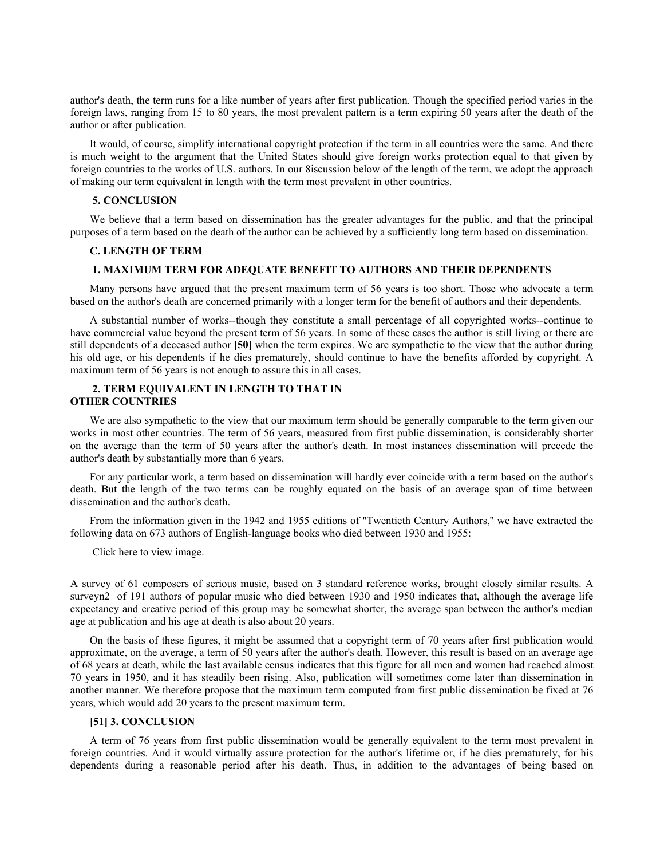author's death, the term runs for a like number of years after first publication. Though the specified period varies in the foreign laws, ranging from 15 to 80 years, the most prevalent pattern is a term expiring 50 years after the death of the author or after publication.

It would, of course, simplify international copyright protection if the term in all countries were the same. And there is much weight to the argument that the United States should give foreign works protection equal to that given by foreign countries to the works of U.S. authors. In our 8iscussion below of the length of the term, we adopt the approach of making our term equivalent in length with the term most prevalent in other countries.

### **5. CONCLUSION**

We believe that a term based on dissemination has the greater advantages for the public, and that the principal purposes of a term based on the death of the author can be achieved by a sufficiently long term based on dissemination.

## **C. LENGTH OF TERM**

### **1. MAXIMUM TERM FOR ADEQUATE BENEFIT TO AUTHORS AND THEIR DEPENDENTS**

Many persons have argued that the present maximum term of 56 years is too short. Those who advocate a term based on the author's death are concerned primarily with a longer term for the benefit of authors and their dependents.

A substantial number of works--though they constitute a small percentage of all copyrighted works--continue to have commercial value beyond the present term of 56 years. In some of these cases the author is still living or there are still dependents of a deceased author **[50]** when the term expires. We are sympathetic to the view that the author during his old age, or his dependents if he dies prematurely, should continue to have the benefits afforded by copyright. A maximum term of 56 years is not enough to assure this in all cases.

## **2. TERM EQUIVALENT IN LENGTH TO THAT IN OTHER COUNTRIES**

We are also sympathetic to the view that our maximum term should be generally comparable to the term given our works in most other countries. The term of 56 years, measured from first public dissemination, is considerably shorter on the average than the term of 50 years after the author's death. In most instances dissemination will precede the author's death by substantially more than 6 years.

For any particular work, a term based on dissemination will hardly ever coincide with a term based on the author's death. But the length of the two terms can be roughly equated on the basis of an average span of time between dissemination and the author's death.

From the information given in the 1942 and 1955 editions of ''Twentieth Century Authors,'' we have extracted the following data on 673 authors of English-language books who died between 1930 and 1955:

Click here to view image.

A survey of 61 composers of serious music, based on 3 standard reference works, brought closely similar results. A surveyn2 of 191 authors of popular music who died between 1930 and 1950 indicates that, although the average life expectancy and creative period of this group may be somewhat shorter, the average span between the author's median age at publication and his age at death is also about 20 years.

On the basis of these figures, it might be assumed that a copyright term of 70 years after first publication would approximate, on the average, a term of 50 years after the author's death. However, this result is based on an average age of 68 years at death, while the last available census indicates that this figure for all men and women had reached almost 70 years in 1950, and it has steadily been rising. Also, publication will sometimes come later than dissemination in another manner. We therefore propose that the maximum term computed from first public dissemination be fixed at 76 years, which would add 20 years to the present maximum term.

# **[51] 3. CONCLUSION**

A term of 76 years from first public dissemination would be generally equivalent to the term most prevalent in foreign countries. And it would virtually assure protection for the author's lifetime or, if he dies prematurely, for his dependents during a reasonable period after his death. Thus, in addition to the advantages of being based on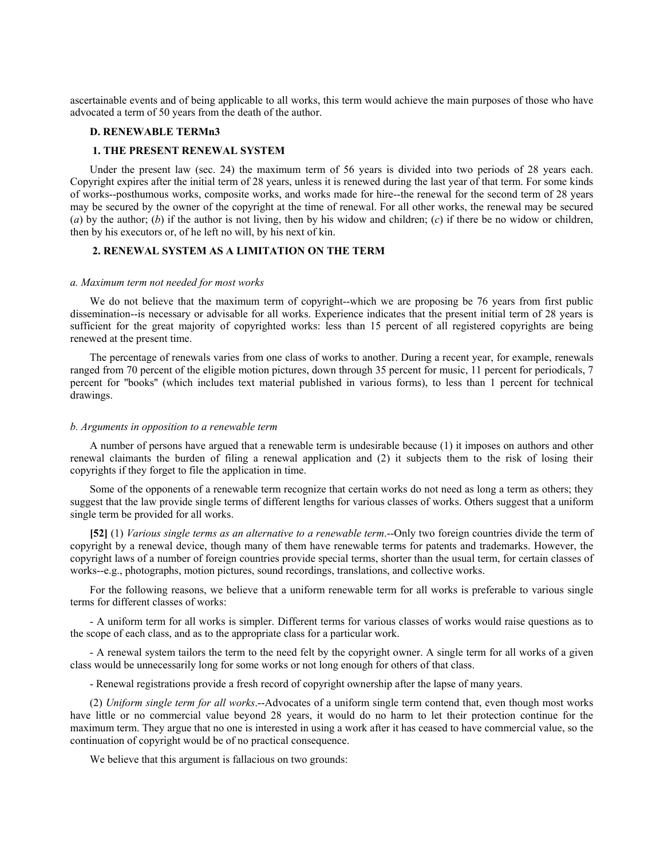ascertainable events and of being applicable to all works, this term would achieve the main purposes of those who have advocated a term of 50 years from the death of the author.

# **D. RENEWABLE TERMn3**

#### **1. THE PRESENT RENEWAL SYSTEM**

Under the present law (sec. 24) the maximum term of 56 years is divided into two periods of 28 years each. Copyright expires after the initial term of 28 years, unless it is renewed during the last year of that term. For some kinds of works--posthumous works, composite works, and works made for hire--the renewal for the second term of 28 years may be secured by the owner of the copyright at the time of renewal. For all other works, the renewal may be secured (*a*) by the author; (*b*) if the author is not living, then by his widow and children; (*c*) if there be no widow or children, then by his executors or, of he left no will, by his next of kin.

# **2. RENEWAL SYSTEM AS A LIMITATION ON THE TERM**

## *a. Maximum term not needed for most works*

We do not believe that the maximum term of copyright--which we are proposing be 76 years from first public dissemination--is necessary or advisable for all works. Experience indicates that the present initial term of 28 years is sufficient for the great majority of copyrighted works: less than 15 percent of all registered copyrights are being renewed at the present time.

The percentage of renewals varies from one class of works to another. During a recent year, for example, renewals ranged from 70 percent of the eligible motion pictures, down through 35 percent for music, 11 percent for periodicals, 7 percent for ''books'' (which includes text material published in various forms), to less than 1 percent for technical drawings.

#### *b. Arguments in opposition to a renewable term*

A number of persons have argued that a renewable term is undesirable because (1) it imposes on authors and other renewal claimants the burden of filing a renewal application and (2) it subjects them to the risk of losing their copyrights if they forget to file the application in time.

Some of the opponents of a renewable term recognize that certain works do not need as long a term as others; they suggest that the law provide single terms of different lengths for various classes of works. Others suggest that a uniform single term be provided for all works.

**[52]** (1) *Various single terms as an alternative to a renewable term*.--Only two foreign countries divide the term of copyright by a renewal device, though many of them have renewable terms for patents and trademarks. However, the copyright laws of a number of foreign countries provide special terms, shorter than the usual term, for certain classes of works--e.g., photographs, motion pictures, sound recordings, translations, and collective works.

For the following reasons, we believe that a uniform renewable term for all works is preferable to various single terms for different classes of works:

- A uniform term for all works is simpler. Different terms for various classes of works would raise questions as to the scope of each class, and as to the appropriate class for a particular work.

- A renewal system tailors the term to the need felt by the copyright owner. A single term for all works of a given class would be unnecessarily long for some works or not long enough for others of that class.

- Renewal registrations provide a fresh record of copyright ownership after the lapse of many years.

(2) *Uniform single term for all works*.--Advocates of a uniform single term contend that, even though most works have little or no commercial value beyond 28 years, it would do no harm to let their protection continue for the maximum term. They argue that no one is interested in using a work after it has ceased to have commercial value, so the continuation of copyright would be of no practical consequence.

We believe that this argument is fallacious on two grounds: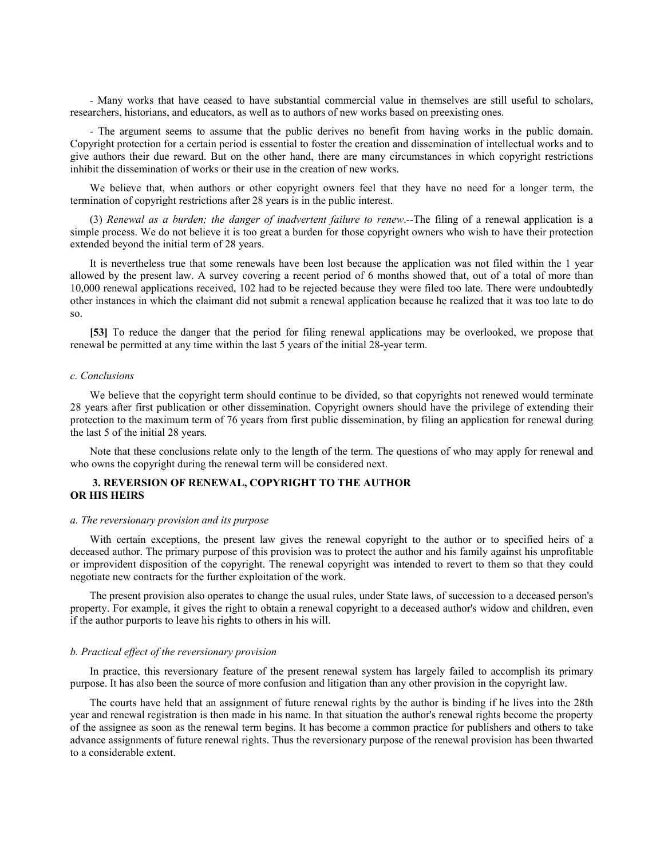- Many works that have ceased to have substantial commercial value in themselves are still useful to scholars, researchers, historians, and educators, as well as to authors of new works based on preexisting ones.

- The argument seems to assume that the public derives no benefit from having works in the public domain. Copyright protection for a certain period is essential to foster the creation and dissemination of intellectual works and to give authors their due reward. But on the other hand, there are many circumstances in which copyright restrictions inhibit the dissemination of works or their use in the creation of new works.

We believe that, when authors or other copyright owners feel that they have no need for a longer term, the termination of copyright restrictions after 28 years is in the public interest.

(3) *Renewal as a burden; the danger of inadvertent failure to renew*.--The filing of a renewal application is a simple process. We do not believe it is too great a burden for those copyright owners who wish to have their protection extended beyond the initial term of 28 years.

It is nevertheless true that some renewals have been lost because the application was not filed within the 1 year allowed by the present law. A survey covering a recent period of 6 months showed that, out of a total of more than 10,000 renewal applications received, 102 had to be rejected because they were filed too late. There were undoubtedly other instances in which the claimant did not submit a renewal application because he realized that it was too late to do so.

**[53]** To reduce the danger that the period for filing renewal applications may be overlooked, we propose that renewal be permitted at any time within the last 5 years of the initial 28-year term.

## *c. Conclusions*

We believe that the copyright term should continue to be divided, so that copyrights not renewed would terminate 28 years after first publication or other dissemination. Copyright owners should have the privilege of extending their protection to the maximum term of 76 years from first public dissemination, by filing an application for renewal during the last 5 of the initial 28 years.

Note that these conclusions relate only to the length of the term. The questions of who may apply for renewal and who owns the copyright during the renewal term will be considered next.

## **3. REVERSION OF RENEWAL, COPYRIGHT TO THE AUTHOR OR HIS HEIRS**

#### *a. The reversionary provision and its purpose*

With certain exceptions, the present law gives the renewal copyright to the author or to specified heirs of a deceased author. The primary purpose of this provision was to protect the author and his family against his unprofitable or improvident disposition of the copyright. The renewal copyright was intended to revert to them so that they could negotiate new contracts for the further exploitation of the work.

The present provision also operates to change the usual rules, under State laws, of succession to a deceased person's property. For example, it gives the right to obtain a renewal copyright to a deceased author's widow and children, even if the author purports to leave his rights to others in his will.

#### *b. Practical effect of the reversionary provision*

In practice, this reversionary feature of the present renewal system has largely failed to accomplish its primary purpose. It has also been the source of more confusion and litigation than any other provision in the copyright law.

The courts have held that an assignment of future renewal rights by the author is binding if he lives into the 28th year and renewal registration is then made in his name. In that situation the author's renewal rights become the property of the assignee as soon as the renewal term begins. It has become a common practice for publishers and others to take advance assignments of future renewal rights. Thus the reversionary purpose of the renewal provision has been thwarted to a considerable extent.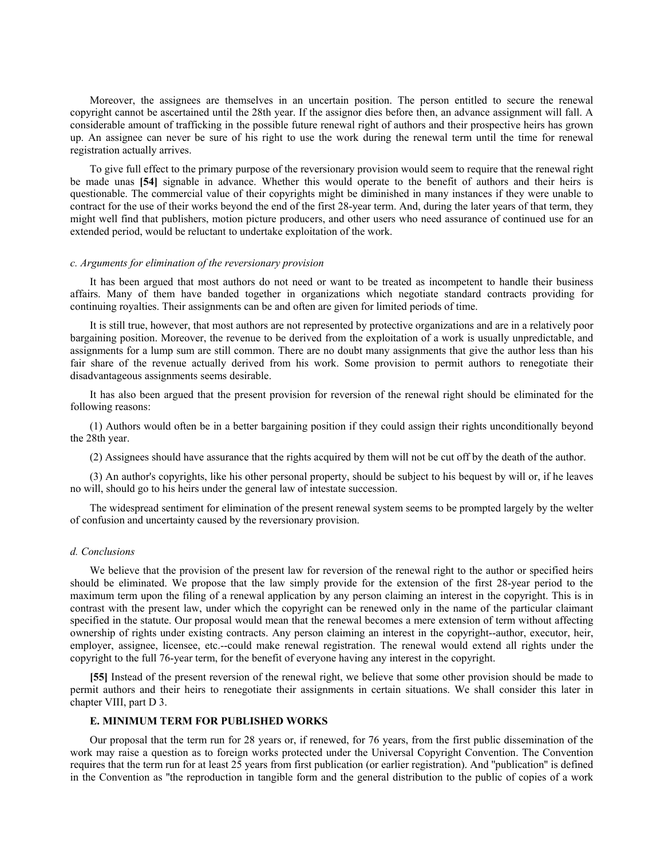Moreover, the assignees are themselves in an uncertain position. The person entitled to secure the renewal copyright cannot be ascertained until the 28th year. If the assignor dies before then, an advance assignment will fall. A considerable amount of trafficking in the possible future renewal right of authors and their prospective heirs has grown up. An assignee can never be sure of his right to use the work during the renewal term until the time for renewal registration actually arrives.

To give full effect to the primary purpose of the reversionary provision would seem to require that the renewal right be made unas **[54]** signable in advance. Whether this would operate to the benefit of authors and their heirs is questionable. The commercial value of their copyrights might be diminished in many instances if they were unable to contract for the use of their works beyond the end of the first 28-year term. And, during the later years of that term, they might well find that publishers, motion picture producers, and other users who need assurance of continued use for an extended period, would be reluctant to undertake exploitation of the work.

### *c. Arguments for elimination of the reversionary provision*

It has been argued that most authors do not need or want to be treated as incompetent to handle their business affairs. Many of them have banded together in organizations which negotiate standard contracts providing for continuing royalties. Their assignments can be and often are given for limited periods of time.

It is still true, however, that most authors are not represented by protective organizations and are in a relatively poor bargaining position. Moreover, the revenue to be derived from the exploitation of a work is usually unpredictable, and assignments for a lump sum are still common. There are no doubt many assignments that give the author less than his fair share of the revenue actually derived from his work. Some provision to permit authors to renegotiate their disadvantageous assignments seems desirable.

It has also been argued that the present provision for reversion of the renewal right should be eliminated for the following reasons:

(1) Authors would often be in a better bargaining position if they could assign their rights unconditionally beyond the 28th year.

(2) Assignees should have assurance that the rights acquired by them will not be cut off by the death of the author.

(3) An author's copyrights, like his other personal property, should be subject to his bequest by will or, if he leaves no will, should go to his heirs under the general law of intestate succession.

The widespread sentiment for elimination of the present renewal system seems to be prompted largely by the welter of confusion and uncertainty caused by the reversionary provision.

### *d. Conclusions*

We believe that the provision of the present law for reversion of the renewal right to the author or specified heirs should be eliminated. We propose that the law simply provide for the extension of the first 28-year period to the maximum term upon the filing of a renewal application by any person claiming an interest in the copyright. This is in contrast with the present law, under which the copyright can be renewed only in the name of the particular claimant specified in the statute. Our proposal would mean that the renewal becomes a mere extension of term without affecting ownership of rights under existing contracts. Any person claiming an interest in the copyright--author, executor, heir, employer, assignee, licensee, etc.--could make renewal registration. The renewal would extend all rights under the copyright to the full 76-year term, for the benefit of everyone having any interest in the copyright.

**[55]** Instead of the present reversion of the renewal right, we believe that some other provision should be made to permit authors and their heirs to renegotiate their assignments in certain situations. We shall consider this later in chapter VIII, part D 3.

### **E. MINIMUM TERM FOR PUBLISHED WORKS**

Our proposal that the term run for 28 years or, if renewed, for 76 years, from the first public dissemination of the work may raise a question as to foreign works protected under the Universal Copyright Convention. The Convention requires that the term run for at least 25 years from first publication (or earlier registration). And ''publication'' is defined in the Convention as ''the reproduction in tangible form and the general distribution to the public of copies of a work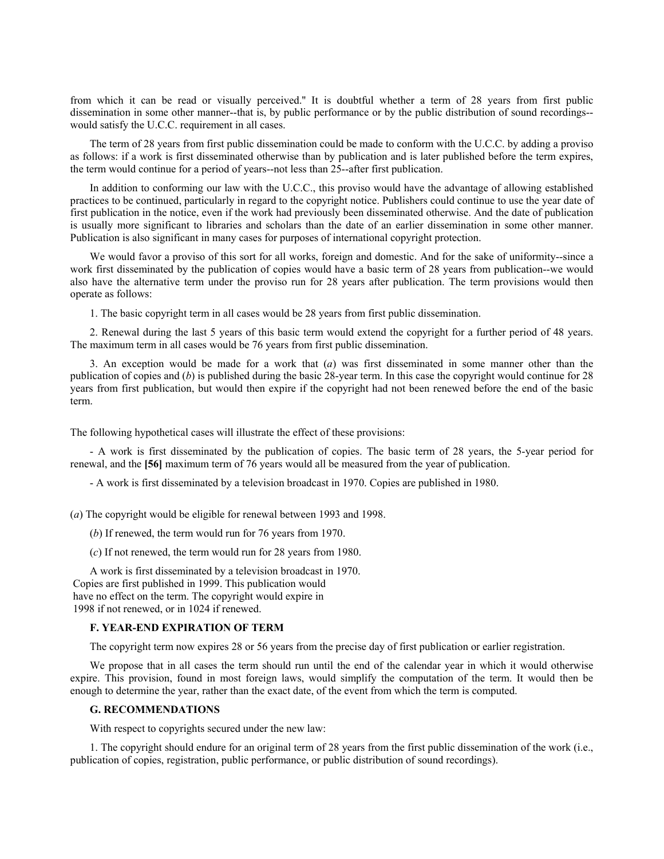from which it can be read or visually perceived.'' It is doubtful whether a term of 28 years from first public dissemination in some other manner--that is, by public performance or by the public distribution of sound recordings- would satisfy the U.C.C. requirement in all cases.

The term of 28 years from first public dissemination could be made to conform with the U.C.C. by adding a proviso as follows: if a work is first disseminated otherwise than by publication and is later published before the term expires, the term would continue for a period of years--not less than 25--after first publication.

In addition to conforming our law with the U.C.C., this proviso would have the advantage of allowing established practices to be continued, particularly in regard to the copyright notice. Publishers could continue to use the year date of first publication in the notice, even if the work had previously been disseminated otherwise. And the date of publication is usually more significant to libraries and scholars than the date of an earlier dissemination in some other manner. Publication is also significant in many cases for purposes of international copyright protection.

We would favor a proviso of this sort for all works, foreign and domestic. And for the sake of uniformity--since a work first disseminated by the publication of copies would have a basic term of 28 years from publication--we would also have the alternative term under the proviso run for 28 years after publication. The term provisions would then operate as follows:

1. The basic copyright term in all cases would be 28 years from first public dissemination.

2. Renewal during the last 5 years of this basic term would extend the copyright for a further period of 48 years. The maximum term in all cases would be 76 years from first public dissemination.

3. An exception would be made for a work that (*a*) was first disseminated in some manner other than the publication of copies and (*b*) is published during the basic 28-year term. In this case the copyright would continue for 28 years from first publication, but would then expire if the copyright had not been renewed before the end of the basic term.

The following hypothetical cases will illustrate the effect of these provisions:

- A work is first disseminated by the publication of copies. The basic term of 28 years, the 5-year period for renewal, and the **[56]** maximum term of 76 years would all be measured from the year of publication.

- A work is first disseminated by a television broadcast in 1970. Copies are published in 1980.

(*a*) The copyright would be eligible for renewal between 1993 and 1998.

(*b*) If renewed, the term would run for 76 years from 1970.

(*c*) If not renewed, the term would run for 28 years from 1980.

A work is first disseminated by a television broadcast in 1970. Copies are first published in 1999. This publication would have no effect on the term. The copyright would expire in 1998 if not renewed, or in 1024 if renewed.

# **F. YEAR-END EXPIRATION OF TERM**

The copyright term now expires 28 or 56 years from the precise day of first publication or earlier registration.

We propose that in all cases the term should run until the end of the calendar year in which it would otherwise expire. This provision, found in most foreign laws, would simplify the computation of the term. It would then be enough to determine the year, rather than the exact date, of the event from which the term is computed.

#### **G. RECOMMENDATIONS**

With respect to copyrights secured under the new law:

1. The copyright should endure for an original term of 28 years from the first public dissemination of the work (i.e., publication of copies, registration, public performance, or public distribution of sound recordings).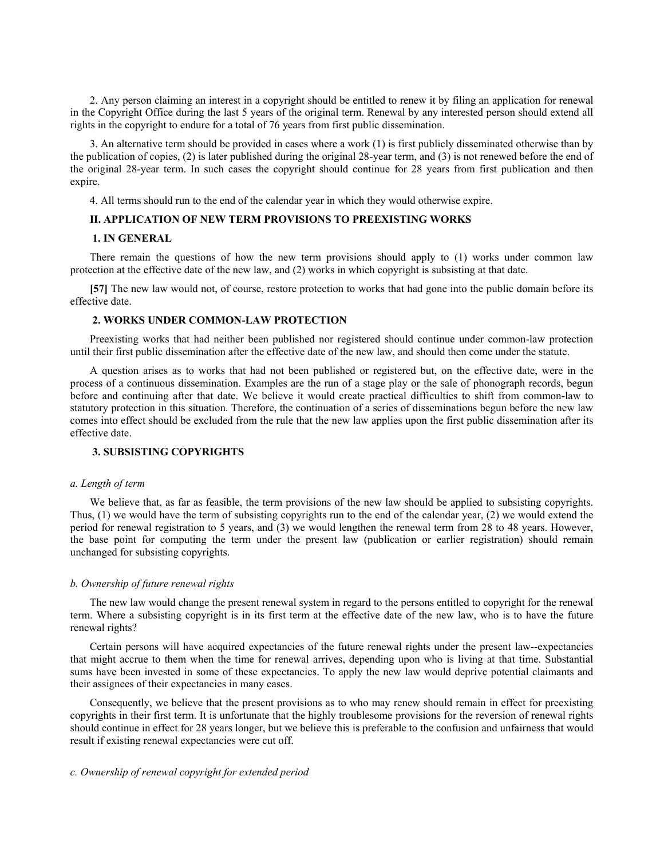2. Any person claiming an interest in a copyright should be entitled to renew it by filing an application for renewal in the Copyright Office during the last 5 years of the original term. Renewal by any interested person should extend all rights in the copyright to endure for a total of 76 years from first public dissemination.

3. An alternative term should be provided in cases where a work (1) is first publicly disseminated otherwise than by the publication of copies, (2) is later published during the original 28-year term, and (3) is not renewed before the end of the original 28-year term. In such cases the copyright should continue for 28 years from first publication and then expire.

4. All terms should run to the end of the calendar year in which they would otherwise expire.

# **II. APPLICATION OF NEW TERM PROVISIONS TO PREEXISTING WORKS**

# **1. IN GENERAL**

There remain the questions of how the new term provisions should apply to (1) works under common law protection at the effective date of the new law, and (2) works in which copyright is subsisting at that date.

**[57]** The new law would not, of course, restore protection to works that had gone into the public domain before its effective date.

# **2. WORKS UNDER COMMON-LAW PROTECTION**

Preexisting works that had neither been published nor registered should continue under common-law protection until their first public dissemination after the effective date of the new law, and should then come under the statute.

A question arises as to works that had not been published or registered but, on the effective date, were in the process of a continuous dissemination. Examples are the run of a stage play or the sale of phonograph records, begun before and continuing after that date. We believe it would create practical difficulties to shift from common-law to statutory protection in this situation. Therefore, the continuation of a series of disseminations begun before the new law comes into effect should be excluded from the rule that the new law applies upon the first public dissemination after its effective date.

### **3. SUBSISTING COPYRIGHTS**

#### *a. Length of term*

We believe that, as far as feasible, the term provisions of the new law should be applied to subsisting copyrights. Thus, (1) we would have the term of subsisting copyrights run to the end of the calendar year, (2) we would extend the period for renewal registration to 5 years, and (3) we would lengthen the renewal term from 28 to 48 years. However, the base point for computing the term under the present law (publication or earlier registration) should remain unchanged for subsisting copyrights.

### *b. Ownership of future renewal rights*

The new law would change the present renewal system in regard to the persons entitled to copyright for the renewal term. Where a subsisting copyright is in its first term at the effective date of the new law, who is to have the future renewal rights?

Certain persons will have acquired expectancies of the future renewal rights under the present law--expectancies that might accrue to them when the time for renewal arrives, depending upon who is living at that time. Substantial sums have been invested in some of these expectancies. To apply the new law would deprive potential claimants and their assignees of their expectancies in many cases.

Consequently, we believe that the present provisions as to who may renew should remain in effect for preexisting copyrights in their first term. It is unfortunate that the highly troublesome provisions for the reversion of renewal rights should continue in effect for 28 years longer, but we believe this is preferable to the confusion and unfairness that would result if existing renewal expectancies were cut off.

# *c. Ownership of renewal copyright for extended period*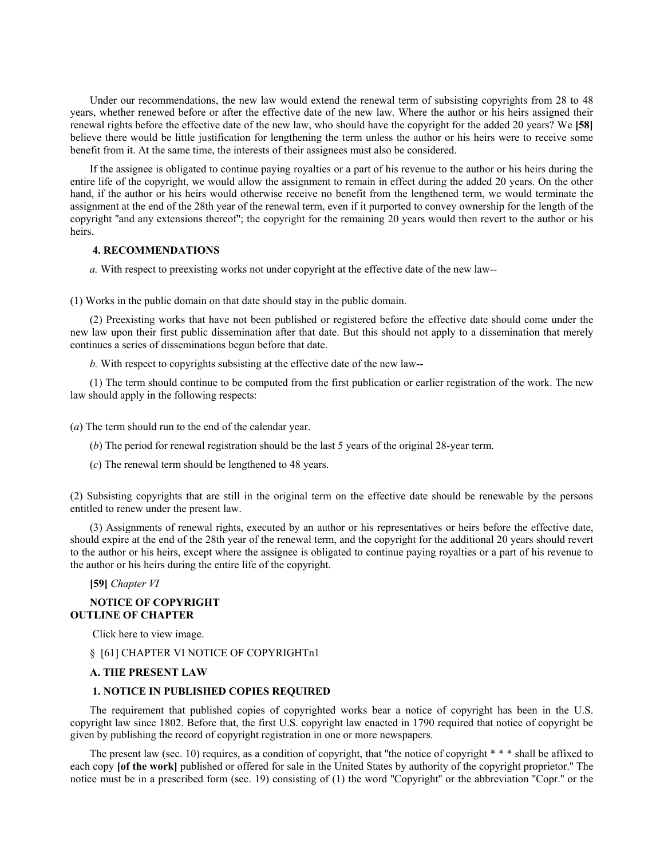Under our recommendations, the new law would extend the renewal term of subsisting copyrights from 28 to 48 years, whether renewed before or after the effective date of the new law. Where the author or his heirs assigned their renewal rights before the effective date of the new law, who should have the copyright for the added 20 years? We **[58]**  believe there would be little justification for lengthening the term unless the author or his heirs were to receive some benefit from it. At the same time, the interests of their assignees must also be considered.

If the assignee is obligated to continue paying royalties or a part of his revenue to the author or his heirs during the entire life of the copyright, we would allow the assignment to remain in effect during the added 20 years. On the other hand, if the author or his heirs would otherwise receive no benefit from the lengthened term, we would terminate the assignment at the end of the 28th year of the renewal term, even if it purported to convey ownership for the length of the copyright ''and any extensions thereof''; the copyright for the remaining 20 years would then revert to the author or his heirs.

# **4. RECOMMENDATIONS**

*a.* With respect to preexisting works not under copyright at the effective date of the new law--

(1) Works in the public domain on that date should stay in the public domain.

(2) Preexisting works that have not been published or registered before the effective date should come under the new law upon their first public dissemination after that date. But this should not apply to a dissemination that merely continues a series of disseminations begun before that date.

*b.* With respect to copyrights subsisting at the effective date of the new law--

(1) The term should continue to be computed from the first publication or earlier registration of the work. The new law should apply in the following respects:

(*a*) The term should run to the end of the calendar year.

(*b*) The period for renewal registration should be the last 5 years of the original 28-year term.

(*c*) The renewal term should be lengthened to 48 years.

(2) Subsisting copyrights that are still in the original term on the effective date should be renewable by the persons entitled to renew under the present law.

(3) Assignments of renewal rights, executed by an author or his representatives or heirs before the effective date, should expire at the end of the 28th year of the renewal term, and the copyright for the additional 20 years should revert to the author or his heirs, except where the assignee is obligated to continue paying royalties or a part of his revenue to the author or his heirs during the entire life of the copyright.

**[59]** *Chapter VI*

# **NOTICE OF COPYRIGHT OUTLINE OF CHAPTER**

Click here to view image.

§ [61] CHAPTER VI NOTICE OF COPYRIGHTn1

#### **A. THE PRESENT LAW**

# **1. NOTICE IN PUBLISHED COPIES REQUIRED**

The requirement that published copies of copyrighted works bear a notice of copyright has been in the U.S. copyright law since 1802. Before that, the first U.S. copyright law enacted in 1790 required that notice of copyright be given by publishing the record of copyright registration in one or more newspapers.

The present law (sec. 10) requires, as a condition of copyright, that ''the notice of copyright \* \* \* shall be affixed to each copy **[of the work]** published or offered for sale in the United States by authority of the copyright proprietor.'' The notice must be in a prescribed form (sec. 19) consisting of (1) the word ''Copyright'' or the abbreviation ''Copr.'' or the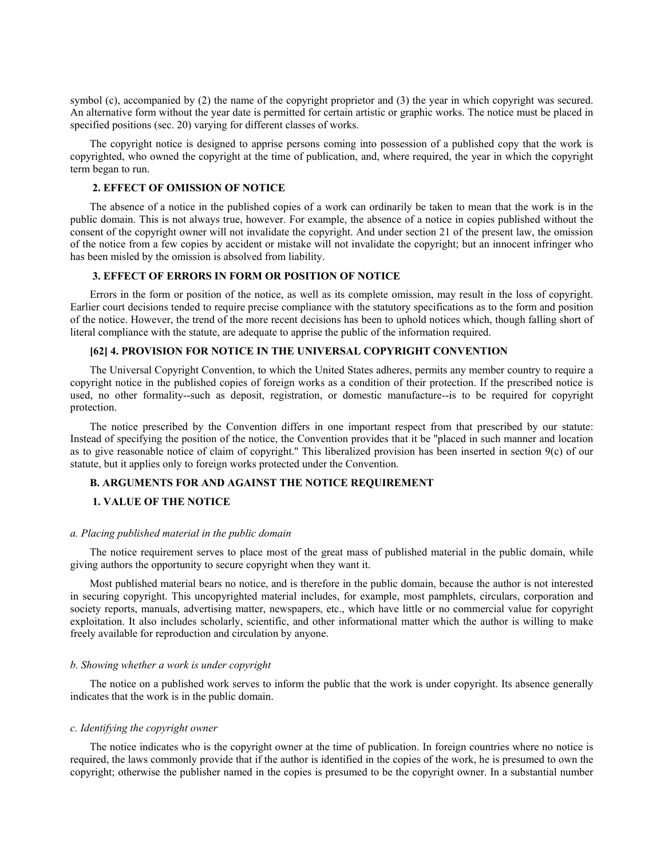symbol (c), accompanied by (2) the name of the copyright proprietor and (3) the year in which copyright was secured. An alternative form without the year date is permitted for certain artistic or graphic works. The notice must be placed in specified positions (sec. 20) varying for different classes of works.

The copyright notice is designed to apprise persons coming into possession of a published copy that the work is copyrighted, who owned the copyright at the time of publication, and, where required, the year in which the copyright term began to run.

# **2. EFFECT OF OMISSION OF NOTICE**

The absence of a notice in the published copies of a work can ordinarily be taken to mean that the work is in the public domain. This is not always true, however. For example, the absence of a notice in copies published without the consent of the copyright owner will not invalidate the copyright. And under section 21 of the present law, the omission of the notice from a few copies by accident or mistake will not invalidate the copyright; but an innocent infringer who has been misled by the omission is absolved from liability.

# **3. EFFECT OF ERRORS IN FORM OR POSITION OF NOTICE**

Errors in the form or position of the notice, as well as its complete omission, may result in the loss of copyright. Earlier court decisions tended to require precise compliance with the statutory specifications as to the form and position of the notice. However, the trend of the more recent decisions has been to uphold notices which, though falling short of literal compliance with the statute, are adequate to apprise the public of the information required.

## **[62] 4. PROVISION FOR NOTICE IN THE UNIVERSAL COPYRIGHT CONVENTION**

The Universal Copyright Convention, to which the United States adheres, permits any member country to require a copyright notice in the published copies of foreign works as a condition of their protection. If the prescribed notice is used, no other formality--such as deposit, registration, or domestic manufacture--is to be required for copyright protection.

The notice prescribed by the Convention differs in one important respect from that prescribed by our statute: Instead of specifying the position of the notice, the Convention provides that it be ''placed in such manner and location as to give reasonable notice of claim of copyright.'' This liberalized provision has been inserted in section 9(c) of our statute, but it applies only to foreign works protected under the Convention.

# **B. ARGUMENTS FOR AND AGAINST THE NOTICE REQUIREMENT**

# **1. VALUE OF THE NOTICE**

#### *a. Placing published material in the public domain*

The notice requirement serves to place most of the great mass of published material in the public domain, while giving authors the opportunity to secure copyright when they want it.

Most published material bears no notice, and is therefore in the public domain, because the author is not interested in securing copyright. This uncopyrighted material includes, for example, most pamphlets, circulars, corporation and society reports, manuals, advertising matter, newspapers, etc., which have little or no commercial value for copyright exploitation. It also includes scholarly, scientific, and other informational matter which the author is willing to make freely available for reproduction and circulation by anyone.

#### *b. Showing whether a work is under copyright*

The notice on a published work serves to inform the public that the work is under copyright. Its absence generally indicates that the work is in the public domain.

## *c. Identifying the copyright owner*

The notice indicates who is the copyright owner at the time of publication. In foreign countries where no notice is required, the laws commonly provide that if the author is identified in the copies of the work, he is presumed to own the copyright; otherwise the publisher named in the copies is presumed to be the copyright owner. In a substantial number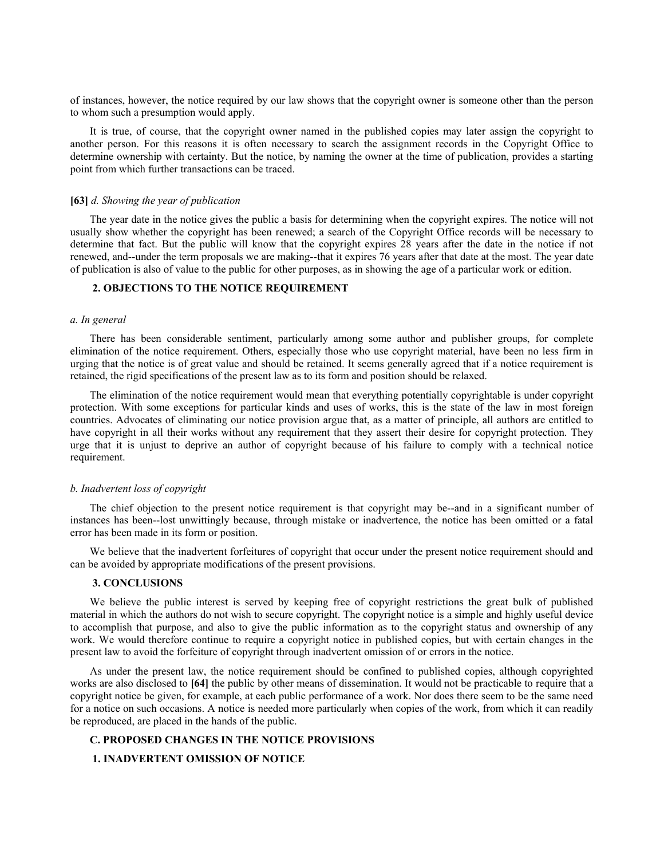of instances, however, the notice required by our law shows that the copyright owner is someone other than the person to whom such a presumption would apply.

It is true, of course, that the copyright owner named in the published copies may later assign the copyright to another person. For this reasons it is often necessary to search the assignment records in the Copyright Office to determine ownership with certainty. But the notice, by naming the owner at the time of publication, provides a starting point from which further transactions can be traced.

#### **[63]** *d. Showing the year of publication*

The year date in the notice gives the public a basis for determining when the copyright expires. The notice will not usually show whether the copyright has been renewed; a search of the Copyright Office records will be necessary to determine that fact. But the public will know that the copyright expires 28 years after the date in the notice if not renewed, and--under the term proposals we are making--that it expires 76 years after that date at the most. The year date of publication is also of value to the public for other purposes, as in showing the age of a particular work or edition.

# **2. OBJECTIONS TO THE NOTICE REQUIREMENT**

#### *a. In general*

There has been considerable sentiment, particularly among some author and publisher groups, for complete elimination of the notice requirement. Others, especially those who use copyright material, have been no less firm in urging that the notice is of great value and should be retained. It seems generally agreed that if a notice requirement is retained, the rigid specifications of the present law as to its form and position should be relaxed.

The elimination of the notice requirement would mean that everything potentially copyrightable is under copyright protection. With some exceptions for particular kinds and uses of works, this is the state of the law in most foreign countries. Advocates of eliminating our notice provision argue that, as a matter of principle, all authors are entitled to have copyright in all their works without any requirement that they assert their desire for copyright protection. They urge that it is unjust to deprive an author of copyright because of his failure to comply with a technical notice requirement.

# *b. Inadvertent loss of copyright*

The chief objection to the present notice requirement is that copyright may be--and in a significant number of instances has been--lost unwittingly because, through mistake or inadvertence, the notice has been omitted or a fatal error has been made in its form or position.

We believe that the inadvertent forfeitures of copyright that occur under the present notice requirement should and can be avoided by appropriate modifications of the present provisions.

## **3. CONCLUSIONS**

We believe the public interest is served by keeping free of copyright restrictions the great bulk of published material in which the authors do not wish to secure copyright. The copyright notice is a simple and highly useful device to accomplish that purpose, and also to give the public information as to the copyright status and ownership of any work. We would therefore continue to require a copyright notice in published copies, but with certain changes in the present law to avoid the forfeiture of copyright through inadvertent omission of or errors in the notice.

As under the present law, the notice requirement should be confined to published copies, although copyrighted works are also disclosed to **[64]** the public by other means of dissemination. It would not be practicable to require that a copyright notice be given, for example, at each public performance of a work. Nor does there seem to be the same need for a notice on such occasions. A notice is needed more particularly when copies of the work, from which it can readily be reproduced, are placed in the hands of the public.

# **C. PROPOSED CHANGES IN THE NOTICE PROVISIONS**

# **1. INADVERTENT OMISSION OF NOTICE**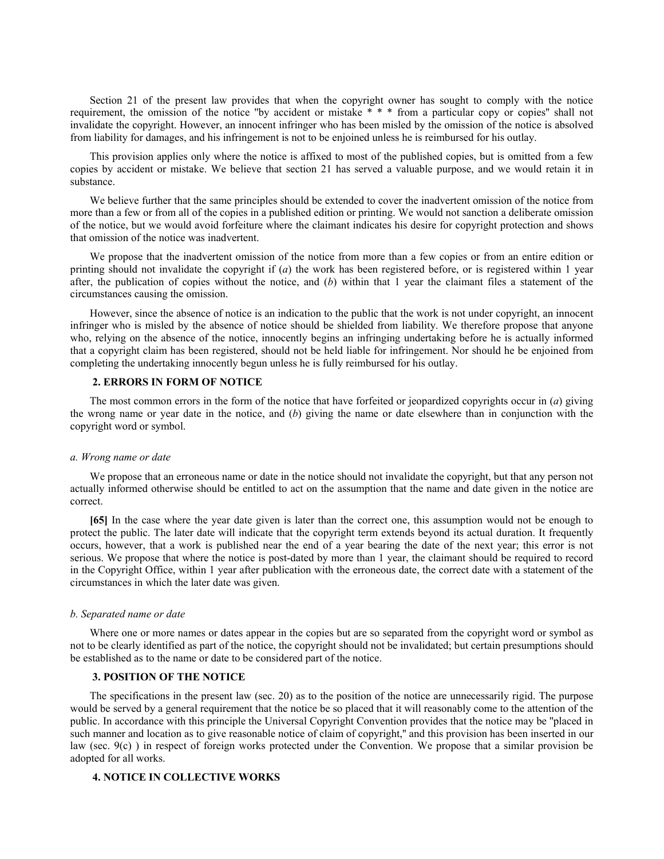Section 21 of the present law provides that when the copyright owner has sought to comply with the notice requirement, the omission of the notice ''by accident or mistake \* \* \* from a particular copy or copies'' shall not invalidate the copyright. However, an innocent infringer who has been misled by the omission of the notice is absolved from liability for damages, and his infringement is not to be enjoined unless he is reimbursed for his outlay.

This provision applies only where the notice is affixed to most of the published copies, but is omitted from a few copies by accident or mistake. We believe that section 21 has served a valuable purpose, and we would retain it in substance.

We believe further that the same principles should be extended to cover the inadvertent omission of the notice from more than a few or from all of the copies in a published edition or printing. We would not sanction a deliberate omission of the notice, but we would avoid forfeiture where the claimant indicates his desire for copyright protection and shows that omission of the notice was inadvertent.

We propose that the inadvertent omission of the notice from more than a few copies or from an entire edition or printing should not invalidate the copyright if (*a*) the work has been registered before, or is registered within 1 year after, the publication of copies without the notice, and (*b*) within that 1 year the claimant files a statement of the circumstances causing the omission.

However, since the absence of notice is an indication to the public that the work is not under copyright, an innocent infringer who is misled by the absence of notice should be shielded from liability. We therefore propose that anyone who, relying on the absence of the notice, innocently begins an infringing undertaking before he is actually informed that a copyright claim has been registered, should not be held liable for infringement. Nor should he be enjoined from completing the undertaking innocently begun unless he is fully reimbursed for his outlay.

# **2. ERRORS IN FORM OF NOTICE**

The most common errors in the form of the notice that have forfeited or jeopardized copyrights occur in (*a*) giving the wrong name or year date in the notice, and (*b*) giving the name or date elsewhere than in conjunction with the copyright word or symbol.

#### *a. Wrong name or date*

We propose that an erroneous name or date in the notice should not invalidate the copyright, but that any person not actually informed otherwise should be entitled to act on the assumption that the name and date given in the notice are correct.

**[65]** In the case where the year date given is later than the correct one, this assumption would not be enough to protect the public. The later date will indicate that the copyright term extends beyond its actual duration. It frequently occurs, however, that a work is published near the end of a year bearing the date of the next year; this error is not serious. We propose that where the notice is post-dated by more than 1 year, the claimant should be required to record in the Copyright Office, within 1 year after publication with the erroneous date, the correct date with a statement of the circumstances in which the later date was given.

## *b. Separated name or date*

Where one or more names or dates appear in the copies but are so separated from the copyright word or symbol as not to be clearly identified as part of the notice, the copyright should not be invalidated; but certain presumptions should be established as to the name or date to be considered part of the notice.

## **3. POSITION OF THE NOTICE**

The specifications in the present law (sec. 20) as to the position of the notice are unnecessarily rigid. The purpose would be served by a general requirement that the notice be so placed that it will reasonably come to the attention of the public. In accordance with this principle the Universal Copyright Convention provides that the notice may be ''placed in such manner and location as to give reasonable notice of claim of copyright,'' and this provision has been inserted in our law (sec. 9(c) ) in respect of foreign works protected under the Convention. We propose that a similar provision be adopted for all works.

# **4. NOTICE IN COLLECTIVE WORKS**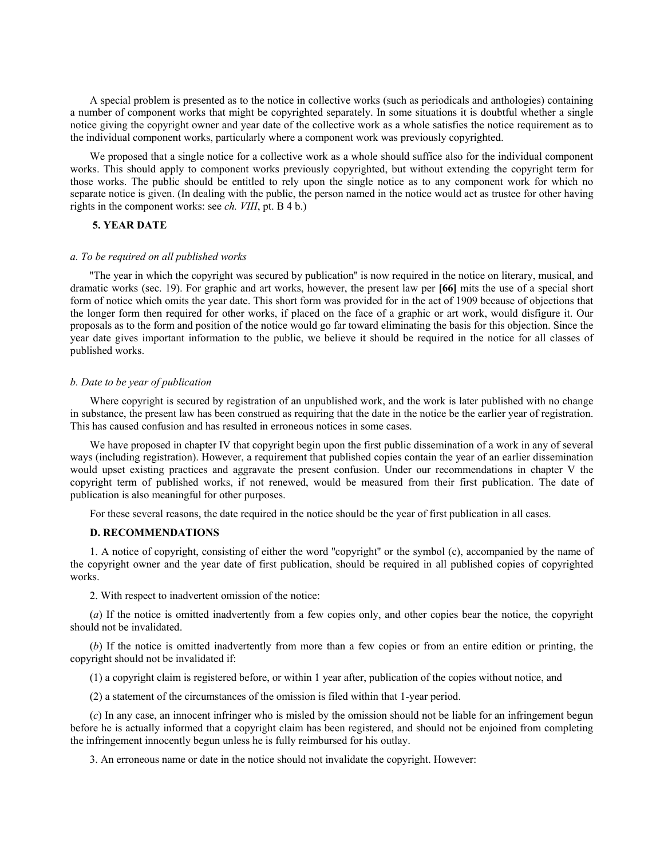A special problem is presented as to the notice in collective works (such as periodicals and anthologies) containing a number of component works that might be copyrighted separately. In some situations it is doubtful whether a single notice giving the copyright owner and year date of the collective work as a whole satisfies the notice requirement as to the individual component works, particularly where a component work was previously copyrighted.

We proposed that a single notice for a collective work as a whole should suffice also for the individual component works. This should apply to component works previously copyrighted, but without extending the copyright term for those works. The public should be entitled to rely upon the single notice as to any component work for which no separate notice is given. (In dealing with the public, the person named in the notice would act as trustee for other having rights in the component works: see *ch. VIII*, pt. B 4 b.)

## **5. YEAR DATE**

#### *a. To be required on all published works*

''The year in which the copyright was secured by publication'' is now required in the notice on literary, musical, and dramatic works (sec. 19). For graphic and art works, however, the present law per **[66]** mits the use of a special short form of notice which omits the year date. This short form was provided for in the act of 1909 because of objections that the longer form then required for other works, if placed on the face of a graphic or art work, would disfigure it. Our proposals as to the form and position of the notice would go far toward eliminating the basis for this objection. Since the year date gives important information to the public, we believe it should be required in the notice for all classes of published works.

# *b. Date to be year of publication*

Where copyright is secured by registration of an unpublished work, and the work is later published with no change in substance, the present law has been construed as requiring that the date in the notice be the earlier year of registration. This has caused confusion and has resulted in erroneous notices in some cases.

We have proposed in chapter IV that copyright begin upon the first public dissemination of a work in any of several ways (including registration). However, a requirement that published copies contain the year of an earlier dissemination would upset existing practices and aggravate the present confusion. Under our recommendations in chapter V the copyright term of published works, if not renewed, would be measured from their first publication. The date of publication is also meaningful for other purposes.

For these several reasons, the date required in the notice should be the year of first publication in all cases.

# **D. RECOMMENDATIONS**

1. A notice of copyright, consisting of either the word ''copyright'' or the symbol (c), accompanied by the name of the copyright owner and the year date of first publication, should be required in all published copies of copyrighted works.

2. With respect to inadvertent omission of the notice:

(*a*) If the notice is omitted inadvertently from a few copies only, and other copies bear the notice, the copyright should not be invalidated.

(*b*) If the notice is omitted inadvertently from more than a few copies or from an entire edition or printing, the copyright should not be invalidated if:

(1) a copyright claim is registered before, or within 1 year after, publication of the copies without notice, and

(2) a statement of the circumstances of the omission is filed within that 1-year period.

(*c*) In any case, an innocent infringer who is misled by the omission should not be liable for an infringement begun before he is actually informed that a copyright claim has been registered, and should not be enjoined from completing the infringement innocently begun unless he is fully reimbursed for his outlay.

3. An erroneous name or date in the notice should not invalidate the copyright. However: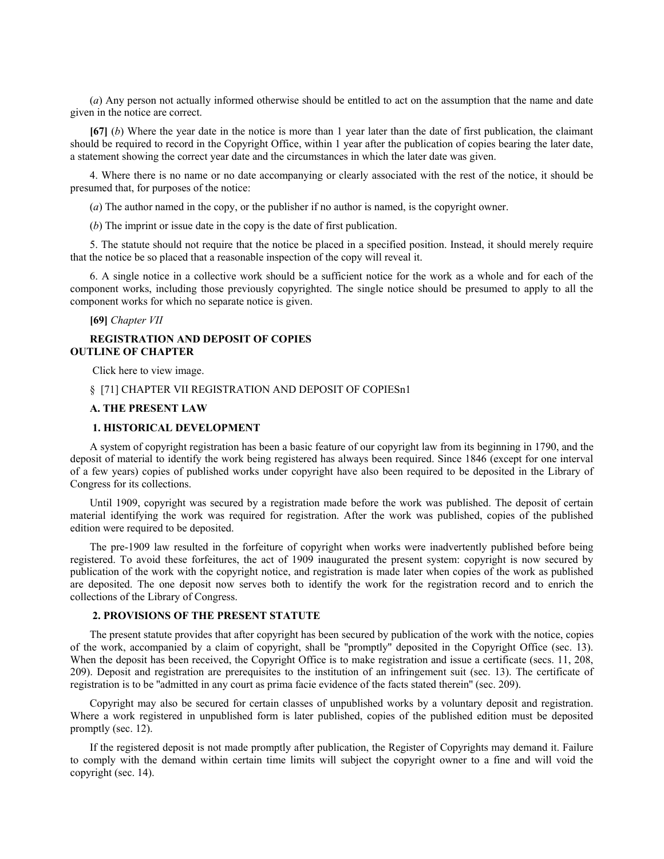(*a*) Any person not actually informed otherwise should be entitled to act on the assumption that the name and date given in the notice are correct.

**[67]** (*b*) Where the year date in the notice is more than 1 year later than the date of first publication, the claimant should be required to record in the Copyright Office, within 1 year after the publication of copies bearing the later date, a statement showing the correct year date and the circumstances in which the later date was given.

4. Where there is no name or no date accompanying or clearly associated with the rest of the notice, it should be presumed that, for purposes of the notice:

(*a*) The author named in the copy, or the publisher if no author is named, is the copyright owner.

(*b*) The imprint or issue date in the copy is the date of first publication.

5. The statute should not require that the notice be placed in a specified position. Instead, it should merely require that the notice be so placed that a reasonable inspection of the copy will reveal it.

6. A single notice in a collective work should be a sufficient notice for the work as a whole and for each of the component works, including those previously copyrighted. The single notice should be presumed to apply to all the component works for which no separate notice is given.

**[69]** *Chapter VII*

# **REGISTRATION AND DEPOSIT OF COPIES OUTLINE OF CHAPTER**

Click here to view image.

### § [71] CHAPTER VII REGISTRATION AND DEPOSIT OF COPIESn1

### **A. THE PRESENT LAW**

#### **1. HISTORICAL DEVELOPMENT**

A system of copyright registration has been a basic feature of our copyright law from its beginning in 1790, and the deposit of material to identify the work being registered has always been required. Since 1846 (except for one interval of a few years) copies of published works under copyright have also been required to be deposited in the Library of Congress for its collections.

Until 1909, copyright was secured by a registration made before the work was published. The deposit of certain material identifying the work was required for registration. After the work was published, copies of the published edition were required to be deposited.

The pre-1909 law resulted in the forfeiture of copyright when works were inadvertently published before being registered. To avoid these forfeitures, the act of 1909 inaugurated the present system: copyright is now secured by publication of the work with the copyright notice, and registration is made later when copies of the work as published are deposited. The one deposit now serves both to identify the work for the registration record and to enrich the collections of the Library of Congress.

## **2. PROVISIONS OF THE PRESENT STATUTE**

The present statute provides that after copyright has been secured by publication of the work with the notice, copies of the work, accompanied by a claim of copyright, shall be ''promptly'' deposited in the Copyright Office (sec. 13). When the deposit has been received, the Copyright Office is to make registration and issue a certificate (secs. 11, 208, 209). Deposit and registration are prerequisites to the institution of an infringement suit (sec. 13). The certificate of registration is to be ''admitted in any court as prima facie evidence of the facts stated therein'' (sec. 209).

Copyright may also be secured for certain classes of unpublished works by a voluntary deposit and registration. Where a work registered in unpublished form is later published, copies of the published edition must be deposited promptly (sec. 12).

If the registered deposit is not made promptly after publication, the Register of Copyrights may demand it. Failure to comply with the demand within certain time limits will subject the copyright owner to a fine and will void the copyright (sec. 14).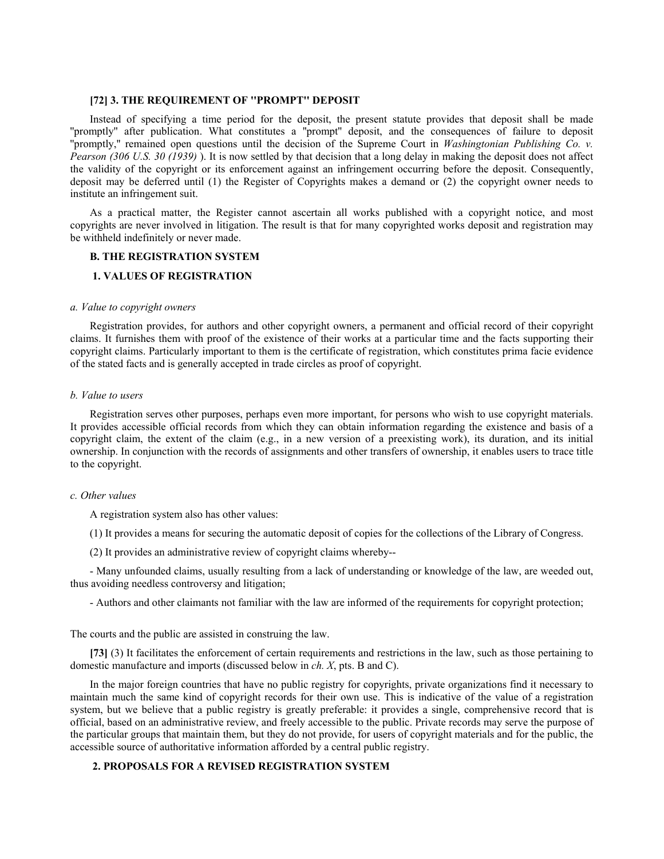## **[72] 3. THE REQUIREMENT OF ''PROMPT'' DEPOSIT**

Instead of specifying a time period for the deposit, the present statute provides that deposit shall be made "promptly" after publication. What constitutes a "prompt" deposit, and the consequences of failure to deposit ''promptly,'' remained open questions until the decision of the Supreme Court in *Washingtonian Publishing Co. v. Pearson (306 U.S. 30 (1939)* ). It is now settled by that decision that a long delay in making the deposit does not affect the validity of the copyright or its enforcement against an infringement occurring before the deposit. Consequently, deposit may be deferred until (1) the Register of Copyrights makes a demand or (2) the copyright owner needs to institute an infringement suit.

As a practical matter, the Register cannot ascertain all works published with a copyright notice, and most copyrights are never involved in litigation. The result is that for many copyrighted works deposit and registration may be withheld indefinitely or never made.

# **B. THE REGISTRATION SYSTEM**

# **1. VALUES OF REGISTRATION**

#### *a. Value to copyright owners*

Registration provides, for authors and other copyright owners, a permanent and official record of their copyright claims. It furnishes them with proof of the existence of their works at a particular time and the facts supporting their copyright claims. Particularly important to them is the certificate of registration, which constitutes prima facie evidence of the stated facts and is generally accepted in trade circles as proof of copyright.

#### *b. Value to users*

Registration serves other purposes, perhaps even more important, for persons who wish to use copyright materials. It provides accessible official records from which they can obtain information regarding the existence and basis of a copyright claim, the extent of the claim (e.g., in a new version of a preexisting work), its duration, and its initial ownership. In conjunction with the records of assignments and other transfers of ownership, it enables users to trace title to the copyright.

### *c. Other values*

A registration system also has other values:

(1) It provides a means for securing the automatic deposit of copies for the collections of the Library of Congress.

(2) It provides an administrative review of copyright claims whereby--

- Many unfounded claims, usually resulting from a lack of understanding or knowledge of the law, are weeded out, thus avoiding needless controversy and litigation;

- Authors and other claimants not familiar with the law are informed of the requirements for copyright protection;

The courts and the public are assisted in construing the law.

**[73]** (3) It facilitates the enforcement of certain requirements and restrictions in the law, such as those pertaining to domestic manufacture and imports (discussed below in *ch. X*, pts. B and C).

In the major foreign countries that have no public registry for copyrights, private organizations find it necessary to maintain much the same kind of copyright records for their own use. This is indicative of the value of a registration system, but we believe that a public registry is greatly preferable: it provides a single, comprehensive record that is official, based on an administrative review, and freely accessible to the public. Private records may serve the purpose of the particular groups that maintain them, but they do not provide, for users of copyright materials and for the public, the accessible source of authoritative information afforded by a central public registry.

## **2. PROPOSALS FOR A REVISED REGISTRATION SYSTEM**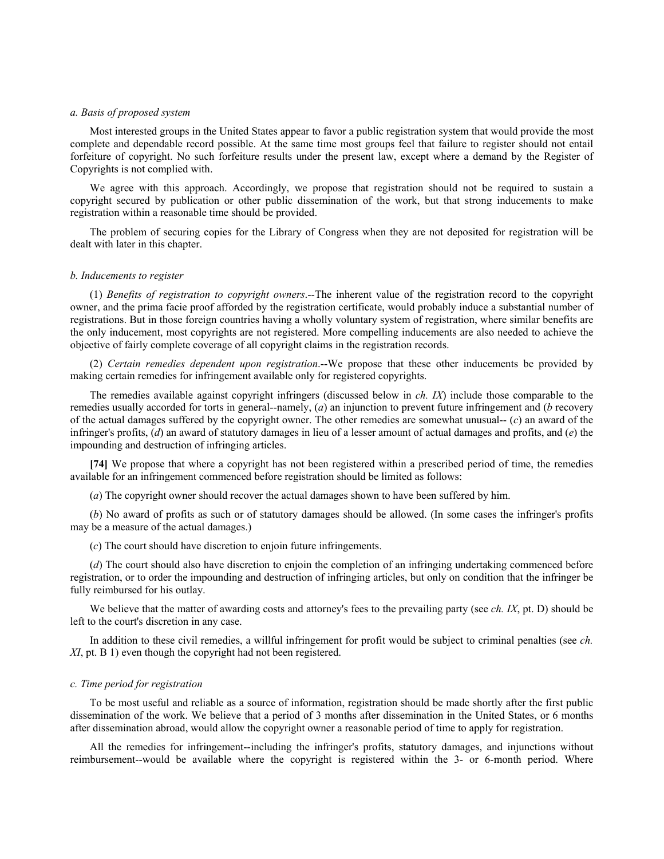### *a. Basis of proposed system*

Most interested groups in the United States appear to favor a public registration system that would provide the most complete and dependable record possible. At the same time most groups feel that failure to register should not entail forfeiture of copyright. No such forfeiture results under the present law, except where a demand by the Register of Copyrights is not complied with.

We agree with this approach. Accordingly, we propose that registration should not be required to sustain a copyright secured by publication or other public dissemination of the work, but that strong inducements to make registration within a reasonable time should be provided.

The problem of securing copies for the Library of Congress when they are not deposited for registration will be dealt with later in this chapter.

# *b. Inducements to register*

(1) *Benefits of registration to copyright owners*.--The inherent value of the registration record to the copyright owner, and the prima facie proof afforded by the registration certificate, would probably induce a substantial number of registrations. But in those foreign countries having a wholly voluntary system of registration, where similar benefits are the only inducement, most copyrights are not registered. More compelling inducements are also needed to achieve the objective of fairly complete coverage of all copyright claims in the registration records.

(2) *Certain remedies dependent upon registration*.--We propose that these other inducements be provided by making certain remedies for infringement available only for registered copyrights.

The remedies available against copyright infringers (discussed below in *ch. IX*) include those comparable to the remedies usually accorded for torts in general--namely, (*a*) an injunction to prevent future infringement and (*b* recovery of the actual damages suffered by the copyright owner. The other remedies are somewhat unusual-- (*c*) an award of the infringer's profits, (*d*) an award of statutory damages in lieu of a lesser amount of actual damages and profits, and (*e*) the impounding and destruction of infringing articles.

**[74]** We propose that where a copyright has not been registered within a prescribed period of time, the remedies available for an infringement commenced before registration should be limited as follows:

(*a*) The copyright owner should recover the actual damages shown to have been suffered by him.

(*b*) No award of profits as such or of statutory damages should be allowed. (In some cases the infringer's profits may be a measure of the actual damages.)

(*c*) The court should have discretion to enjoin future infringements.

(*d*) The court should also have discretion to enjoin the completion of an infringing undertaking commenced before registration, or to order the impounding and destruction of infringing articles, but only on condition that the infringer be fully reimbursed for his outlay.

We believe that the matter of awarding costs and attorney's fees to the prevailing party (see *ch. IX*, pt. D) should be left to the court's discretion in any case.

In addition to these civil remedies, a willful infringement for profit would be subject to criminal penalties (see *ch. XI*, pt. B 1) even though the copyright had not been registered.

#### *c. Time period for registration*

To be most useful and reliable as a source of information, registration should be made shortly after the first public dissemination of the work. We believe that a period of 3 months after dissemination in the United States, or 6 months after dissemination abroad, would allow the copyright owner a reasonable period of time to apply for registration.

All the remedies for infringement--including the infringer's profits, statutory damages, and injunctions without reimbursement--would be available where the copyright is registered within the 3- or 6-month period. Where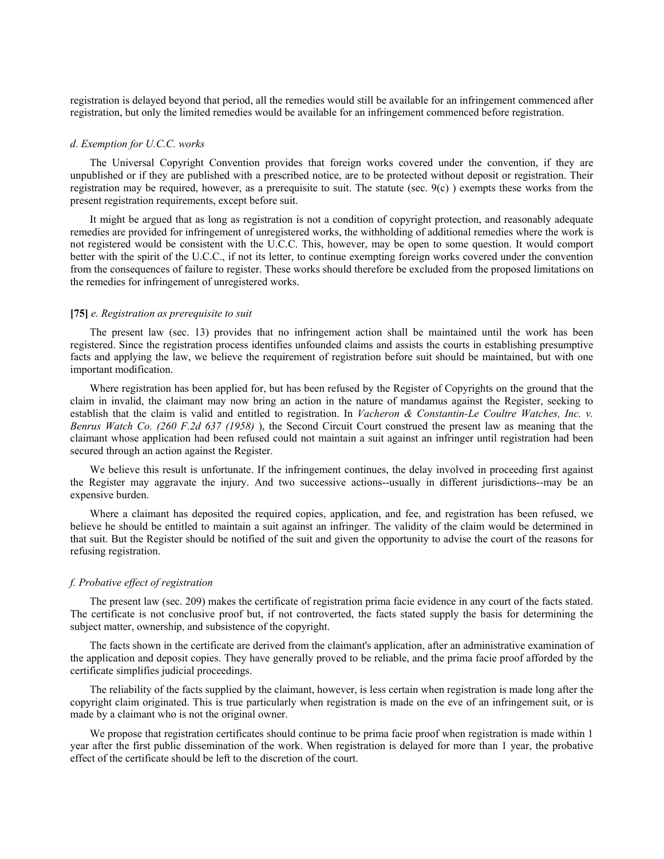registration is delayed beyond that period, all the remedies would still be available for an infringement commenced after registration, but only the limited remedies would be available for an infringement commenced before registration.

## *d. Exemption for U.C.C. works*

The Universal Copyright Convention provides that foreign works covered under the convention, if they are unpublished or if they are published with a prescribed notice, are to be protected without deposit or registration. Their registration may be required, however, as a prerequisite to suit. The statute (sec. 9(c) ) exempts these works from the present registration requirements, except before suit.

It might be argued that as long as registration is not a condition of copyright protection, and reasonably adequate remedies are provided for infringement of unregistered works, the withholding of additional remedies where the work is not registered would be consistent with the U.C.C. This, however, may be open to some question. It would comport better with the spirit of the U.C.C., if not its letter, to continue exempting foreign works covered under the convention from the consequences of failure to register. These works should therefore be excluded from the proposed limitations on the remedies for infringement of unregistered works.

### **[75]** *e. Registration as prerequisite to suit*

The present law (sec. 13) provides that no infringement action shall be maintained until the work has been registered. Since the registration process identifies unfounded claims and assists the courts in establishing presumptive facts and applying the law, we believe the requirement of registration before suit should be maintained, but with one important modification.

Where registration has been applied for, but has been refused by the Register of Copyrights on the ground that the claim in invalid, the claimant may now bring an action in the nature of mandamus against the Register, seeking to establish that the claim is valid and entitled to registration. In *Vacheron & Constantin-Le Coultre Watches, Inc. v. Benrus Watch Co. (260 F.2d 637 (1958)* ), the Second Circuit Court construed the present law as meaning that the claimant whose application had been refused could not maintain a suit against an infringer until registration had been secured through an action against the Register.

We believe this result is unfortunate. If the infringement continues, the delay involved in proceeding first against the Register may aggravate the injury. And two successive actions--usually in different jurisdictions--may be an expensive burden.

Where a claimant has deposited the required copies, application, and fee, and registration has been refused, we believe he should be entitled to maintain a suit against an infringer. The validity of the claim would be determined in that suit. But the Register should be notified of the suit and given the opportunity to advise the court of the reasons for refusing registration.

### *f. Probative effect of registration*

The present law (sec. 209) makes the certificate of registration prima facie evidence in any court of the facts stated. The certificate is not conclusive proof but, if not controverted, the facts stated supply the basis for determining the subject matter, ownership, and subsistence of the copyright.

The facts shown in the certificate are derived from the claimant's application, after an administrative examination of the application and deposit copies. They have generally proved to be reliable, and the prima facie proof afforded by the certificate simplifies judicial proceedings.

The reliability of the facts supplied by the claimant, however, is less certain when registration is made long after the copyright claim originated. This is true particularly when registration is made on the eve of an infringement suit, or is made by a claimant who is not the original owner.

We propose that registration certificates should continue to be prima facie proof when registration is made within 1 year after the first public dissemination of the work. When registration is delayed for more than 1 year, the probative effect of the certificate should be left to the discretion of the court.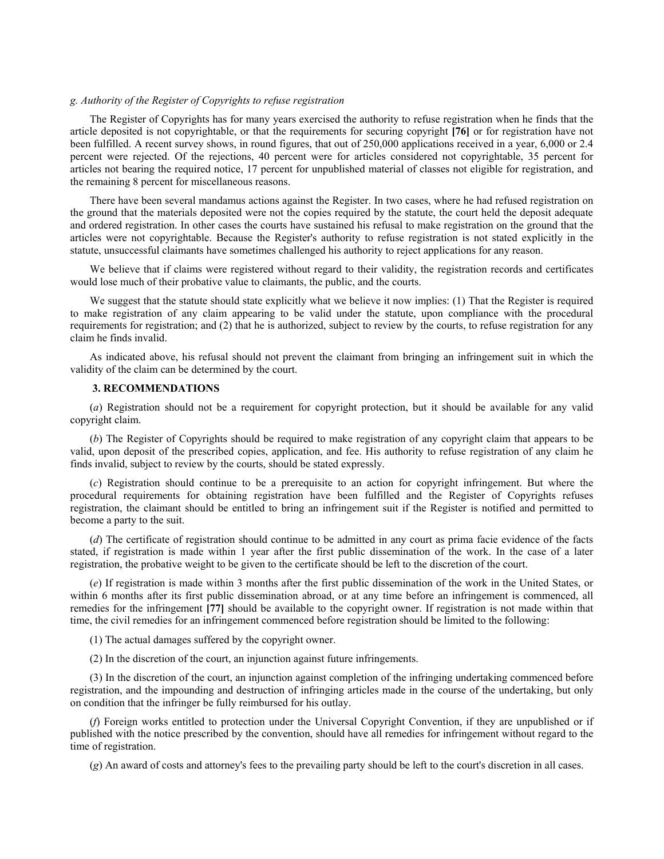## *g. Authority of the Register of Copyrights to refuse registration*

The Register of Copyrights has for many years exercised the authority to refuse registration when he finds that the article deposited is not copyrightable, or that the requirements for securing copyright **[76]** or for registration have not been fulfilled. A recent survey shows, in round figures, that out of 250,000 applications received in a year, 6,000 or 2.4 percent were rejected. Of the rejections, 40 percent were for articles considered not copyrightable, 35 percent for articles not bearing the required notice, 17 percent for unpublished material of classes not eligible for registration, and the remaining 8 percent for miscellaneous reasons.

There have been several mandamus actions against the Register. In two cases, where he had refused registration on the ground that the materials deposited were not the copies required by the statute, the court held the deposit adequate and ordered registration. In other cases the courts have sustained his refusal to make registration on the ground that the articles were not copyrightable. Because the Register's authority to refuse registration is not stated explicitly in the statute, unsuccessful claimants have sometimes challenged his authority to reject applications for any reason.

We believe that if claims were registered without regard to their validity, the registration records and certificates would lose much of their probative value to claimants, the public, and the courts.

We suggest that the statute should state explicitly what we believe it now implies: (1) That the Register is required to make registration of any claim appearing to be valid under the statute, upon compliance with the procedural requirements for registration; and (2) that he is authorized, subject to review by the courts, to refuse registration for any claim he finds invalid.

As indicated above, his refusal should not prevent the claimant from bringing an infringement suit in which the validity of the claim can be determined by the court.

### **3. RECOMMENDATIONS**

(*a*) Registration should not be a requirement for copyright protection, but it should be available for any valid copyright claim.

(*b*) The Register of Copyrights should be required to make registration of any copyright claim that appears to be valid, upon deposit of the prescribed copies, application, and fee. His authority to refuse registration of any claim he finds invalid, subject to review by the courts, should be stated expressly.

(*c*) Registration should continue to be a prerequisite to an action for copyright infringement. But where the procedural requirements for obtaining registration have been fulfilled and the Register of Copyrights refuses registration, the claimant should be entitled to bring an infringement suit if the Register is notified and permitted to become a party to the suit.

(*d*) The certificate of registration should continue to be admitted in any court as prima facie evidence of the facts stated, if registration is made within 1 year after the first public dissemination of the work. In the case of a later registration, the probative weight to be given to the certificate should be left to the discretion of the court.

(*e*) If registration is made within 3 months after the first public dissemination of the work in the United States, or within 6 months after its first public dissemination abroad, or at any time before an infringement is commenced, all remedies for the infringement **[77]** should be available to the copyright owner. If registration is not made within that time, the civil remedies for an infringement commenced before registration should be limited to the following:

(1) The actual damages suffered by the copyright owner.

(2) In the discretion of the court, an injunction against future infringements.

(3) In the discretion of the court, an injunction against completion of the infringing undertaking commenced before registration, and the impounding and destruction of infringing articles made in the course of the undertaking, but only on condition that the infringer be fully reimbursed for his outlay.

(*f*) Foreign works entitled to protection under the Universal Copyright Convention, if they are unpublished or if published with the notice prescribed by the convention, should have all remedies for infringement without regard to the time of registration.

(*g*) An award of costs and attorney's fees to the prevailing party should be left to the court's discretion in all cases.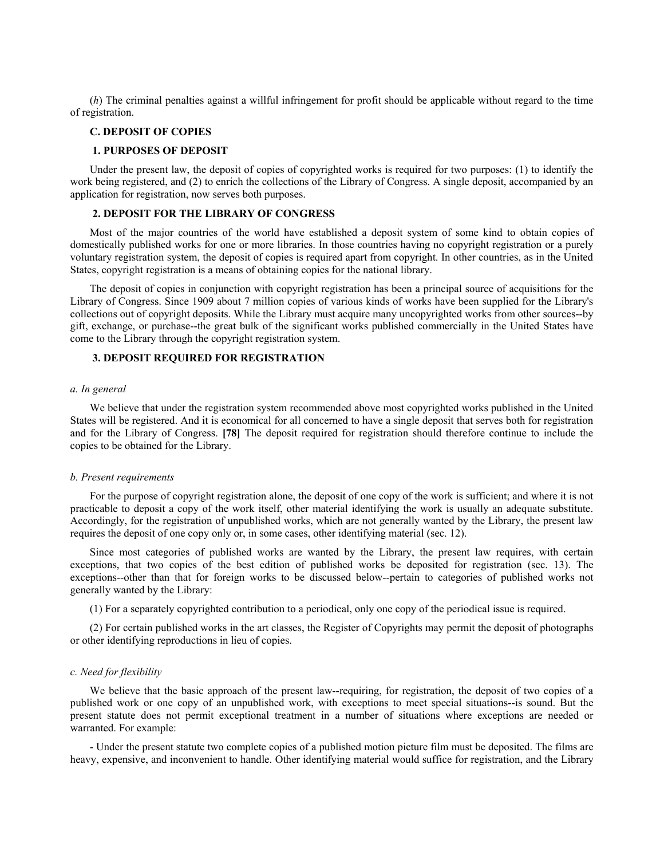(*h*) The criminal penalties against a willful infringement for profit should be applicable without regard to the time of registration.

# **C. DEPOSIT OF COPIES**

#### **1. PURPOSES OF DEPOSIT**

Under the present law, the deposit of copies of copyrighted works is required for two purposes: (1) to identify the work being registered, and (2) to enrich the collections of the Library of Congress. A single deposit, accompanied by an application for registration, now serves both purposes.

## **2. DEPOSIT FOR THE LIBRARY OF CONGRESS**

Most of the major countries of the world have established a deposit system of some kind to obtain copies of domestically published works for one or more libraries. In those countries having no copyright registration or a purely voluntary registration system, the deposit of copies is required apart from copyright. In other countries, as in the United States, copyright registration is a means of obtaining copies for the national library.

The deposit of copies in conjunction with copyright registration has been a principal source of acquisitions for the Library of Congress. Since 1909 about 7 million copies of various kinds of works have been supplied for the Library's collections out of copyright deposits. While the Library must acquire many uncopyrighted works from other sources--by gift, exchange, or purchase--the great bulk of the significant works published commercially in the United States have come to the Library through the copyright registration system.

# **3. DEPOSIT REQUIRED FOR REGISTRATION**

### *a. In general*

We believe that under the registration system recommended above most copyrighted works published in the United States will be registered. And it is economical for all concerned to have a single deposit that serves both for registration and for the Library of Congress. **[78]** The deposit required for registration should therefore continue to include the copies to be obtained for the Library.

#### *b. Present requirements*

For the purpose of copyright registration alone, the deposit of one copy of the work is sufficient; and where it is not practicable to deposit a copy of the work itself, other material identifying the work is usually an adequate substitute. Accordingly, for the registration of unpublished works, which are not generally wanted by the Library, the present law requires the deposit of one copy only or, in some cases, other identifying material (sec. 12).

Since most categories of published works are wanted by the Library, the present law requires, with certain exceptions, that two copies of the best edition of published works be deposited for registration (sec. 13). The exceptions--other than that for foreign works to be discussed below--pertain to categories of published works not generally wanted by the Library:

(1) For a separately copyrighted contribution to a periodical, only one copy of the periodical issue is required.

(2) For certain published works in the art classes, the Register of Copyrights may permit the deposit of photographs or other identifying reproductions in lieu of copies.

### *c. Need for flexibility*

We believe that the basic approach of the present law--requiring, for registration, the deposit of two copies of a published work or one copy of an unpublished work, with exceptions to meet special situations--is sound. But the present statute does not permit exceptional treatment in a number of situations where exceptions are needed or warranted. For example:

- Under the present statute two complete copies of a published motion picture film must be deposited. The films are heavy, expensive, and inconvenient to handle. Other identifying material would suffice for registration, and the Library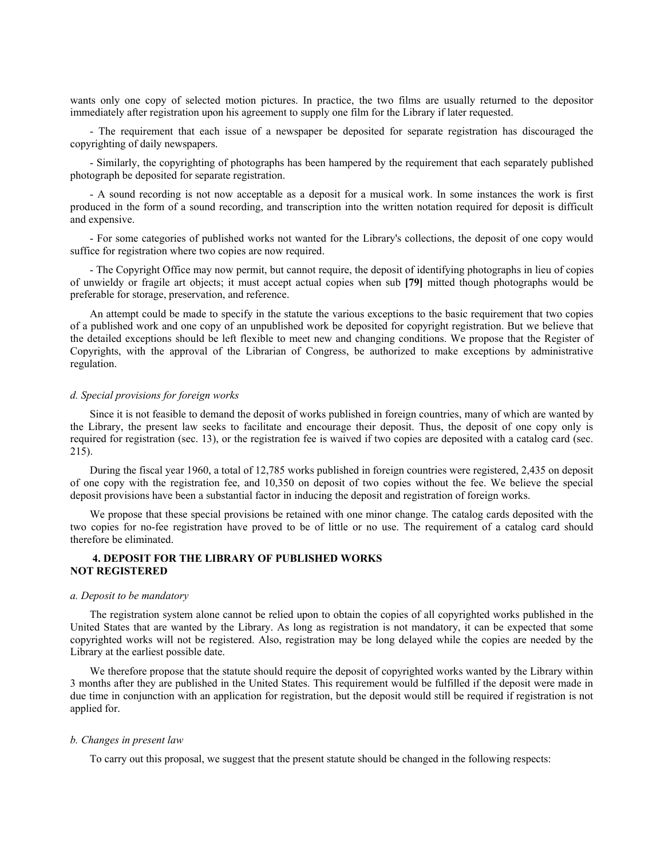wants only one copy of selected motion pictures. In practice, the two films are usually returned to the depositor immediately after registration upon his agreement to supply one film for the Library if later requested.

- The requirement that each issue of a newspaper be deposited for separate registration has discouraged the copyrighting of daily newspapers.

- Similarly, the copyrighting of photographs has been hampered by the requirement that each separately published photograph be deposited for separate registration.

- A sound recording is not now acceptable as a deposit for a musical work. In some instances the work is first produced in the form of a sound recording, and transcription into the written notation required for deposit is difficult and expensive.

- For some categories of published works not wanted for the Library's collections, the deposit of one copy would suffice for registration where two copies are now required.

- The Copyright Office may now permit, but cannot require, the deposit of identifying photographs in lieu of copies of unwieldy or fragile art objects; it must accept actual copies when sub **[79]** mitted though photographs would be preferable for storage, preservation, and reference.

An attempt could be made to specify in the statute the various exceptions to the basic requirement that two copies of a published work and one copy of an unpublished work be deposited for copyright registration. But we believe that the detailed exceptions should be left flexible to meet new and changing conditions. We propose that the Register of Copyrights, with the approval of the Librarian of Congress, be authorized to make exceptions by administrative regulation.

## *d. Special provisions for foreign works*

Since it is not feasible to demand the deposit of works published in foreign countries, many of which are wanted by the Library, the present law seeks to facilitate and encourage their deposit. Thus, the deposit of one copy only is required for registration (sec. 13), or the registration fee is waived if two copies are deposited with a catalog card (sec. 215).

During the fiscal year 1960, a total of 12,785 works published in foreign countries were registered, 2,435 on deposit of one copy with the registration fee, and 10,350 on deposit of two copies without the fee. We believe the special deposit provisions have been a substantial factor in inducing the deposit and registration of foreign works.

We propose that these special provisions be retained with one minor change. The catalog cards deposited with the two copies for no-fee registration have proved to be of little or no use. The requirement of a catalog card should therefore be eliminated.

## **4. DEPOSIT FOR THE LIBRARY OF PUBLISHED WORKS NOT REGISTERED**

# *a. Deposit to be mandatory*

The registration system alone cannot be relied upon to obtain the copies of all copyrighted works published in the United States that are wanted by the Library. As long as registration is not mandatory, it can be expected that some copyrighted works will not be registered. Also, registration may be long delayed while the copies are needed by the Library at the earliest possible date.

We therefore propose that the statute should require the deposit of copyrighted works wanted by the Library within 3 months after they are published in the United States. This requirement would be fulfilled if the deposit were made in due time in conjunction with an application for registration, but the deposit would still be required if registration is not applied for.

## *b. Changes in present law*

To carry out this proposal, we suggest that the present statute should be changed in the following respects: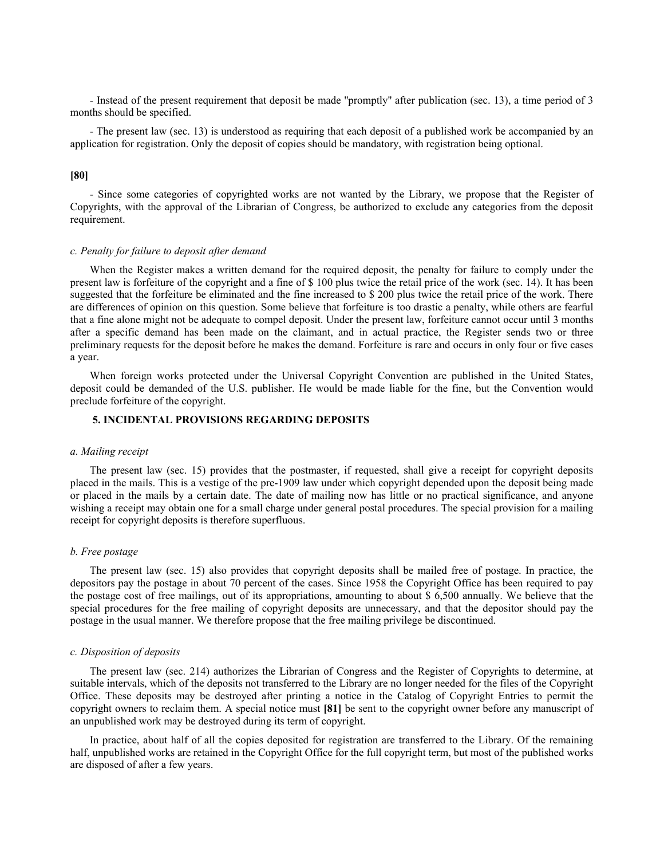- Instead of the present requirement that deposit be made ''promptly'' after publication (sec. 13), a time period of 3 months should be specified.

- The present law (sec. 13) is understood as requiring that each deposit of a published work be accompanied by an application for registration. Only the deposit of copies should be mandatory, with registration being optional.

### **[80]**

- Since some categories of copyrighted works are not wanted by the Library, we propose that the Register of Copyrights, with the approval of the Librarian of Congress, be authorized to exclude any categories from the deposit requirement.

#### *c. Penalty for failure to deposit after demand*

When the Register makes a written demand for the required deposit, the penalty for failure to comply under the present law is forfeiture of the copyright and a fine of \$ 100 plus twice the retail price of the work (sec. 14). It has been suggested that the forfeiture be eliminated and the fine increased to \$ 200 plus twice the retail price of the work. There are differences of opinion on this question. Some believe that forfeiture is too drastic a penalty, while others are fearful that a fine alone might not be adequate to compel deposit. Under the present law, forfeiture cannot occur until 3 months after a specific demand has been made on the claimant, and in actual practice, the Register sends two or three preliminary requests for the deposit before he makes the demand. Forfeiture is rare and occurs in only four or five cases a year.

When foreign works protected under the Universal Copyright Convention are published in the United States, deposit could be demanded of the U.S. publisher. He would be made liable for the fine, but the Convention would preclude forfeiture of the copyright.

## **5. INCIDENTAL PROVISIONS REGARDING DEPOSITS**

#### *a. Mailing receipt*

The present law (sec. 15) provides that the postmaster, if requested, shall give a receipt for copyright deposits placed in the mails. This is a vestige of the pre-1909 law under which copyright depended upon the deposit being made or placed in the mails by a certain date. The date of mailing now has little or no practical significance, and anyone wishing a receipt may obtain one for a small charge under general postal procedures. The special provision for a mailing receipt for copyright deposits is therefore superfluous.

#### *b. Free postage*

The present law (sec. 15) also provides that copyright deposits shall be mailed free of postage. In practice, the depositors pay the postage in about 70 percent of the cases. Since 1958 the Copyright Office has been required to pay the postage cost of free mailings, out of its appropriations, amounting to about \$ 6,500 annually. We believe that the special procedures for the free mailing of copyright deposits are unnecessary, and that the depositor should pay the postage in the usual manner. We therefore propose that the free mailing privilege be discontinued.

#### *c. Disposition of deposits*

The present law (sec. 214) authorizes the Librarian of Congress and the Register of Copyrights to determine, at suitable intervals, which of the deposits not transferred to the Library are no longer needed for the files of the Copyright Office. These deposits may be destroyed after printing a notice in the Catalog of Copyright Entries to permit the copyright owners to reclaim them. A special notice must **[81]** be sent to the copyright owner before any manuscript of an unpublished work may be destroyed during its term of copyright.

In practice, about half of all the copies deposited for registration are transferred to the Library. Of the remaining half, unpublished works are retained in the Copyright Office for the full copyright term, but most of the published works are disposed of after a few years.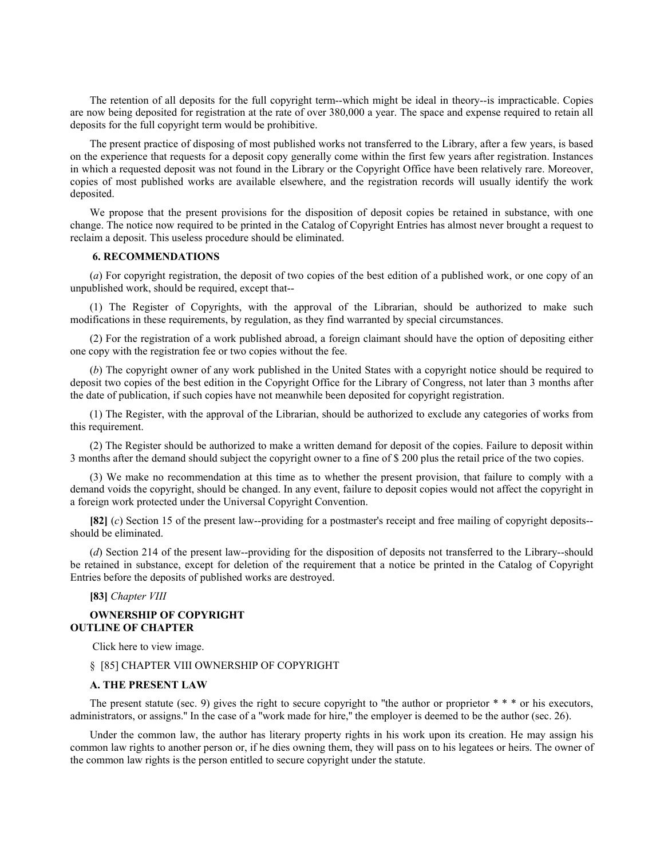The retention of all deposits for the full copyright term--which might be ideal in theory--is impracticable. Copies are now being deposited for registration at the rate of over 380,000 a year. The space and expense required to retain all deposits for the full copyright term would be prohibitive.

The present practice of disposing of most published works not transferred to the Library, after a few years, is based on the experience that requests for a deposit copy generally come within the first few years after registration. Instances in which a requested deposit was not found in the Library or the Copyright Office have been relatively rare. Moreover, copies of most published works are available elsewhere, and the registration records will usually identify the work deposited.

We propose that the present provisions for the disposition of deposit copies be retained in substance, with one change. The notice now required to be printed in the Catalog of Copyright Entries has almost never brought a request to reclaim a deposit. This useless procedure should be eliminated.

# **6. RECOMMENDATIONS**

(*a*) For copyright registration, the deposit of two copies of the best edition of a published work, or one copy of an unpublished work, should be required, except that--

(1) The Register of Copyrights, with the approval of the Librarian, should be authorized to make such modifications in these requirements, by regulation, as they find warranted by special circumstances.

(2) For the registration of a work published abroad, a foreign claimant should have the option of depositing either one copy with the registration fee or two copies without the fee.

(*b*) The copyright owner of any work published in the United States with a copyright notice should be required to deposit two copies of the best edition in the Copyright Office for the Library of Congress, not later than 3 months after the date of publication, if such copies have not meanwhile been deposited for copyright registration.

(1) The Register, with the approval of the Librarian, should be authorized to exclude any categories of works from this requirement.

(2) The Register should be authorized to make a written demand for deposit of the copies. Failure to deposit within 3 months after the demand should subject the copyright owner to a fine of \$ 200 plus the retail price of the two copies.

(3) We make no recommendation at this time as to whether the present provision, that failure to comply with a demand voids the copyright, should be changed. In any event, failure to deposit copies would not affect the copyright in a foreign work protected under the Universal Copyright Convention.

**[82]** (*c*) Section 15 of the present law--providing for a postmaster's receipt and free mailing of copyright deposits- should be eliminated.

(*d*) Section 214 of the present law--providing for the disposition of deposits not transferred to the Library--should be retained in substance, except for deletion of the requirement that a notice be printed in the Catalog of Copyright Entries before the deposits of published works are destroyed.

# **[83]** *Chapter VIII*

# **OWNERSHIP OF COPYRIGHT OUTLINE OF CHAPTER**

Click here to view image.

### § [85] CHAPTER VIII OWNERSHIP OF COPYRIGHT

#### **A. THE PRESENT LAW**

The present statute (sec. 9) gives the right to secure copyright to "the author or proprietor  $**$ " or his executors, administrators, or assigns.'' In the case of a ''work made for hire,'' the employer is deemed to be the author (sec. 26).

Under the common law, the author has literary property rights in his work upon its creation. He may assign his common law rights to another person or, if he dies owning them, they will pass on to his legatees or heirs. The owner of the common law rights is the person entitled to secure copyright under the statute.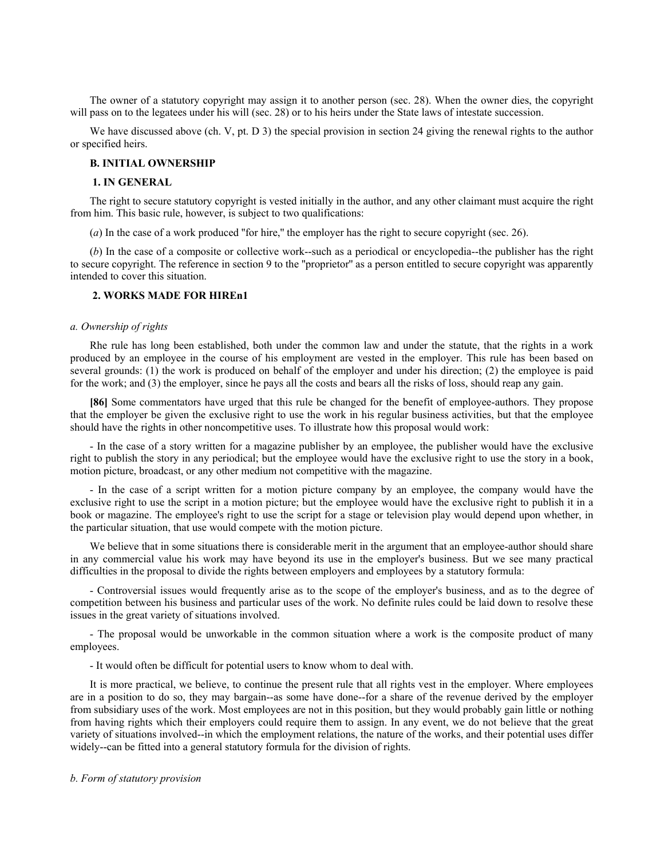The owner of a statutory copyright may assign it to another person (sec. 28). When the owner dies, the copyright will pass on to the legatees under his will (sec. 28) or to his heirs under the State laws of intestate succession.

We have discussed above (ch. V, pt. D 3) the special provision in section 24 giving the renewal rights to the author or specified heirs.

#### **B. INITIAL OWNERSHIP**

## **1. IN GENERAL**

The right to secure statutory copyright is vested initially in the author, and any other claimant must acquire the right from him. This basic rule, however, is subject to two qualifications:

(*a*) In the case of a work produced "for hire," the employer has the right to secure copyright (sec. 26).

(*b*) In the case of a composite or collective work--such as a periodical or encyclopedia--the publisher has the right to secure copyright. The reference in section 9 to the ''proprietor'' as a person entitled to secure copyright was apparently intended to cover this situation.

# **2. WORKS MADE FOR HIREn1**

#### *a. Ownership of rights*

Rhe rule has long been established, both under the common law and under the statute, that the rights in a work produced by an employee in the course of his employment are vested in the employer. This rule has been based on several grounds: (1) the work is produced on behalf of the employer and under his direction; (2) the employee is paid for the work; and (3) the employer, since he pays all the costs and bears all the risks of loss, should reap any gain.

**[86]** Some commentators have urged that this rule be changed for the benefit of employee-authors. They propose that the employer be given the exclusive right to use the work in his regular business activities, but that the employee should have the rights in other noncompetitive uses. To illustrate how this proposal would work:

- In the case of a story written for a magazine publisher by an employee, the publisher would have the exclusive right to publish the story in any periodical; but the employee would have the exclusive right to use the story in a book, motion picture, broadcast, or any other medium not competitive with the magazine.

- In the case of a script written for a motion picture company by an employee, the company would have the exclusive right to use the script in a motion picture; but the employee would have the exclusive right to publish it in a book or magazine. The employee's right to use the script for a stage or television play would depend upon whether, in the particular situation, that use would compete with the motion picture.

We believe that in some situations there is considerable merit in the argument that an employee-author should share in any commercial value his work may have beyond its use in the employer's business. But we see many practical difficulties in the proposal to divide the rights between employers and employees by a statutory formula:

- Controversial issues would frequently arise as to the scope of the employer's business, and as to the degree of competition between his business and particular uses of the work. No definite rules could be laid down to resolve these issues in the great variety of situations involved.

- The proposal would be unworkable in the common situation where a work is the composite product of many employees.

- It would often be difficult for potential users to know whom to deal with.

It is more practical, we believe, to continue the present rule that all rights vest in the employer. Where employees are in a position to do so, they may bargain--as some have done--for a share of the revenue derived by the employer from subsidiary uses of the work. Most employees are not in this position, but they would probably gain little or nothing from having rights which their employers could require them to assign. In any event, we do not believe that the great variety of situations involved--in which the employment relations, the nature of the works, and their potential uses differ widely--can be fitted into a general statutory formula for the division of rights.

#### *b. Form of statutory provision*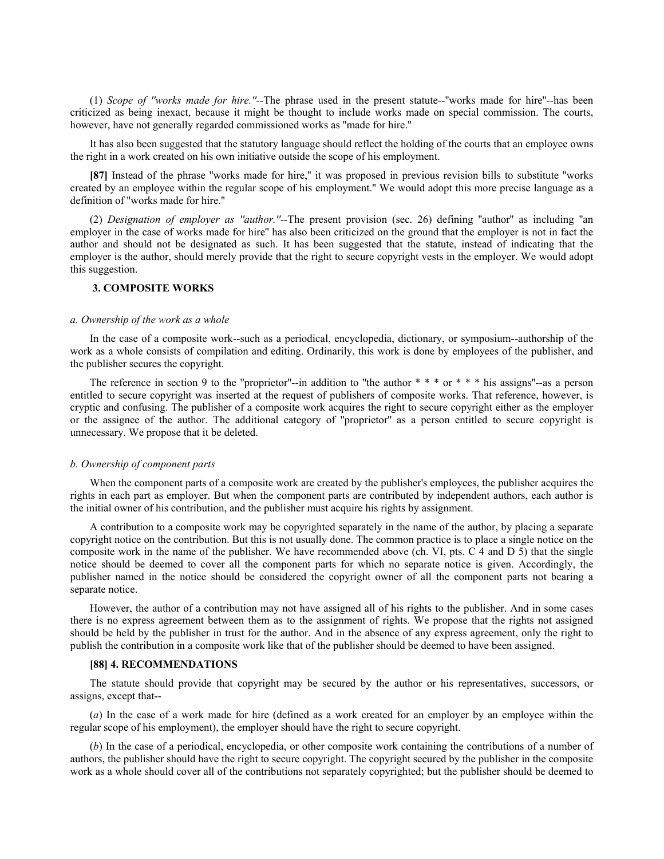(1) *Scope of ''works made for hire.''*--The phrase used in the present statute--''works made for hire''--has been criticized as being inexact, because it might be thought to include works made on special commission. The courts, however, have not generally regarded commissioned works as ''made for hire.''

It has also been suggested that the statutory language should reflect the holding of the courts that an employee owns the right in a work created on his own initiative outside the scope of his employment.

**[87]** Instead of the phrase ''works made for hire,'' it was proposed in previous revision bills to substitute ''works created by an employee within the regular scope of his employment.'' We would adopt this more precise language as a definition of ''works made for hire.''

(2) *Designation of employer as ''author.''*--The present provision (sec. 26) defining ''author'' as including ''an employer in the case of works made for hire'' has also been criticized on the ground that the employer is not in fact the author and should not be designated as such. It has been suggested that the statute, instead of indicating that the employer is the author, should merely provide that the right to secure copyright vests in the employer. We would adopt this suggestion.

# **3. COMPOSITE WORKS**

## *a. Ownership of the work as a whole*

In the case of a composite work--such as a periodical, encyclopedia, dictionary, or symposium--authorship of the work as a whole consists of compilation and editing. Ordinarily, this work is done by employees of the publisher, and the publisher secures the copyright.

The reference in section 9 to the "proprietor"--in addition to "the author  $****$  or  $***$ " his assigns"--as a person entitled to secure copyright was inserted at the request of publishers of composite works. That reference, however, is cryptic and confusing. The publisher of a composite work acquires the right to secure copyright either as the employer or the assignee of the author. The additional category of ''proprietor'' as a person entitled to secure copyright is unnecessary. We propose that it be deleted.

## *b. Ownership of component parts*

When the component parts of a composite work are created by the publisher's employees, the publisher acquires the rights in each part as employer. But when the component parts are contributed by independent authors, each author is the initial owner of his contribution, and the publisher must acquire his rights by assignment.

A contribution to a composite work may be copyrighted separately in the name of the author, by placing a separate copyright notice on the contribution. But this is not usually done. The common practice is to place a single notice on the composite work in the name of the publisher. We have recommended above (ch. VI, pts. C 4 and D 5) that the single notice should be deemed to cover all the component parts for which no separate notice is given. Accordingly, the publisher named in the notice should be considered the copyright owner of all the component parts not bearing a separate notice.

However, the author of a contribution may not have assigned all of his rights to the publisher. And in some cases there is no express agreement between them as to the assignment of rights. We propose that the rights not assigned should be held by the publisher in trust for the author. And in the absence of any express agreement, only the right to publish the contribution in a composite work like that of the publisher should be deemed to have been assigned.

# **[88] 4. RECOMMENDATIONS**

The statute should provide that copyright may be secured by the author or his representatives, successors, or assigns, except that--

(*a*) In the case of a work made for hire (defined as a work created for an employer by an employee within the regular scope of his employment), the employer should have the right to secure copyright.

(*b*) In the case of a periodical, encyclopedia, or other composite work containing the contributions of a number of authors, the publisher should have the right to secure copyright. The copyright secured by the publisher in the composite work as a whole should cover all of the contributions not separately copyrighted; but the publisher should be deemed to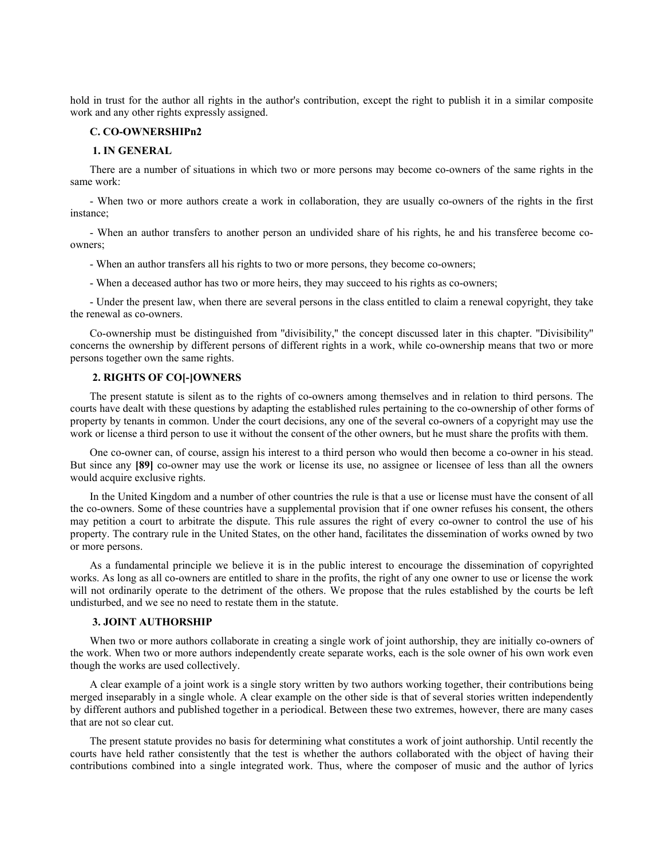hold in trust for the author all rights in the author's contribution, except the right to publish it in a similar composite work and any other rights expressly assigned.

# **C. CO-OWNERSHIPn2**

#### **1. IN GENERAL**

There are a number of situations in which two or more persons may become co-owners of the same rights in the same work:

- When two or more authors create a work in collaboration, they are usually co-owners of the rights in the first instance;

- When an author transfers to another person an undivided share of his rights, he and his transferee become coowners;

- When an author transfers all his rights to two or more persons, they become co-owners;

- When a deceased author has two or more heirs, they may succeed to his rights as co-owners;

- Under the present law, when there are several persons in the class entitled to claim a renewal copyright, they take the renewal as co-owners.

Co-ownership must be distinguished from ''divisibility,'' the concept discussed later in this chapter. ''Divisibility'' concerns the ownership by different persons of different rights in a work, while co-ownership means that two or more persons together own the same rights.

# **2. RIGHTS OF CO[-]OWNERS**

The present statute is silent as to the rights of co-owners among themselves and in relation to third persons. The courts have dealt with these questions by adapting the established rules pertaining to the co-ownership of other forms of property by tenants in common. Under the court decisions, any one of the several co-owners of a copyright may use the work or license a third person to use it without the consent of the other owners, but he must share the profits with them.

One co-owner can, of course, assign his interest to a third person who would then become a co-owner in his stead. But since any **[89]** co-owner may use the work or license its use, no assignee or licensee of less than all the owners would acquire exclusive rights.

In the United Kingdom and a number of other countries the rule is that a use or license must have the consent of all the co-owners. Some of these countries have a supplemental provision that if one owner refuses his consent, the others may petition a court to arbitrate the dispute. This rule assures the right of every co-owner to control the use of his property. The contrary rule in the United States, on the other hand, facilitates the dissemination of works owned by two or more persons.

As a fundamental principle we believe it is in the public interest to encourage the dissemination of copyrighted works. As long as all co-owners are entitled to share in the profits, the right of any one owner to use or license the work will not ordinarily operate to the detriment of the others. We propose that the rules established by the courts be left undisturbed, and we see no need to restate them in the statute.

# **3. JOINT AUTHORSHIP**

When two or more authors collaborate in creating a single work of joint authorship, they are initially co-owners of the work. When two or more authors independently create separate works, each is the sole owner of his own work even though the works are used collectively.

A clear example of a joint work is a single story written by two authors working together, their contributions being merged inseparably in a single whole. A clear example on the other side is that of several stories written independently by different authors and published together in a periodical. Between these two extremes, however, there are many cases that are not so clear cut.

The present statute provides no basis for determining what constitutes a work of joint authorship. Until recently the courts have held rather consistently that the test is whether the authors collaborated with the object of having their contributions combined into a single integrated work. Thus, where the composer of music and the author of lyrics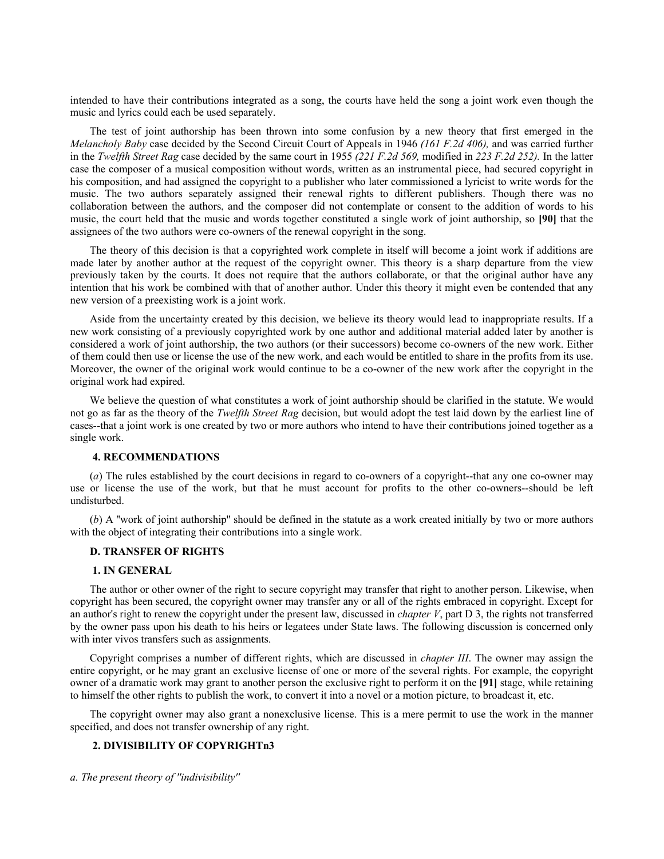intended to have their contributions integrated as a song, the courts have held the song a joint work even though the music and lyrics could each be used separately.

The test of joint authorship has been thrown into some confusion by a new theory that first emerged in the *Melancholy Baby* case decided by the Second Circuit Court of Appeals in 1946 *(161 F.2d 406),* and was carried further in the *Twelfth Street Rag* case decided by the same court in 1955 *(221 F.2d 569,* modified in *223 F.2d 252).* In the latter case the composer of a musical composition without words, written as an instrumental piece, had secured copyright in his composition, and had assigned the copyright to a publisher who later commissioned a lyricist to write words for the music. The two authors separately assigned their renewal rights to different publishers. Though there was no collaboration between the authors, and the composer did not contemplate or consent to the addition of words to his music, the court held that the music and words together constituted a single work of joint authorship, so **[90]** that the assignees of the two authors were co-owners of the renewal copyright in the song.

The theory of this decision is that a copyrighted work complete in itself will become a joint work if additions are made later by another author at the request of the copyright owner. This theory is a sharp departure from the view previously taken by the courts. It does not require that the authors collaborate, or that the original author have any intention that his work be combined with that of another author. Under this theory it might even be contended that any new version of a preexisting work is a joint work.

Aside from the uncertainty created by this decision, we believe its theory would lead to inappropriate results. If a new work consisting of a previously copyrighted work by one author and additional material added later by another is considered a work of joint authorship, the two authors (or their successors) become co-owners of the new work. Either of them could then use or license the use of the new work, and each would be entitled to share in the profits from its use. Moreover, the owner of the original work would continue to be a co-owner of the new work after the copyright in the original work had expired.

We believe the question of what constitutes a work of joint authorship should be clarified in the statute. We would not go as far as the theory of the *Twelfth Street Rag* decision, but would adopt the test laid down by the earliest line of cases--that a joint work is one created by two or more authors who intend to have their contributions joined together as a single work.

#### **4. RECOMMENDATIONS**

(*a*) The rules established by the court decisions in regard to co-owners of a copyright--that any one co-owner may use or license the use of the work, but that he must account for profits to the other co-owners--should be left undisturbed.

(*b*) A ''work of joint authorship'' should be defined in the statute as a work created initially by two or more authors with the object of integrating their contributions into a single work.

#### **D. TRANSFER OF RIGHTS**

### **1. IN GENERAL**

The author or other owner of the right to secure copyright may transfer that right to another person. Likewise, when copyright has been secured, the copyright owner may transfer any or all of the rights embraced in copyright. Except for an author's right to renew the copyright under the present law, discussed in *chapter V*, part D 3, the rights not transferred by the owner pass upon his death to his heirs or legatees under State laws. The following discussion is concerned only with inter vivos transfers such as assignments.

Copyright comprises a number of different rights, which are discussed in *chapter III*. The owner may assign the entire copyright, or he may grant an exclusive license of one or more of the several rights. For example, the copyright owner of a dramatic work may grant to another person the exclusive right to perform it on the **[91]** stage, while retaining to himself the other rights to publish the work, to convert it into a novel or a motion picture, to broadcast it, etc.

The copyright owner may also grant a nonexclusive license. This is a mere permit to use the work in the manner specified, and does not transfer ownership of any right.

# **2. DIVISIBILITY OF COPYRIGHTn3**

*a. The present theory of ''indivisibility''*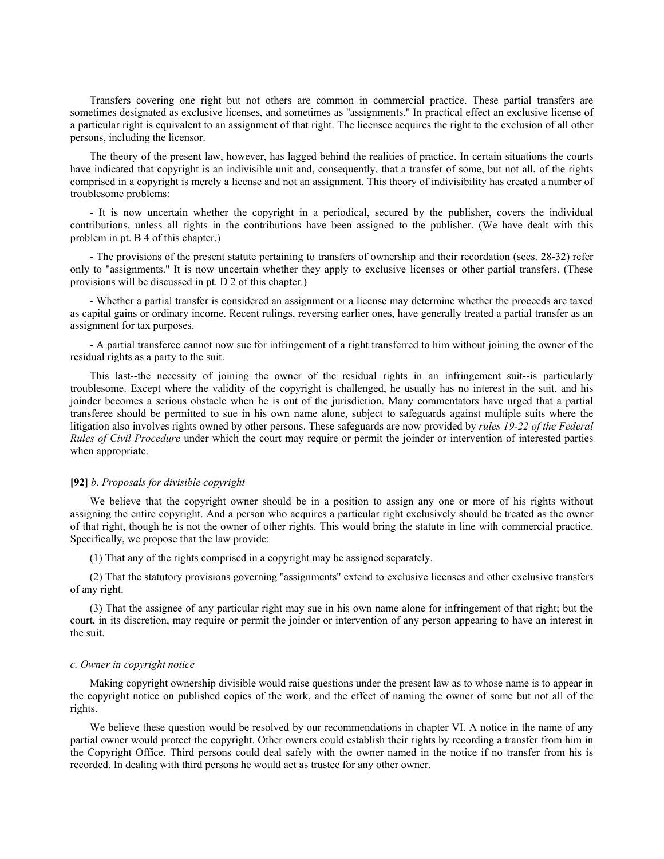Transfers covering one right but not others are common in commercial practice. These partial transfers are sometimes designated as exclusive licenses, and sometimes as ''assignments.'' In practical effect an exclusive license of a particular right is equivalent to an assignment of that right. The licensee acquires the right to the exclusion of all other persons, including the licensor.

The theory of the present law, however, has lagged behind the realities of practice. In certain situations the courts have indicated that copyright is an indivisible unit and, consequently, that a transfer of some, but not all, of the rights comprised in a copyright is merely a license and not an assignment. This theory of indivisibility has created a number of troublesome problems:

- It is now uncertain whether the copyright in a periodical, secured by the publisher, covers the individual contributions, unless all rights in the contributions have been assigned to the publisher. (We have dealt with this problem in pt. B 4 of this chapter.)

- The provisions of the present statute pertaining to transfers of ownership and their recordation (secs. 28-32) refer only to "assignments." It is now uncertain whether they apply to exclusive licenses or other partial transfers. (These provisions will be discussed in pt. D 2 of this chapter.)

- Whether a partial transfer is considered an assignment or a license may determine whether the proceeds are taxed as capital gains or ordinary income. Recent rulings, reversing earlier ones, have generally treated a partial transfer as an assignment for tax purposes.

- A partial transferee cannot now sue for infringement of a right transferred to him without joining the owner of the residual rights as a party to the suit.

This last--the necessity of joining the owner of the residual rights in an infringement suit--is particularly troublesome. Except where the validity of the copyright is challenged, he usually has no interest in the suit, and his joinder becomes a serious obstacle when he is out of the jurisdiction. Many commentators have urged that a partial transferee should be permitted to sue in his own name alone, subject to safeguards against multiple suits where the litigation also involves rights owned by other persons. These safeguards are now provided by *rules 19-22 of the Federal Rules of Civil Procedure* under which the court may require or permit the joinder or intervention of interested parties when appropriate.

# **[92]** *b. Proposals for divisible copyright*

We believe that the copyright owner should be in a position to assign any one or more of his rights without assigning the entire copyright. And a person who acquires a particular right exclusively should be treated as the owner of that right, though he is not the owner of other rights. This would bring the statute in line with commercial practice. Specifically, we propose that the law provide:

(1) That any of the rights comprised in a copyright may be assigned separately.

(2) That the statutory provisions governing ''assignments'' extend to exclusive licenses and other exclusive transfers of any right.

(3) That the assignee of any particular right may sue in his own name alone for infringement of that right; but the court, in its discretion, may require or permit the joinder or intervention of any person appearing to have an interest in the suit.

## *c. Owner in copyright notice*

Making copyright ownership divisible would raise questions under the present law as to whose name is to appear in the copyright notice on published copies of the work, and the effect of naming the owner of some but not all of the rights.

We believe these question would be resolved by our recommendations in chapter VI. A notice in the name of any partial owner would protect the copyright. Other owners could establish their rights by recording a transfer from him in the Copyright Office. Third persons could deal safely with the owner named in the notice if no transfer from his is recorded. In dealing with third persons he would act as trustee for any other owner.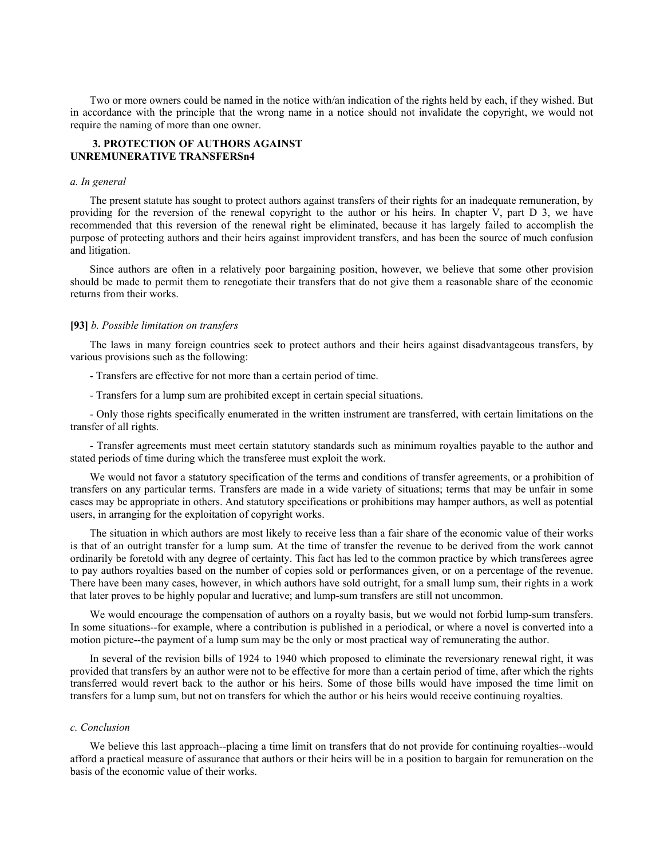Two or more owners could be named in the notice with/an indication of the rights held by each, if they wished. But in accordance with the principle that the wrong name in a notice should not invalidate the copyright, we would not require the naming of more than one owner.

# **3. PROTECTION OF AUTHORS AGAINST UNREMUNERATIVE TRANSFERSn4**

### *a. In general*

The present statute has sought to protect authors against transfers of their rights for an inadequate remuneration, by providing for the reversion of the renewal copyright to the author or his heirs. In chapter V, part D 3, we have recommended that this reversion of the renewal right be eliminated, because it has largely failed to accomplish the purpose of protecting authors and their heirs against improvident transfers, and has been the source of much confusion and litigation.

Since authors are often in a relatively poor bargaining position, however, we believe that some other provision should be made to permit them to renegotiate their transfers that do not give them a reasonable share of the economic returns from their works.

#### **[93]** *b. Possible limitation on transfers*

The laws in many foreign countries seek to protect authors and their heirs against disadvantageous transfers, by various provisions such as the following:

- Transfers are effective for not more than a certain period of time.
- Transfers for a lump sum are prohibited except in certain special situations.

- Only those rights specifically enumerated in the written instrument are transferred, with certain limitations on the transfer of all rights.

- Transfer agreements must meet certain statutory standards such as minimum royalties payable to the author and stated periods of time during which the transferee must exploit the work.

We would not favor a statutory specification of the terms and conditions of transfer agreements, or a prohibition of transfers on any particular terms. Transfers are made in a wide variety of situations; terms that may be unfair in some cases may be appropriate in others. And statutory specifications or prohibitions may hamper authors, as well as potential users, in arranging for the exploitation of copyright works.

The situation in which authors are most likely to receive less than a fair share of the economic value of their works is that of an outright transfer for a lump sum. At the time of transfer the revenue to be derived from the work cannot ordinarily be foretold with any degree of certainty. This fact has led to the common practice by which transferees agree to pay authors royalties based on the number of copies sold or performances given, or on a percentage of the revenue. There have been many cases, however, in which authors have sold outright, for a small lump sum, their rights in a work that later proves to be highly popular and lucrative; and lump-sum transfers are still not uncommon.

We would encourage the compensation of authors on a royalty basis, but we would not forbid lump-sum transfers. In some situations--for example, where a contribution is published in a periodical, or where a novel is converted into a motion picture--the payment of a lump sum may be the only or most practical way of remunerating the author.

In several of the revision bills of 1924 to 1940 which proposed to eliminate the reversionary renewal right, it was provided that transfers by an author were not to be effective for more than a certain period of time, after which the rights transferred would revert back to the author or his heirs. Some of those bills would have imposed the time limit on transfers for a lump sum, but not on transfers for which the author or his heirs would receive continuing royalties.

# *c. Conclusion*

We believe this last approach--placing a time limit on transfers that do not provide for continuing royalties--would afford a practical measure of assurance that authors or their heirs will be in a position to bargain for remuneration on the basis of the economic value of their works.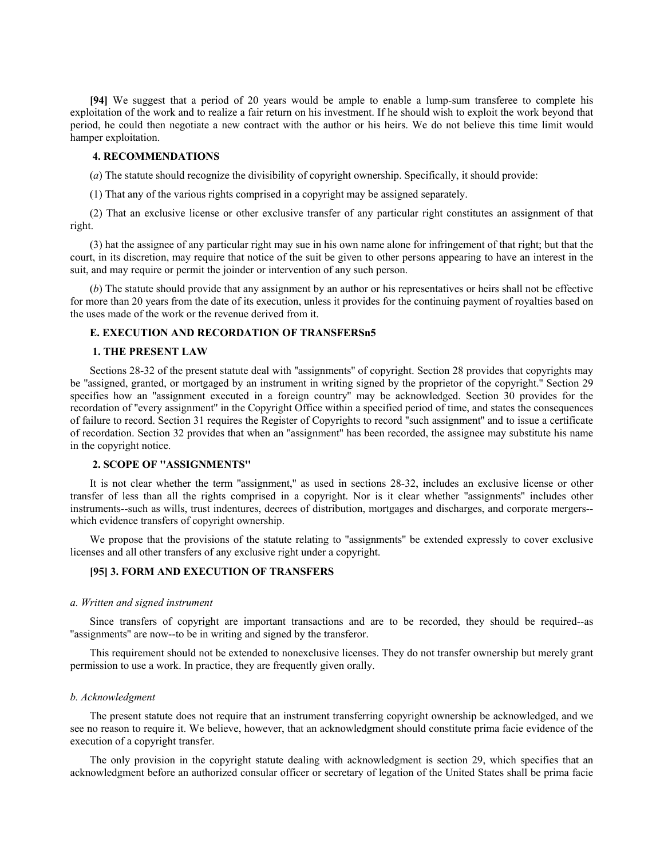**[94]** We suggest that a period of 20 years would be ample to enable a lump-sum transferee to complete his exploitation of the work and to realize a fair return on his investment. If he should wish to exploit the work beyond that period, he could then negotiate a new contract with the author or his heirs. We do not believe this time limit would hamper exploitation.

## **4. RECOMMENDATIONS**

(*a*) The statute should recognize the divisibility of copyright ownership. Specifically, it should provide:

(1) That any of the various rights comprised in a copyright may be assigned separately.

(2) That an exclusive license or other exclusive transfer of any particular right constitutes an assignment of that right.

(3) hat the assignee of any particular right may sue in his own name alone for infringement of that right; but that the court, in its discretion, may require that notice of the suit be given to other persons appearing to have an interest in the suit, and may require or permit the joinder or intervention of any such person.

(*b*) The statute should provide that any assignment by an author or his representatives or heirs shall not be effective for more than 20 years from the date of its execution, unless it provides for the continuing payment of royalties based on the uses made of the work or the revenue derived from it.

# **E. EXECUTION AND RECORDATION OF TRANSFERSn5**

### **1. THE PRESENT LAW**

Sections 28-32 of the present statute deal with ''assignments'' of copyright. Section 28 provides that copyrights may be ''assigned, granted, or mortgaged by an instrument in writing signed by the proprietor of the copyright.'' Section 29 specifies how an ''assignment executed in a foreign country'' may be acknowledged. Section 30 provides for the recordation of ''every assignment'' in the Copyright Office within a specified period of time, and states the consequences of failure to record. Section 31 requires the Register of Copyrights to record ''such assignment'' and to issue a certificate of recordation. Section 32 provides that when an ''assignment'' has been recorded, the assignee may substitute his name in the copyright notice.

# **2. SCOPE OF ''ASSIGNMENTS''**

It is not clear whether the term "assignment," as used in sections 28-32, includes an exclusive license or other transfer of less than all the rights comprised in a copyright. Nor is it clear whether ''assignments'' includes other instruments--such as wills, trust indentures, decrees of distribution, mortgages and discharges, and corporate mergers- which evidence transfers of copyright ownership.

We propose that the provisions of the statute relating to ''assignments'' be extended expressly to cover exclusive licenses and all other transfers of any exclusive right under a copyright.

# **[95] 3. FORM AND EXECUTION OF TRANSFERS**

# *a. Written and signed instrument*

Since transfers of copyright are important transactions and are to be recorded, they should be required--as ''assignments'' are now--to be in writing and signed by the transferor.

This requirement should not be extended to nonexclusive licenses. They do not transfer ownership but merely grant permission to use a work. In practice, they are frequently given orally.

# *b. Acknowledgment*

The present statute does not require that an instrument transferring copyright ownership be acknowledged, and we see no reason to require it. We believe, however, that an acknowledgment should constitute prima facie evidence of the execution of a copyright transfer.

The only provision in the copyright statute dealing with acknowledgment is section 29, which specifies that an acknowledgment before an authorized consular officer or secretary of legation of the United States shall be prima facie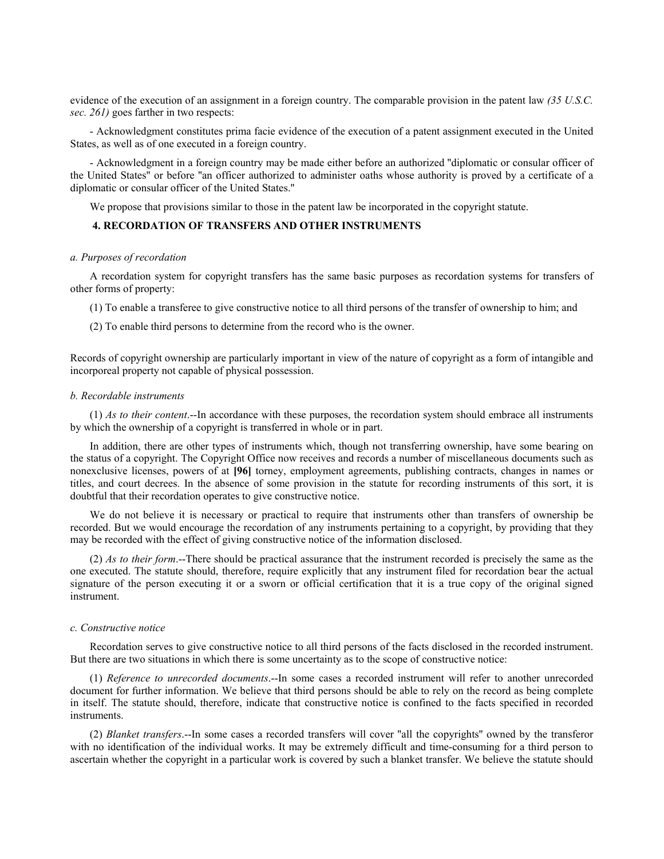evidence of the execution of an assignment in a foreign country. The comparable provision in the patent law *(35 U.S.C. sec. 261)* goes farther in two respects:

- Acknowledgment constitutes prima facie evidence of the execution of a patent assignment executed in the United States, as well as of one executed in a foreign country.

- Acknowledgment in a foreign country may be made either before an authorized ''diplomatic or consular officer of the United States'' or before ''an officer authorized to administer oaths whose authority is proved by a certificate of a diplomatic or consular officer of the United States.''

We propose that provisions similar to those in the patent law be incorporated in the copyright statute.

# **4. RECORDATION OF TRANSFERS AND OTHER INSTRUMENTS**

### *a. Purposes of recordation*

A recordation system for copyright transfers has the same basic purposes as recordation systems for transfers of other forms of property:

(1) To enable a transferee to give constructive notice to all third persons of the transfer of ownership to him; and

(2) To enable third persons to determine from the record who is the owner.

Records of copyright ownership are particularly important in view of the nature of copyright as a form of intangible and incorporeal property not capable of physical possession.

# *b. Recordable instruments*

(1) *As to their content*.--In accordance with these purposes, the recordation system should embrace all instruments by which the ownership of a copyright is transferred in whole or in part.

In addition, there are other types of instruments which, though not transferring ownership, have some bearing on the status of a copyright. The Copyright Office now receives and records a number of miscellaneous documents such as nonexclusive licenses, powers of at **[96]** torney, employment agreements, publishing contracts, changes in names or titles, and court decrees. In the absence of some provision in the statute for recording instruments of this sort, it is doubtful that their recordation operates to give constructive notice.

We do not believe it is necessary or practical to require that instruments other than transfers of ownership be recorded. But we would encourage the recordation of any instruments pertaining to a copyright, by providing that they may be recorded with the effect of giving constructive notice of the information disclosed.

(2) *As to their form*.--There should be practical assurance that the instrument recorded is precisely the same as the one executed. The statute should, therefore, require explicitly that any instrument filed for recordation bear the actual signature of the person executing it or a sworn or official certification that it is a true copy of the original signed instrument.

### *c. Constructive notice*

Recordation serves to give constructive notice to all third persons of the facts disclosed in the recorded instrument. But there are two situations in which there is some uncertainty as to the scope of constructive notice:

(1) *Reference to unrecorded documents*.--In some cases a recorded instrument will refer to another unrecorded document for further information. We believe that third persons should be able to rely on the record as being complete in itself. The statute should, therefore, indicate that constructive notice is confined to the facts specified in recorded instruments.

(2) *Blanket transfers*.--In some cases a recorded transfers will cover ''all the copyrights'' owned by the transferor with no identification of the individual works. It may be extremely difficult and time-consuming for a third person to ascertain whether the copyright in a particular work is covered by such a blanket transfer. We believe the statute should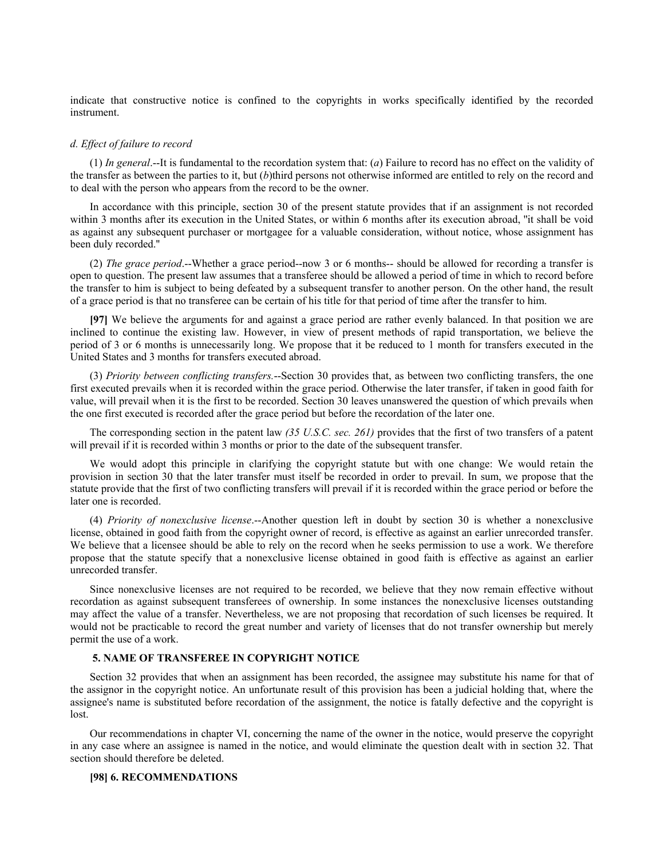indicate that constructive notice is confined to the copyrights in works specifically identified by the recorded instrument.

## *d. Effect of failure to record*

(1) *In general*.--It is fundamental to the recordation system that: (*a*) Failure to record has no effect on the validity of the transfer as between the parties to it, but (*b*)third persons not otherwise informed are entitled to rely on the record and to deal with the person who appears from the record to be the owner.

In accordance with this principle, section 30 of the present statute provides that if an assignment is not recorded within 3 months after its execution in the United States, or within 6 months after its execution abroad, ''it shall be void as against any subsequent purchaser or mortgagee for a valuable consideration, without notice, whose assignment has been duly recorded.''

(2) *The grace period*.--Whether a grace period--now 3 or 6 months-- should be allowed for recording a transfer is open to question. The present law assumes that a transferee should be allowed a period of time in which to record before the transfer to him is subject to being defeated by a subsequent transfer to another person. On the other hand, the result of a grace period is that no transferee can be certain of his title for that period of time after the transfer to him.

**[97]** We believe the arguments for and against a grace period are rather evenly balanced. In that position we are inclined to continue the existing law. However, in view of present methods of rapid transportation, we believe the period of 3 or 6 months is unnecessarily long. We propose that it be reduced to 1 month for transfers executed in the United States and 3 months for transfers executed abroad.

(3) *Priority between conflicting transfers.*--Section 30 provides that, as between two conflicting transfers, the one first executed prevails when it is recorded within the grace period. Otherwise the later transfer, if taken in good faith for value, will prevail when it is the first to be recorded. Section 30 leaves unanswered the question of which prevails when the one first executed is recorded after the grace period but before the recordation of the later one.

The corresponding section in the patent law *(35 U.S.C. sec. 261)* provides that the first of two transfers of a patent will prevail if it is recorded within 3 months or prior to the date of the subsequent transfer.

We would adopt this principle in clarifying the copyright statute but with one change: We would retain the provision in section 30 that the later transfer must itself be recorded in order to prevail. In sum, we propose that the statute provide that the first of two conflicting transfers will prevail if it is recorded within the grace period or before the later one is recorded.

(4) *Priority of nonexclusive license*.--Another question left in doubt by section 30 is whether a nonexclusive license, obtained in good faith from the copyright owner of record, is effective as against an earlier unrecorded transfer. We believe that a licensee should be able to rely on the record when he seeks permission to use a work. We therefore propose that the statute specify that a nonexclusive license obtained in good faith is effective as against an earlier unrecorded transfer.

Since nonexclusive licenses are not required to be recorded, we believe that they now remain effective without recordation as against subsequent transferees of ownership. In some instances the nonexclusive licenses outstanding may affect the value of a transfer. Nevertheless, we are not proposing that recordation of such licenses be required. It would not be practicable to record the great number and variety of licenses that do not transfer ownership but merely permit the use of a work.

### **5. NAME OF TRANSFEREE IN COPYRIGHT NOTICE**

Section 32 provides that when an assignment has been recorded, the assignee may substitute his name for that of the assignor in the copyright notice. An unfortunate result of this provision has been a judicial holding that, where the assignee's name is substituted before recordation of the assignment, the notice is fatally defective and the copyright is lost.

Our recommendations in chapter VI, concerning the name of the owner in the notice, would preserve the copyright in any case where an assignee is named in the notice, and would eliminate the question dealt with in section 32. That section should therefore be deleted.

# **[98] 6. RECOMMENDATIONS**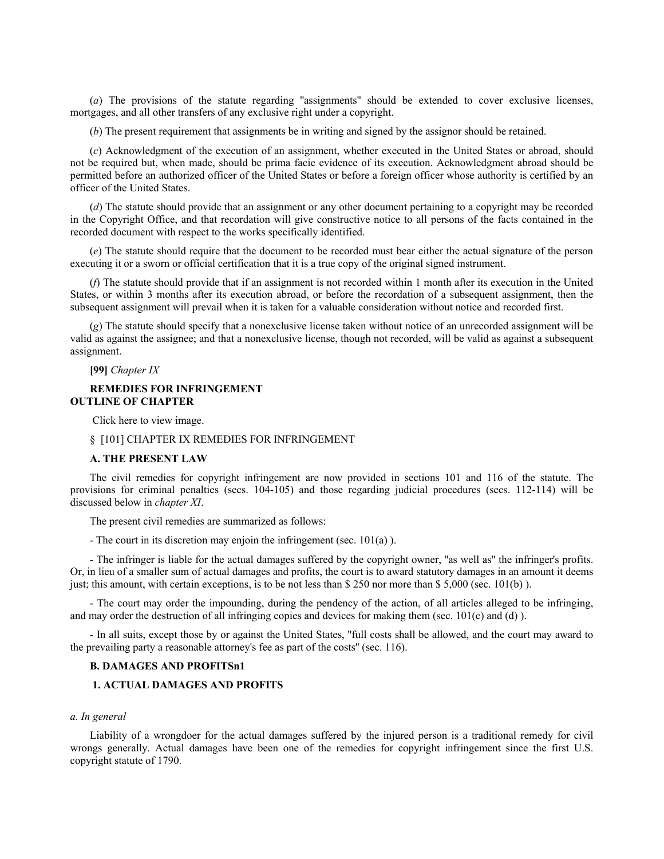(*a*) The provisions of the statute regarding ''assignments'' should be extended to cover exclusive licenses, mortgages, and all other transfers of any exclusive right under a copyright.

(*b*) The present requirement that assignments be in writing and signed by the assignor should be retained.

(*c*) Acknowledgment of the execution of an assignment, whether executed in the United States or abroad, should not be required but, when made, should be prima facie evidence of its execution. Acknowledgment abroad should be permitted before an authorized officer of the United States or before a foreign officer whose authority is certified by an officer of the United States.

(*d*) The statute should provide that an assignment or any other document pertaining to a copyright may be recorded in the Copyright Office, and that recordation will give constructive notice to all persons of the facts contained in the recorded document with respect to the works specifically identified.

(*e*) The statute should require that the document to be recorded must bear either the actual signature of the person executing it or a sworn or official certification that it is a true copy of the original signed instrument.

(*f*) The statute should provide that if an assignment is not recorded within 1 month after its execution in the United States, or within 3 months after its execution abroad, or before the recordation of a subsequent assignment, then the subsequent assignment will prevail when it is taken for a valuable consideration without notice and recorded first.

(*g*) The statute should specify that a nonexclusive license taken without notice of an unrecorded assignment will be valid as against the assignee; and that a nonexclusive license, though not recorded, will be valid as against a subsequent assignment.

**[99]** *Chapter IX*

### **REMEDIES FOR INFRINGEMENT OUTLINE OF CHAPTER**

Click here to view image.

### § [101] CHAPTER IX REMEDIES FOR INFRINGEMENT

## **A. THE PRESENT LAW**

The civil remedies for copyright infringement are now provided in sections 101 and 116 of the statute. The provisions for criminal penalties (secs. 104-105) and those regarding judicial procedures (secs. 112-114) will be discussed below in *chapter XI*.

The present civil remedies are summarized as follows:

- The court in its discretion may enjoin the infringement (sec. 101(a) ).

- The infringer is liable for the actual damages suffered by the copyright owner, ''as well as'' the infringer's profits. Or, in lieu of a smaller sum of actual damages and profits, the court is to award statutory damages in an amount it deems just; this amount, with certain exceptions, is to be not less than \$ 250 nor more than \$ 5,000 (sec. 101(b) ).

- The court may order the impounding, during the pendency of the action, of all articles alleged to be infringing, and may order the destruction of all infringing copies and devices for making them (sec. 101(c) and (d) ).

- In all suits, except those by or against the United States, ''full costs shall be allowed, and the court may award to the prevailing party a reasonable attorney's fee as part of the costs'' (sec. 116).

# **B. DAMAGES AND PROFITSn1**

## **1. ACTUAL DAMAGES AND PROFITS**

## *a. In general*

Liability of a wrongdoer for the actual damages suffered by the injured person is a traditional remedy for civil wrongs generally. Actual damages have been one of the remedies for copyright infringement since the first U.S. copyright statute of 1790.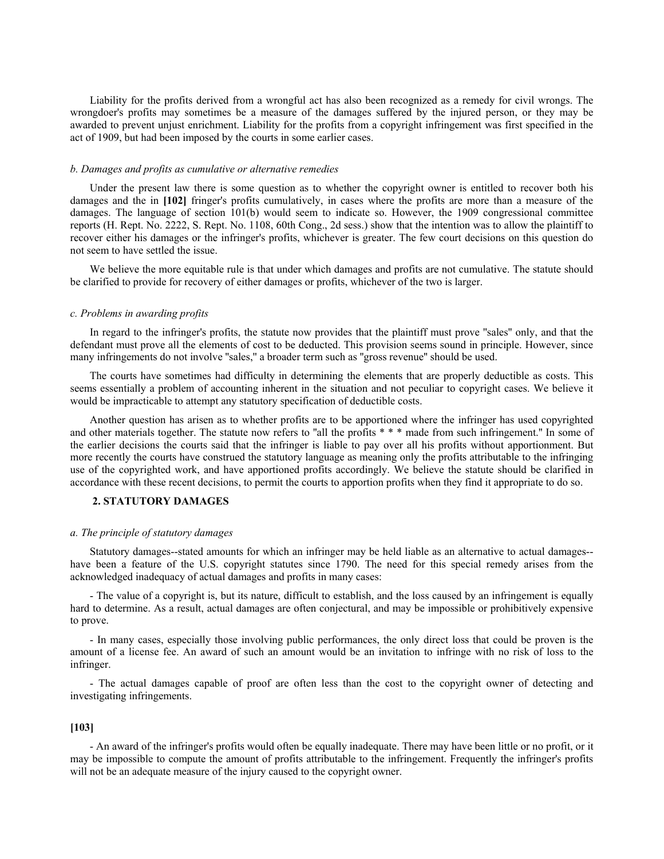Liability for the profits derived from a wrongful act has also been recognized as a remedy for civil wrongs. The wrongdoer's profits may sometimes be a measure of the damages suffered by the injured person, or they may be awarded to prevent unjust enrichment. Liability for the profits from a copyright infringement was first specified in the act of 1909, but had been imposed by the courts in some earlier cases.

#### *b. Damages and profits as cumulative or alternative remedies*

Under the present law there is some question as to whether the copyright owner is entitled to recover both his damages and the in **[102]** fringer's profits cumulatively, in cases where the profits are more than a measure of the damages. The language of section 101(b) would seem to indicate so. However, the 1909 congressional committee reports (H. Rept. No. 2222, S. Rept. No. 1108, 60th Cong., 2d sess.) show that the intention was to allow the plaintiff to recover either his damages or the infringer's profits, whichever is greater. The few court decisions on this question do not seem to have settled the issue.

We believe the more equitable rule is that under which damages and profits are not cumulative. The statute should be clarified to provide for recovery of either damages or profits, whichever of the two is larger.

#### *c. Problems in awarding profits*

In regard to the infringer's profits, the statute now provides that the plaintiff must prove ''sales'' only, and that the defendant must prove all the elements of cost to be deducted. This provision seems sound in principle. However, since many infringements do not involve ''sales,'' a broader term such as ''gross revenue'' should be used.

The courts have sometimes had difficulty in determining the elements that are properly deductible as costs. This seems essentially a problem of accounting inherent in the situation and not peculiar to copyright cases. We believe it would be impracticable to attempt any statutory specification of deductible costs.

Another question has arisen as to whether profits are to be apportioned where the infringer has used copyrighted and other materials together. The statute now refers to "all the profits  $**$ " made from such infringement." In some of the earlier decisions the courts said that the infringer is liable to pay over all his profits without apportionment. But more recently the courts have construed the statutory language as meaning only the profits attributable to the infringing use of the copyrighted work, and have apportioned profits accordingly. We believe the statute should be clarified in accordance with these recent decisions, to permit the courts to apportion profits when they find it appropriate to do so.

# **2. STATUTORY DAMAGES**

#### *a. The principle of statutory damages*

Statutory damages--stated amounts for which an infringer may be held liable as an alternative to actual damages- have been a feature of the U.S. copyright statutes since 1790. The need for this special remedy arises from the acknowledged inadequacy of actual damages and profits in many cases:

- The value of a copyright is, but its nature, difficult to establish, and the loss caused by an infringement is equally hard to determine. As a result, actual damages are often conjectural, and may be impossible or prohibitively expensive to prove.

- In many cases, especially those involving public performances, the only direct loss that could be proven is the amount of a license fee. An award of such an amount would be an invitation to infringe with no risk of loss to the infringer.

- The actual damages capable of proof are often less than the cost to the copyright owner of detecting and investigating infringements.

### **[103]**

- An award of the infringer's profits would often be equally inadequate. There may have been little or no profit, or it may be impossible to compute the amount of profits attributable to the infringement. Frequently the infringer's profits will not be an adequate measure of the injury caused to the copyright owner.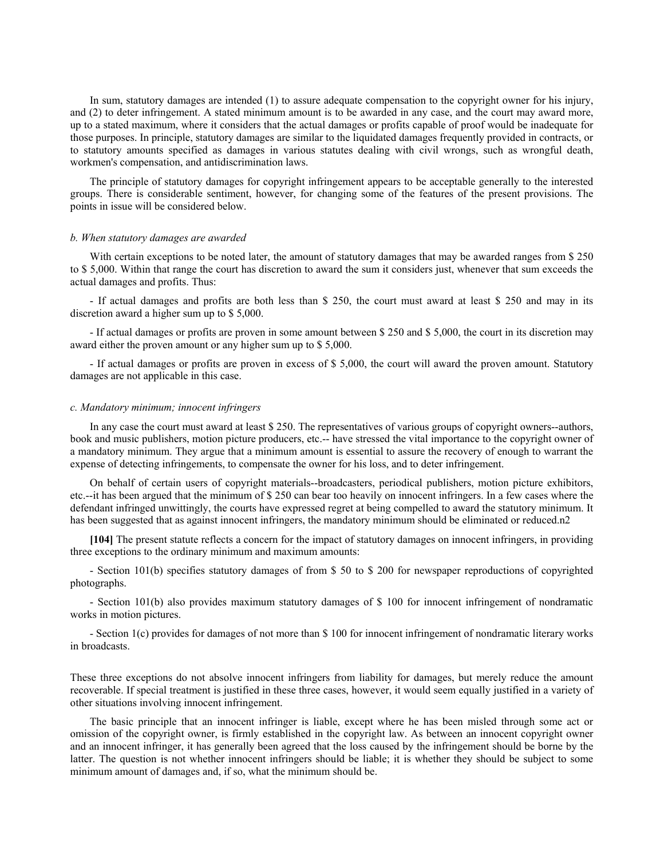In sum, statutory damages are intended (1) to assure adequate compensation to the copyright owner for his injury, and (2) to deter infringement. A stated minimum amount is to be awarded in any case, and the court may award more, up to a stated maximum, where it considers that the actual damages or profits capable of proof would be inadequate for those purposes. In principle, statutory damages are similar to the liquidated damages frequently provided in contracts, or to statutory amounts specified as damages in various statutes dealing with civil wrongs, such as wrongful death, workmen's compensation, and antidiscrimination laws.

The principle of statutory damages for copyright infringement appears to be acceptable generally to the interested groups. There is considerable sentiment, however, for changing some of the features of the present provisions. The points in issue will be considered below.

## *b. When statutory damages are awarded*

With certain exceptions to be noted later, the amount of statutory damages that may be awarded ranges from \$250 to \$ 5,000. Within that range the court has discretion to award the sum it considers just, whenever that sum exceeds the actual damages and profits. Thus:

- If actual damages and profits are both less than \$ 250, the court must award at least \$ 250 and may in its discretion award a higher sum up to \$ 5,000.

- If actual damages or profits are proven in some amount between \$ 250 and \$ 5,000, the court in its discretion may award either the proven amount or any higher sum up to \$ 5,000.

- If actual damages or profits are proven in excess of \$ 5,000, the court will award the proven amount. Statutory damages are not applicable in this case.

#### *c. Mandatory minimum; innocent infringers*

In any case the court must award at least \$ 250. The representatives of various groups of copyright owners--authors, book and music publishers, motion picture producers, etc.-- have stressed the vital importance to the copyright owner of a mandatory minimum. They argue that a minimum amount is essential to assure the recovery of enough to warrant the expense of detecting infringements, to compensate the owner for his loss, and to deter infringement.

On behalf of certain users of copyright materials--broadcasters, periodical publishers, motion picture exhibitors, etc.--it has been argued that the minimum of \$ 250 can bear too heavily on innocent infringers. In a few cases where the defendant infringed unwittingly, the courts have expressed regret at being compelled to award the statutory minimum. It has been suggested that as against innocent infringers, the mandatory minimum should be eliminated or reduced.n2

**[104]** The present statute reflects a concern for the impact of statutory damages on innocent infringers, in providing three exceptions to the ordinary minimum and maximum amounts:

- Section 101(b) specifies statutory damages of from \$ 50 to \$ 200 for newspaper reproductions of copyrighted photographs.

- Section 101(b) also provides maximum statutory damages of \$ 100 for innocent infringement of nondramatic works in motion pictures.

- Section 1(c) provides for damages of not more than \$ 100 for innocent infringement of nondramatic literary works in broadcasts.

These three exceptions do not absolve innocent infringers from liability for damages, but merely reduce the amount recoverable. If special treatment is justified in these three cases, however, it would seem equally justified in a variety of other situations involving innocent infringement.

The basic principle that an innocent infringer is liable, except where he has been misled through some act or omission of the copyright owner, is firmly established in the copyright law. As between an innocent copyright owner and an innocent infringer, it has generally been agreed that the loss caused by the infringement should be borne by the latter. The question is not whether innocent infringers should be liable; it is whether they should be subject to some minimum amount of damages and, if so, what the minimum should be.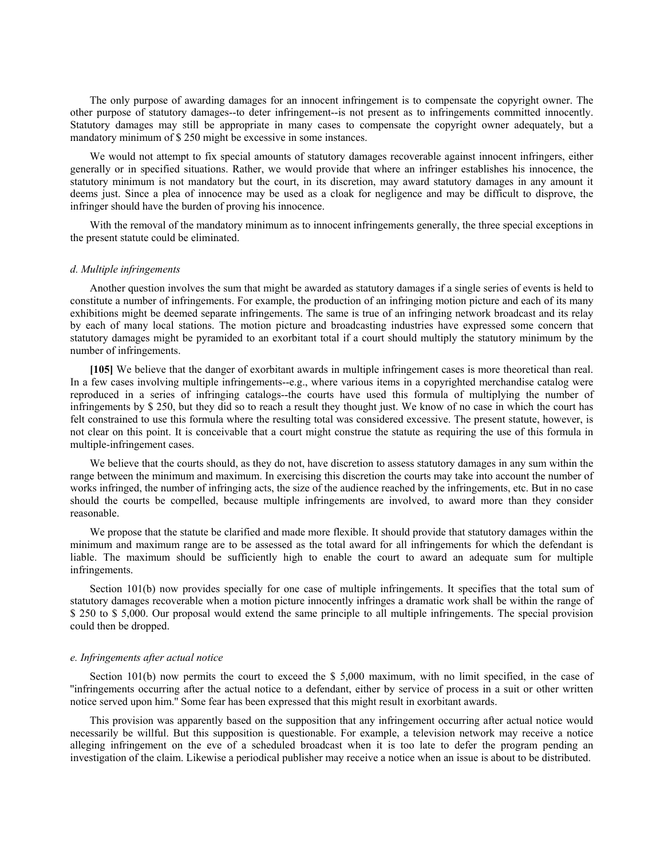The only purpose of awarding damages for an innocent infringement is to compensate the copyright owner. The other purpose of statutory damages--to deter infringement--is not present as to infringements committed innocently. Statutory damages may still be appropriate in many cases to compensate the copyright owner adequately, but a mandatory minimum of \$ 250 might be excessive in some instances.

We would not attempt to fix special amounts of statutory damages recoverable against innocent infringers, either generally or in specified situations. Rather, we would provide that where an infringer establishes his innocence, the statutory minimum is not mandatory but the court, in its discretion, may award statutory damages in any amount it deems just. Since a plea of innocence may be used as a cloak for negligence and may be difficult to disprove, the infringer should have the burden of proving his innocence.

With the removal of the mandatory minimum as to innocent infringements generally, the three special exceptions in the present statute could be eliminated.

### *d. Multiple infringements*

Another question involves the sum that might be awarded as statutory damages if a single series of events is held to constitute a number of infringements. For example, the production of an infringing motion picture and each of its many exhibitions might be deemed separate infringements. The same is true of an infringing network broadcast and its relay by each of many local stations. The motion picture and broadcasting industries have expressed some concern that statutory damages might be pyramided to an exorbitant total if a court should multiply the statutory minimum by the number of infringements.

**[105]** We believe that the danger of exorbitant awards in multiple infringement cases is more theoretical than real. In a few cases involving multiple infringements--e.g., where various items in a copyrighted merchandise catalog were reproduced in a series of infringing catalogs--the courts have used this formula of multiplying the number of infringements by \$ 250, but they did so to reach a result they thought just. We know of no case in which the court has felt constrained to use this formula where the resulting total was considered excessive. The present statute, however, is not clear on this point. It is conceivable that a court might construe the statute as requiring the use of this formula in multiple-infringement cases.

We believe that the courts should, as they do not, have discretion to assess statutory damages in any sum within the range between the minimum and maximum. In exercising this discretion the courts may take into account the number of works infringed, the number of infringing acts, the size of the audience reached by the infringements, etc. But in no case should the courts be compelled, because multiple infringements are involved, to award more than they consider reasonable.

We propose that the statute be clarified and made more flexible. It should provide that statutory damages within the minimum and maximum range are to be assessed as the total award for all infringements for which the defendant is liable. The maximum should be sufficiently high to enable the court to award an adequate sum for multiple infringements.

Section 101(b) now provides specially for one case of multiple infringements. It specifies that the total sum of statutory damages recoverable when a motion picture innocently infringes a dramatic work shall be within the range of \$ 250 to \$ 5,000. Our proposal would extend the same principle to all multiple infringements. The special provision could then be dropped.

#### *e. Infringements after actual notice*

Section 101(b) now permits the court to exceed the \$ 5,000 maximum, with no limit specified, in the case of ''infringements occurring after the actual notice to a defendant, either by service of process in a suit or other written notice served upon him.'' Some fear has been expressed that this might result in exorbitant awards.

This provision was apparently based on the supposition that any infringement occurring after actual notice would necessarily be willful. But this supposition is questionable. For example, a television network may receive a notice alleging infringement on the eve of a scheduled broadcast when it is too late to defer the program pending an investigation of the claim. Likewise a periodical publisher may receive a notice when an issue is about to be distributed.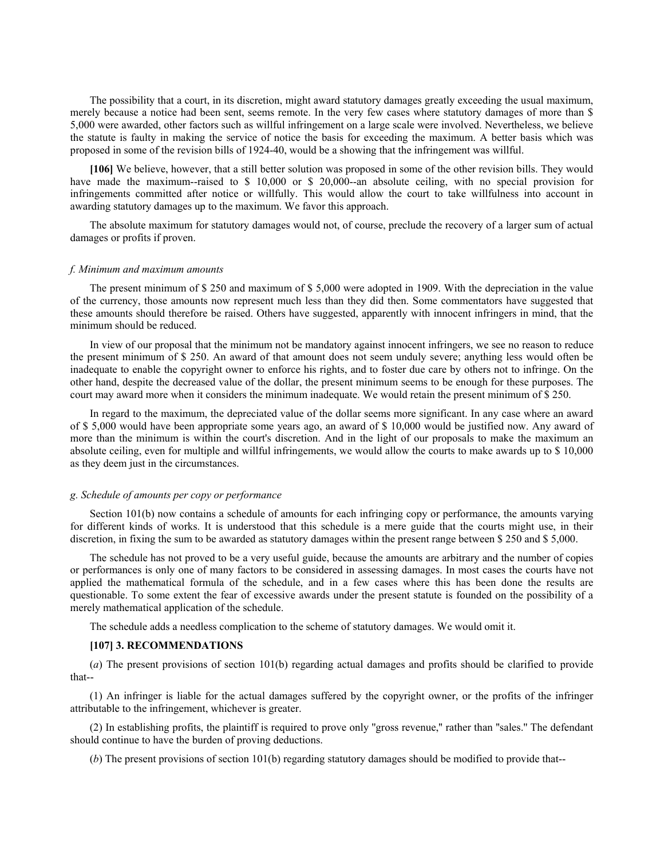The possibility that a court, in its discretion, might award statutory damages greatly exceeding the usual maximum, merely because a notice had been sent, seems remote. In the very few cases where statutory damages of more than \$ 5,000 were awarded, other factors such as willful infringement on a large scale were involved. Nevertheless, we believe the statute is faulty in making the service of notice the basis for exceeding the maximum. A better basis which was proposed in some of the revision bills of 1924-40, would be a showing that the infringement was willful.

**[106]** We believe, however, that a still better solution was proposed in some of the other revision bills. They would have made the maximum--raised to \$ 10,000 or \$ 20,000--an absolute ceiling, with no special provision for infringements committed after notice or willfully. This would allow the court to take willfulness into account in awarding statutory damages up to the maximum. We favor this approach.

The absolute maximum for statutory damages would not, of course, preclude the recovery of a larger sum of actual damages or profits if proven.

### *f. Minimum and maximum amounts*

The present minimum of \$ 250 and maximum of \$ 5,000 were adopted in 1909. With the depreciation in the value of the currency, those amounts now represent much less than they did then. Some commentators have suggested that these amounts should therefore be raised. Others have suggested, apparently with innocent infringers in mind, that the minimum should be reduced.

In view of our proposal that the minimum not be mandatory against innocent infringers, we see no reason to reduce the present minimum of \$ 250. An award of that amount does not seem unduly severe; anything less would often be inadequate to enable the copyright owner to enforce his rights, and to foster due care by others not to infringe. On the other hand, despite the decreased value of the dollar, the present minimum seems to be enough for these purposes. The court may award more when it considers the minimum inadequate. We would retain the present minimum of \$ 250.

In regard to the maximum, the depreciated value of the dollar seems more significant. In any case where an award of \$ 5,000 would have been appropriate some years ago, an award of \$ 10,000 would be justified now. Any award of more than the minimum is within the court's discretion. And in the light of our proposals to make the maximum an absolute ceiling, even for multiple and willful infringements, we would allow the courts to make awards up to \$ 10,000 as they deem just in the circumstances.

#### *g. Schedule of amounts per copy or performance*

Section 101(b) now contains a schedule of amounts for each infringing copy or performance, the amounts varying for different kinds of works. It is understood that this schedule is a mere guide that the courts might use, in their discretion, in fixing the sum to be awarded as statutory damages within the present range between \$ 250 and \$ 5,000.

The schedule has not proved to be a very useful guide, because the amounts are arbitrary and the number of copies or performances is only one of many factors to be considered in assessing damages. In most cases the courts have not applied the mathematical formula of the schedule, and in a few cases where this has been done the results are questionable. To some extent the fear of excessive awards under the present statute is founded on the possibility of a merely mathematical application of the schedule.

The schedule adds a needless complication to the scheme of statutory damages. We would omit it.

# **[107] 3. RECOMMENDATIONS**

(*a*) The present provisions of section 101(b) regarding actual damages and profits should be clarified to provide that--

(1) An infringer is liable for the actual damages suffered by the copyright owner, or the profits of the infringer attributable to the infringement, whichever is greater.

(2) In establishing profits, the plaintiff is required to prove only ''gross revenue,'' rather than ''sales.'' The defendant should continue to have the burden of proving deductions.

(*b*) The present provisions of section 101(b) regarding statutory damages should be modified to provide that--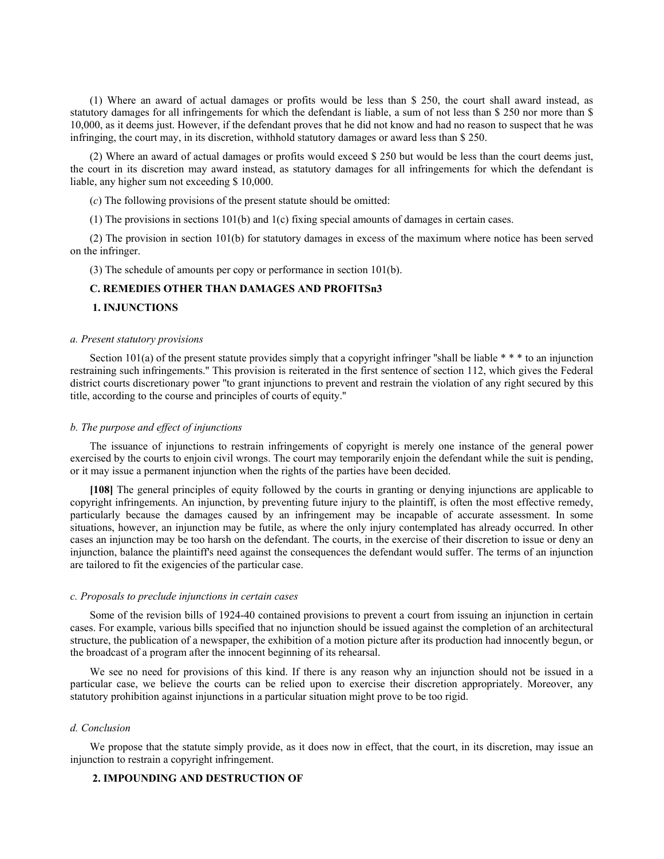(1) Where an award of actual damages or profits would be less than \$ 250, the court shall award instead, as statutory damages for all infringements for which the defendant is liable, a sum of not less than \$ 250 nor more than \$ 10,000, as it deems just. However, if the defendant proves that he did not know and had no reason to suspect that he was infringing, the court may, in its discretion, withhold statutory damages or award less than \$ 250.

(2) Where an award of actual damages or profits would exceed \$ 250 but would be less than the court deems just, the court in its discretion may award instead, as statutory damages for all infringements for which the defendant is liable, any higher sum not exceeding \$ 10,000.

(*c*) The following provisions of the present statute should be omitted:

(1) The provisions in sections 101(b) and 1(c) fixing special amounts of damages in certain cases.

(2) The provision in section 101(b) for statutory damages in excess of the maximum where notice has been served on the infringer.

(3) The schedule of amounts per copy or performance in section 101(b).

## **C. REMEDIES OTHER THAN DAMAGES AND PROFITSn3**

### **1. INJUNCTIONS**

### *a. Present statutory provisions*

Section 101(a) of the present statute provides simply that a copyright infringer "shall be liable \* \* \* to an injunction restraining such infringements.'' This provision is reiterated in the first sentence of section 112, which gives the Federal district courts discretionary power ''to grant injunctions to prevent and restrain the violation of any right secured by this title, according to the course and principles of courts of equity.''

#### *b. The purpose and effect of injunctions*

The issuance of injunctions to restrain infringements of copyright is merely one instance of the general power exercised by the courts to enjoin civil wrongs. The court may temporarily enjoin the defendant while the suit is pending, or it may issue a permanent injunction when the rights of the parties have been decided.

**[108]** The general principles of equity followed by the courts in granting or denying injunctions are applicable to copyright infringements. An injunction, by preventing future injury to the plaintiff, is often the most effective remedy, particularly because the damages caused by an infringement may be incapable of accurate assessment. In some situations, however, an injunction may be futile, as where the only injury contemplated has already occurred. In other cases an injunction may be too harsh on the defendant. The courts, in the exercise of their discretion to issue or deny an injunction, balance the plaintiff's need against the consequences the defendant would suffer. The terms of an injunction are tailored to fit the exigencies of the particular case.

## *c. Proposals to preclude injunctions in certain cases*

Some of the revision bills of 1924-40 contained provisions to prevent a court from issuing an injunction in certain cases. For example, various bills specified that no injunction should be issued against the completion of an architectural structure, the publication of a newspaper, the exhibition of a motion picture after its production had innocently begun, or the broadcast of a program after the innocent beginning of its rehearsal.

We see no need for provisions of this kind. If there is any reason why an injunction should not be issued in a particular case, we believe the courts can be relied upon to exercise their discretion appropriately. Moreover, any statutory prohibition against injunctions in a particular situation might prove to be too rigid.

# *d. Conclusion*

We propose that the statute simply provide, as it does now in effect, that the court, in its discretion, may issue an injunction to restrain a copyright infringement.

# **2. IMPOUNDING AND DESTRUCTION OF**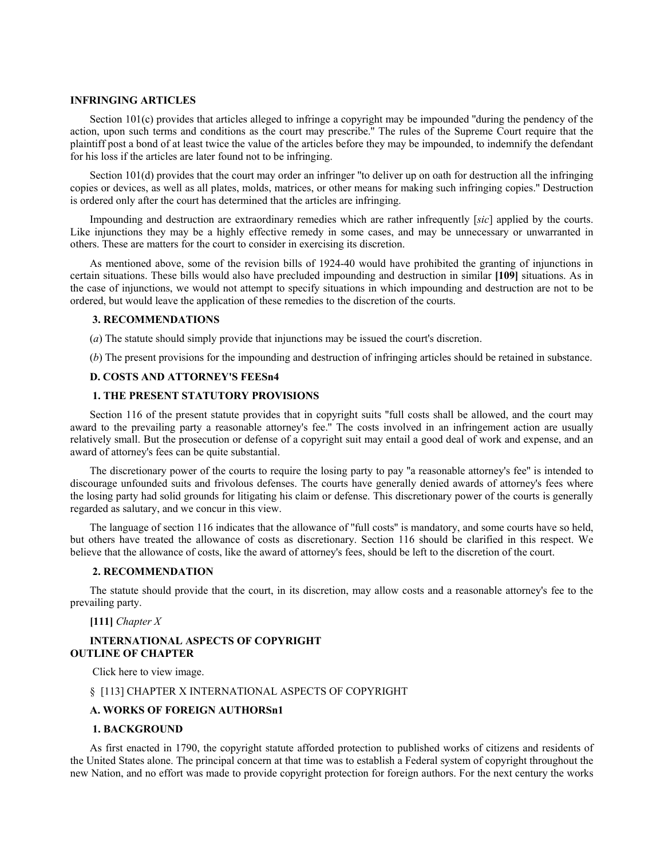## **INFRINGING ARTICLES**

Section 101(c) provides that articles alleged to infringe a copyright may be impounded ''during the pendency of the action, upon such terms and conditions as the court may prescribe.'' The rules of the Supreme Court require that the plaintiff post a bond of at least twice the value of the articles before they may be impounded, to indemnify the defendant for his loss if the articles are later found not to be infringing.

Section 101(d) provides that the court may order an infringer ''to deliver up on oath for destruction all the infringing copies or devices, as well as all plates, molds, matrices, or other means for making such infringing copies.'' Destruction is ordered only after the court has determined that the articles are infringing.

Impounding and destruction are extraordinary remedies which are rather infrequently [*sic*] applied by the courts. Like injunctions they may be a highly effective remedy in some cases, and may be unnecessary or unwarranted in others. These are matters for the court to consider in exercising its discretion.

As mentioned above, some of the revision bills of 1924-40 would have prohibited the granting of injunctions in certain situations. These bills would also have precluded impounding and destruction in similar **[109]** situations. As in the case of injunctions, we would not attempt to specify situations in which impounding and destruction are not to be ordered, but would leave the application of these remedies to the discretion of the courts.

#### **3. RECOMMENDATIONS**

(*a*) The statute should simply provide that injunctions may be issued the court's discretion.

(*b*) The present provisions for the impounding and destruction of infringing articles should be retained in substance.

# **D. COSTS AND ATTORNEY'S FEESn4**

# **1. THE PRESENT STATUTORY PROVISIONS**

Section 116 of the present statute provides that in copyright suits ''full costs shall be allowed, and the court may award to the prevailing party a reasonable attorney's fee.'' The costs involved in an infringement action are usually relatively small. But the prosecution or defense of a copyright suit may entail a good deal of work and expense, and an award of attorney's fees can be quite substantial.

The discretionary power of the courts to require the losing party to pay "a reasonable attorney's fee" is intended to discourage unfounded suits and frivolous defenses. The courts have generally denied awards of attorney's fees where the losing party had solid grounds for litigating his claim or defense. This discretionary power of the courts is generally regarded as salutary, and we concur in this view.

The language of section 116 indicates that the allowance of ''full costs'' is mandatory, and some courts have so held, but others have treated the allowance of costs as discretionary. Section 116 should be clarified in this respect. We believe that the allowance of costs, like the award of attorney's fees, should be left to the discretion of the court.

# **2. RECOMMENDATION**

The statute should provide that the court, in its discretion, may allow costs and a reasonable attorney's fee to the prevailing party.

**[111]** *Chapter X*

# **INTERNATIONAL ASPECTS OF COPYRIGHT OUTLINE OF CHAPTER**

Click here to view image.

# § [113] CHAPTER X INTERNATIONAL ASPECTS OF COPYRIGHT

# **A. WORKS OF FOREIGN AUTHORSn1**

# **1. BACKGROUND**

As first enacted in 1790, the copyright statute afforded protection to published works of citizens and residents of the United States alone. The principal concern at that time was to establish a Federal system of copyright throughout the new Nation, and no effort was made to provide copyright protection for foreign authors. For the next century the works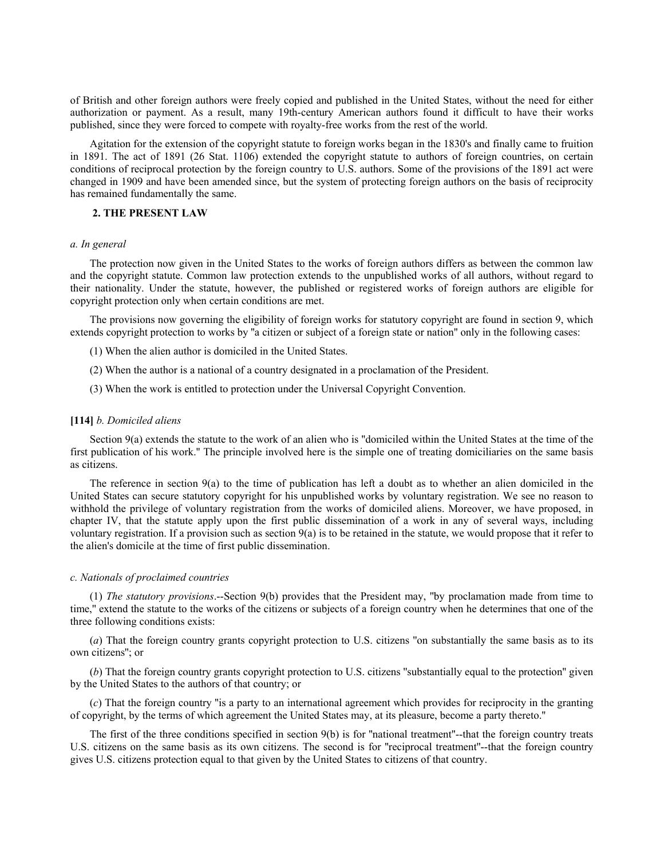of British and other foreign authors were freely copied and published in the United States, without the need for either authorization or payment. As a result, many 19th-century American authors found it difficult to have their works published, since they were forced to compete with royalty-free works from the rest of the world.

Agitation for the extension of the copyright statute to foreign works began in the 1830's and finally came to fruition in 1891. The act of 1891 (26 Stat. 1106) extended the copyright statute to authors of foreign countries, on certain conditions of reciprocal protection by the foreign country to U.S. authors. Some of the provisions of the 1891 act were changed in 1909 and have been amended since, but the system of protecting foreign authors on the basis of reciprocity has remained fundamentally the same.

### **2. THE PRESENT LAW**

# *a. In general*

The protection now given in the United States to the works of foreign authors differs as between the common law and the copyright statute. Common law protection extends to the unpublished works of all authors, without regard to their nationality. Under the statute, however, the published or registered works of foreign authors are eligible for copyright protection only when certain conditions are met.

The provisions now governing the eligibility of foreign works for statutory copyright are found in section 9, which extends copyright protection to works by "a citizen or subject of a foreign state or nation" only in the following cases:

- (1) When the alien author is domiciled in the United States.
- (2) When the author is a national of a country designated in a proclamation of the President.
- (3) When the work is entitled to protection under the Universal Copyright Convention.

#### **[114]** *b. Domiciled aliens*

Section 9(a) extends the statute to the work of an alien who is ''domiciled within the United States at the time of the first publication of his work.'' The principle involved here is the simple one of treating domiciliaries on the same basis as citizens.

The reference in section 9(a) to the time of publication has left a doubt as to whether an alien domiciled in the United States can secure statutory copyright for his unpublished works by voluntary registration. We see no reason to withhold the privilege of voluntary registration from the works of domiciled aliens. Moreover, we have proposed, in chapter IV, that the statute apply upon the first public dissemination of a work in any of several ways, including voluntary registration. If a provision such as section 9(a) is to be retained in the statute, we would propose that it refer to the alien's domicile at the time of first public dissemination.

### *c. Nationals of proclaimed countries*

(1) *The statutory provisions*.--Section 9(b) provides that the President may, ''by proclamation made from time to time,'' extend the statute to the works of the citizens or subjects of a foreign country when he determines that one of the three following conditions exists:

(*a*) That the foreign country grants copyright protection to U.S. citizens ''on substantially the same basis as to its own citizens''; or

(*b*) That the foreign country grants copyright protection to U.S. citizens ''substantially equal to the protection'' given by the United States to the authors of that country; or

(*c*) That the foreign country ''is a party to an international agreement which provides for reciprocity in the granting of copyright, by the terms of which agreement the United States may, at its pleasure, become a party thereto.''

The first of the three conditions specified in section 9(b) is for ''national treatment''--that the foreign country treats U.S. citizens on the same basis as its own citizens. The second is for ''reciprocal treatment''--that the foreign country gives U.S. citizens protection equal to that given by the United States to citizens of that country.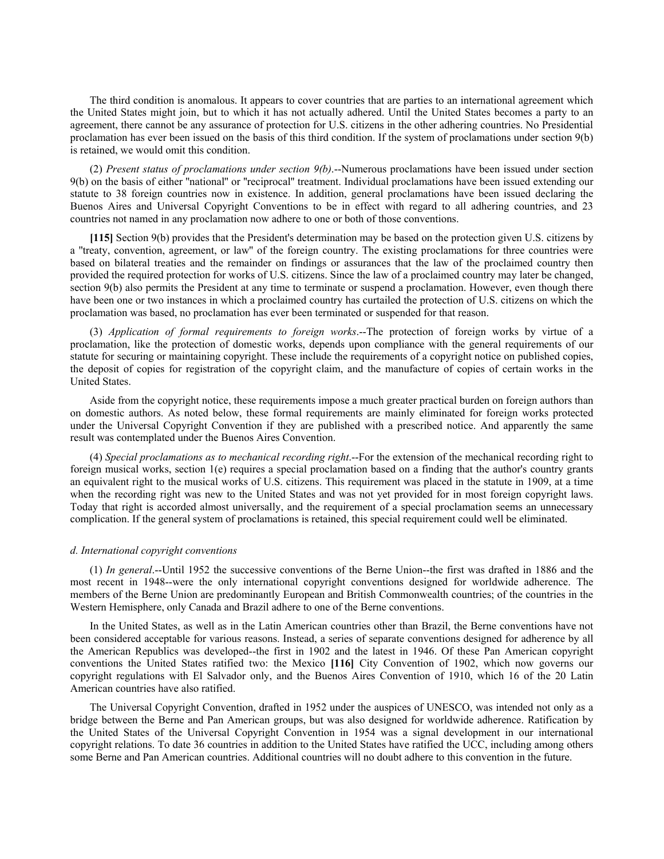The third condition is anomalous. It appears to cover countries that are parties to an international agreement which the United States might join, but to which it has not actually adhered. Until the United States becomes a party to an agreement, there cannot be any assurance of protection for U.S. citizens in the other adhering countries. No Presidential proclamation has ever been issued on the basis of this third condition. If the system of proclamations under section 9(b) is retained, we would omit this condition.

(2) *Present status of proclamations under section 9(b)*.--Numerous proclamations have been issued under section 9(b) on the basis of either ''national'' or ''reciprocal'' treatment. Individual proclamations have been issued extending our statute to 38 foreign countries now in existence. In addition, general proclamations have been issued declaring the Buenos Aires and Universal Copyright Conventions to be in effect with regard to all adhering countries, and 23 countries not named in any proclamation now adhere to one or both of those conventions.

**[115]** Section 9(b) provides that the President's determination may be based on the protection given U.S. citizens by a ''treaty, convention, agreement, or law'' of the foreign country. The existing proclamations for three countries were based on bilateral treaties and the remainder on findings or assurances that the law of the proclaimed country then provided the required protection for works of U.S. citizens. Since the law of a proclaimed country may later be changed, section 9(b) also permits the President at any time to terminate or suspend a proclamation. However, even though there have been one or two instances in which a proclaimed country has curtailed the protection of U.S. citizens on which the proclamation was based, no proclamation has ever been terminated or suspended for that reason.

(3) *Application of formal requirements to foreign works*.--The protection of foreign works by virtue of a proclamation, like the protection of domestic works, depends upon compliance with the general requirements of our statute for securing or maintaining copyright. These include the requirements of a copyright notice on published copies, the deposit of copies for registration of the copyright claim, and the manufacture of copies of certain works in the United States.

Aside from the copyright notice, these requirements impose a much greater practical burden on foreign authors than on domestic authors. As noted below, these formal requirements are mainly eliminated for foreign works protected under the Universal Copyright Convention if they are published with a prescribed notice. And apparently the same result was contemplated under the Buenos Aires Convention.

(4) *Special proclamations as to mechanical recording right*.--For the extension of the mechanical recording right to foreign musical works, section 1(e) requires a special proclamation based on a finding that the author's country grants an equivalent right to the musical works of U.S. citizens. This requirement was placed in the statute in 1909, at a time when the recording right was new to the United States and was not yet provided for in most foreign copyright laws. Today that right is accorded almost universally, and the requirement of a special proclamation seems an unnecessary complication. If the general system of proclamations is retained, this special requirement could well be eliminated.

## *d. International copyright conventions*

(1) *In general*.--Until 1952 the successive conventions of the Berne Union--the first was drafted in 1886 and the most recent in 1948--were the only international copyright conventions designed for worldwide adherence. The members of the Berne Union are predominantly European and British Commonwealth countries; of the countries in the Western Hemisphere, only Canada and Brazil adhere to one of the Berne conventions.

In the United States, as well as in the Latin American countries other than Brazil, the Berne conventions have not been considered acceptable for various reasons. Instead, a series of separate conventions designed for adherence by all the American Republics was developed--the first in 1902 and the latest in 1946. Of these Pan American copyright conventions the United States ratified two: the Mexico **[116]** City Convention of 1902, which now governs our copyright regulations with El Salvador only, and the Buenos Aires Convention of 1910, which 16 of the 20 Latin American countries have also ratified.

The Universal Copyright Convention, drafted in 1952 under the auspices of UNESCO, was intended not only as a bridge between the Berne and Pan American groups, but was also designed for worldwide adherence. Ratification by the United States of the Universal Copyright Convention in 1954 was a signal development in our international copyright relations. To date 36 countries in addition to the United States have ratified the UCC, including among others some Berne and Pan American countries. Additional countries will no doubt adhere to this convention in the future.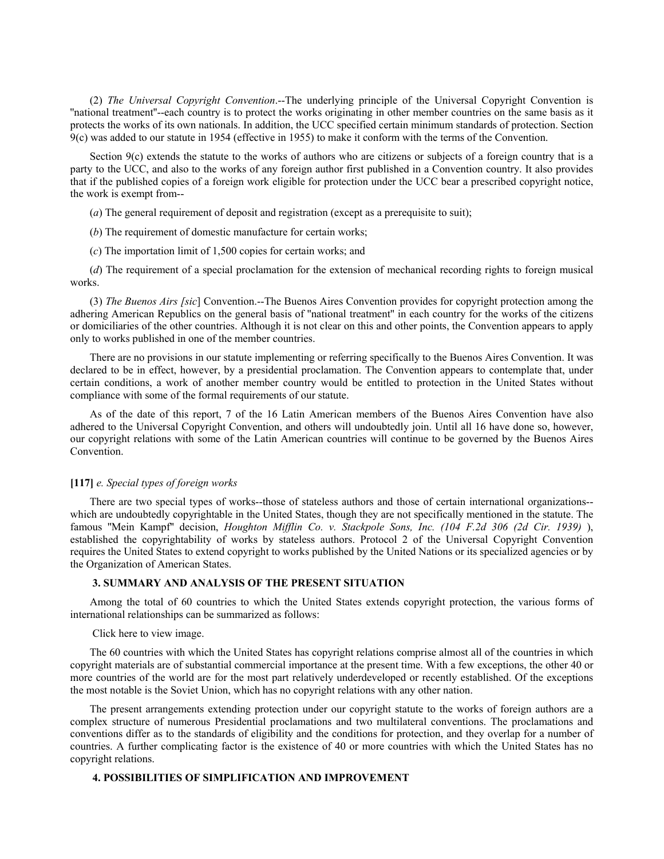(2) *The Universal Copyright Convention*.--The underlying principle of the Universal Copyright Convention is ''national treatment''--each country is to protect the works originating in other member countries on the same basis as it protects the works of its own nationals. In addition, the UCC specified certain minimum standards of protection. Section 9(c) was added to our statute in 1954 (effective in 1955) to make it conform with the terms of the Convention.

Section 9(c) extends the statute to the works of authors who are citizens or subjects of a foreign country that is a party to the UCC, and also to the works of any foreign author first published in a Convention country. It also provides that if the published copies of a foreign work eligible for protection under the UCC bear a prescribed copyright notice, the work is exempt from--

(*a*) The general requirement of deposit and registration (except as a prerequisite to suit);

(*b*) The requirement of domestic manufacture for certain works;

(*c*) The importation limit of 1,500 copies for certain works; and

(*d*) The requirement of a special proclamation for the extension of mechanical recording rights to foreign musical works.

(3) *The Buenos Airs [sic*] Convention.--The Buenos Aires Convention provides for copyright protection among the adhering American Republics on the general basis of ''national treatment'' in each country for the works of the citizens or domiciliaries of the other countries. Although it is not clear on this and other points, the Convention appears to apply only to works published in one of the member countries.

There are no provisions in our statute implementing or referring specifically to the Buenos Aires Convention. It was declared to be in effect, however, by a presidential proclamation. The Convention appears to contemplate that, under certain conditions, a work of another member country would be entitled to protection in the United States without compliance with some of the formal requirements of our statute.

As of the date of this report, 7 of the 16 Latin American members of the Buenos Aires Convention have also adhered to the Universal Copyright Convention, and others will undoubtedly join. Until all 16 have done so, however, our copyright relations with some of the Latin American countries will continue to be governed by the Buenos Aires Convention.

# **[117]** *e. Special types of foreign works*

There are two special types of works--those of stateless authors and those of certain international organizations- which are undoubtedly copyrightable in the United States, though they are not specifically mentioned in the statute. The famous ''Mein Kampf'' decision, *Houghton Mifflin Co. v. Stackpole Sons, Inc. (104 F.2d 306 (2d Cir. 1939)* ), established the copyrightability of works by stateless authors. Protocol 2 of the Universal Copyright Convention requires the United States to extend copyright to works published by the United Nations or its specialized agencies or by the Organization of American States.

# **3. SUMMARY AND ANALYSIS OF THE PRESENT SITUATION**

Among the total of 60 countries to which the United States extends copyright protection, the various forms of international relationships can be summarized as follows:

Click here to view image.

The 60 countries with which the United States has copyright relations comprise almost all of the countries in which copyright materials are of substantial commercial importance at the present time. With a few exceptions, the other 40 or more countries of the world are for the most part relatively underdeveloped or recently established. Of the exceptions the most notable is the Soviet Union, which has no copyright relations with any other nation.

The present arrangements extending protection under our copyright statute to the works of foreign authors are a complex structure of numerous Presidential proclamations and two multilateral conventions. The proclamations and conventions differ as to the standards of eligibility and the conditions for protection, and they overlap for a number of countries. A further complicating factor is the existence of 40 or more countries with which the United States has no copyright relations.

# **4. POSSIBILITIES OF SIMPLIFICATION AND IMPROVEMENT**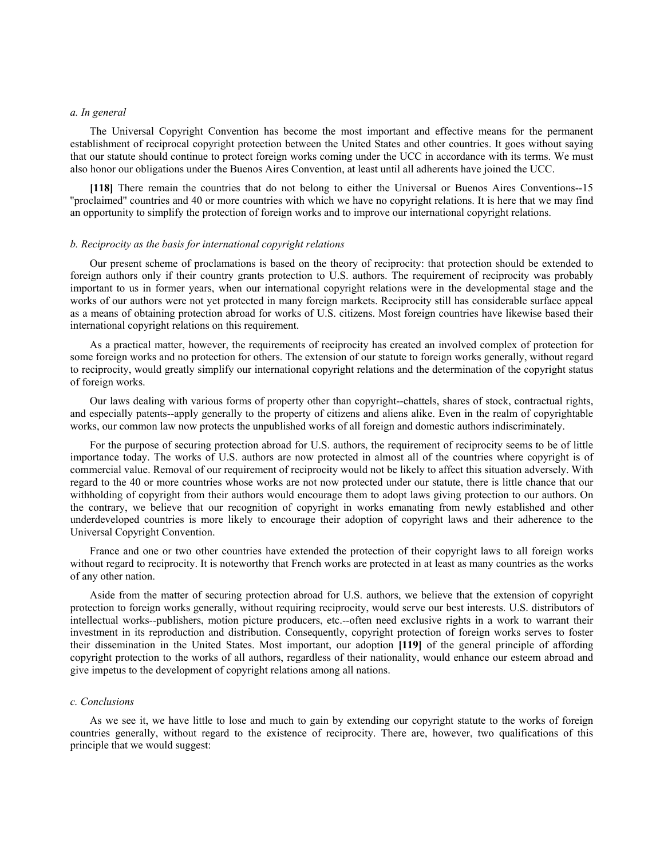## *a. In general*

The Universal Copyright Convention has become the most important and effective means for the permanent establishment of reciprocal copyright protection between the United States and other countries. It goes without saying that our statute should continue to protect foreign works coming under the UCC in accordance with its terms. We must also honor our obligations under the Buenos Aires Convention, at least until all adherents have joined the UCC.

**[118]** There remain the countries that do not belong to either the Universal or Buenos Aires Conventions--15 ''proclaimed'' countries and 40 or more countries with which we have no copyright relations. It is here that we may find an opportunity to simplify the protection of foreign works and to improve our international copyright relations.

# *b. Reciprocity as the basis for international copyright relations*

Our present scheme of proclamations is based on the theory of reciprocity: that protection should be extended to foreign authors only if their country grants protection to U.S. authors. The requirement of reciprocity was probably important to us in former years, when our international copyright relations were in the developmental stage and the works of our authors were not yet protected in many foreign markets. Reciprocity still has considerable surface appeal as a means of obtaining protection abroad for works of U.S. citizens. Most foreign countries have likewise based their international copyright relations on this requirement.

As a practical matter, however, the requirements of reciprocity has created an involved complex of protection for some foreign works and no protection for others. The extension of our statute to foreign works generally, without regard to reciprocity, would greatly simplify our international copyright relations and the determination of the copyright status of foreign works.

Our laws dealing with various forms of property other than copyright--chattels, shares of stock, contractual rights, and especially patents--apply generally to the property of citizens and aliens alike. Even in the realm of copyrightable works, our common law now protects the unpublished works of all foreign and domestic authors indiscriminately.

For the purpose of securing protection abroad for U.S. authors, the requirement of reciprocity seems to be of little importance today. The works of U.S. authors are now protected in almost all of the countries where copyright is of commercial value. Removal of our requirement of reciprocity would not be likely to affect this situation adversely. With regard to the 40 or more countries whose works are not now protected under our statute, there is little chance that our withholding of copyright from their authors would encourage them to adopt laws giving protection to our authors. On the contrary, we believe that our recognition of copyright in works emanating from newly established and other underdeveloped countries is more likely to encourage their adoption of copyright laws and their adherence to the Universal Copyright Convention.

France and one or two other countries have extended the protection of their copyright laws to all foreign works without regard to reciprocity. It is noteworthy that French works are protected in at least as many countries as the works of any other nation.

Aside from the matter of securing protection abroad for U.S. authors, we believe that the extension of copyright protection to foreign works generally, without requiring reciprocity, would serve our best interests. U.S. distributors of intellectual works--publishers, motion picture producers, etc.--often need exclusive rights in a work to warrant their investment in its reproduction and distribution. Consequently, copyright protection of foreign works serves to foster their dissemination in the United States. Most important, our adoption **[119]** of the general principle of affording copyright protection to the works of all authors, regardless of their nationality, would enhance our esteem abroad and give impetus to the development of copyright relations among all nations.

### *c. Conclusions*

As we see it, we have little to lose and much to gain by extending our copyright statute to the works of foreign countries generally, without regard to the existence of reciprocity. There are, however, two qualifications of this principle that we would suggest: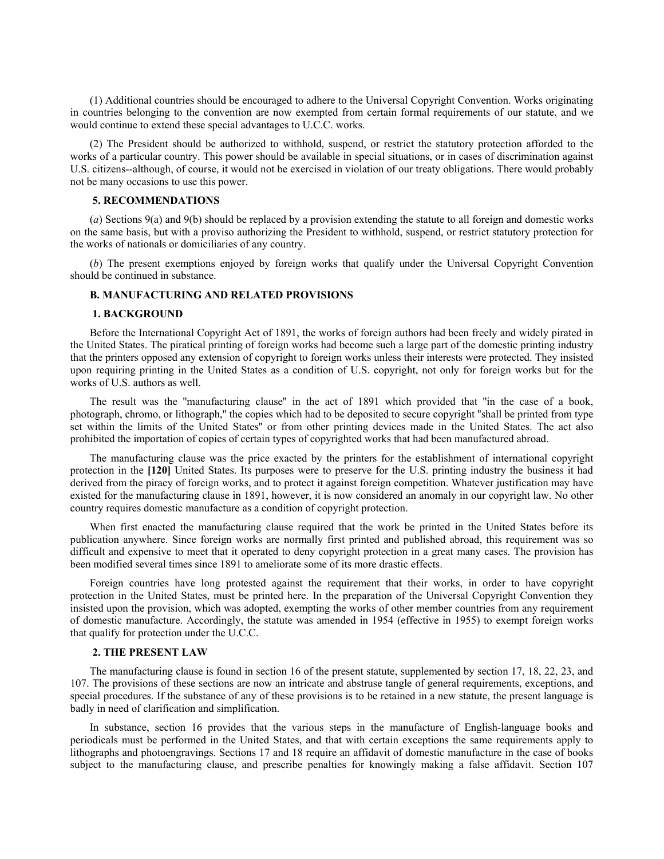(1) Additional countries should be encouraged to adhere to the Universal Copyright Convention. Works originating in countries belonging to the convention are now exempted from certain formal requirements of our statute, and we would continue to extend these special advantages to U.C.C. works.

(2) The President should be authorized to withhold, suspend, or restrict the statutory protection afforded to the works of a particular country. This power should be available in special situations, or in cases of discrimination against U.S. citizens--although, of course, it would not be exercised in violation of our treaty obligations. There would probably not be many occasions to use this power.

### **5. RECOMMENDATIONS**

(*a*) Sections 9(a) and 9(b) should be replaced by a provision extending the statute to all foreign and domestic works on the same basis, but with a proviso authorizing the President to withhold, suspend, or restrict statutory protection for the works of nationals or domiciliaries of any country.

(*b*) The present exemptions enjoyed by foreign works that qualify under the Universal Copyright Convention should be continued in substance.

## **B. MANUFACTURING AND RELATED PROVISIONS**

#### **1. BACKGROUND**

Before the International Copyright Act of 1891, the works of foreign authors had been freely and widely pirated in the United States. The piratical printing of foreign works had become such a large part of the domestic printing industry that the printers opposed any extension of copyright to foreign works unless their interests were protected. They insisted upon requiring printing in the United States as a condition of U.S. copyright, not only for foreign works but for the works of U.S. authors as well.

The result was the ''manufacturing clause'' in the act of 1891 which provided that ''in the case of a book, photograph, chromo, or lithograph,'' the copies which had to be deposited to secure copyright ''shall be printed from type set within the limits of the United States'' or from other printing devices made in the United States. The act also prohibited the importation of copies of certain types of copyrighted works that had been manufactured abroad.

The manufacturing clause was the price exacted by the printers for the establishment of international copyright protection in the **[120]** United States. Its purposes were to preserve for the U.S. printing industry the business it had derived from the piracy of foreign works, and to protect it against foreign competition. Whatever justification may have existed for the manufacturing clause in 1891, however, it is now considered an anomaly in our copyright law. No other country requires domestic manufacture as a condition of copyright protection.

When first enacted the manufacturing clause required that the work be printed in the United States before its publication anywhere. Since foreign works are normally first printed and published abroad, this requirement was so difficult and expensive to meet that it operated to deny copyright protection in a great many cases. The provision has been modified several times since 1891 to ameliorate some of its more drastic effects.

Foreign countries have long protested against the requirement that their works, in order to have copyright protection in the United States, must be printed here. In the preparation of the Universal Copyright Convention they insisted upon the provision, which was adopted, exempting the works of other member countries from any requirement of domestic manufacture. Accordingly, the statute was amended in 1954 (effective in 1955) to exempt foreign works that qualify for protection under the U.C.C.

## **2. THE PRESENT LAW**

The manufacturing clause is found in section 16 of the present statute, supplemented by section 17, 18, 22, 23, and 107. The provisions of these sections are now an intricate and abstruse tangle of general requirements, exceptions, and special procedures. If the substance of any of these provisions is to be retained in a new statute, the present language is badly in need of clarification and simplification.

In substance, section 16 provides that the various steps in the manufacture of English-language books and periodicals must be performed in the United States, and that with certain exceptions the same requirements apply to lithographs and photoengravings. Sections 17 and 18 require an affidavit of domestic manufacture in the case of books subject to the manufacturing clause, and prescribe penalties for knowingly making a false affidavit. Section 107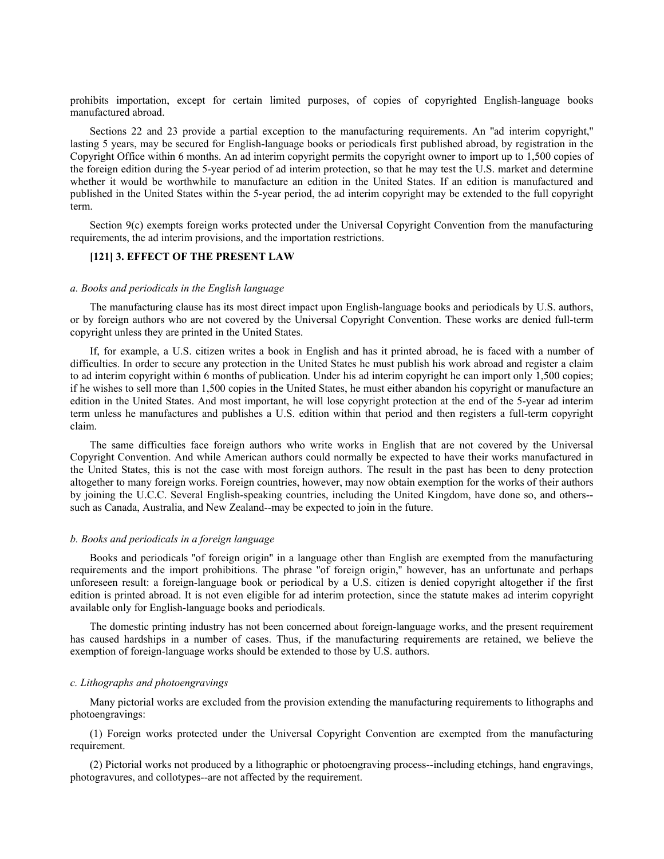prohibits importation, except for certain limited purposes, of copies of copyrighted English-language books manufactured abroad.

Sections 22 and 23 provide a partial exception to the manufacturing requirements. An ''ad interim copyright,'' lasting 5 years, may be secured for English-language books or periodicals first published abroad, by registration in the Copyright Office within 6 months. An ad interim copyright permits the copyright owner to import up to 1,500 copies of the foreign edition during the 5-year period of ad interim protection, so that he may test the U.S. market and determine whether it would be worthwhile to manufacture an edition in the United States. If an edition is manufactured and published in the United States within the 5-year period, the ad interim copyright may be extended to the full copyright term.

Section 9(c) exempts foreign works protected under the Universal Copyright Convention from the manufacturing requirements, the ad interim provisions, and the importation restrictions.

# **[121] 3. EFFECT OF THE PRESENT LAW**

### *a. Books and periodicals in the English language*

The manufacturing clause has its most direct impact upon English-language books and periodicals by U.S. authors, or by foreign authors who are not covered by the Universal Copyright Convention. These works are denied full-term copyright unless they are printed in the United States.

If, for example, a U.S. citizen writes a book in English and has it printed abroad, he is faced with a number of difficulties. In order to secure any protection in the United States he must publish his work abroad and register a claim to ad interim copyright within 6 months of publication. Under his ad interim copyright he can import only 1,500 copies; if he wishes to sell more than 1,500 copies in the United States, he must either abandon his copyright or manufacture an edition in the United States. And most important, he will lose copyright protection at the end of the 5-year ad interim term unless he manufactures and publishes a U.S. edition within that period and then registers a full-term copyright claim.

The same difficulties face foreign authors who write works in English that are not covered by the Universal Copyright Convention. And while American authors could normally be expected to have their works manufactured in the United States, this is not the case with most foreign authors. The result in the past has been to deny protection altogether to many foreign works. Foreign countries, however, may now obtain exemption for the works of their authors by joining the U.C.C. Several English-speaking countries, including the United Kingdom, have done so, and others- such as Canada, Australia, and New Zealand--may be expected to join in the future.

### *b. Books and periodicals in a foreign language*

Books and periodicals ''of foreign origin'' in a language other than English are exempted from the manufacturing requirements and the import prohibitions. The phrase ''of foreign origin,'' however, has an unfortunate and perhaps unforeseen result: a foreign-language book or periodical by a U.S. citizen is denied copyright altogether if the first edition is printed abroad. It is not even eligible for ad interim protection, since the statute makes ad interim copyright available only for English-language books and periodicals.

The domestic printing industry has not been concerned about foreign-language works, and the present requirement has caused hardships in a number of cases. Thus, if the manufacturing requirements are retained, we believe the exemption of foreign-language works should be extended to those by U.S. authors.

#### *c. Lithographs and photoengravings*

Many pictorial works are excluded from the provision extending the manufacturing requirements to lithographs and photoengravings:

(1) Foreign works protected under the Universal Copyright Convention are exempted from the manufacturing requirement.

(2) Pictorial works not produced by a lithographic or photoengraving process--including etchings, hand engravings, photogravures, and collotypes--are not affected by the requirement.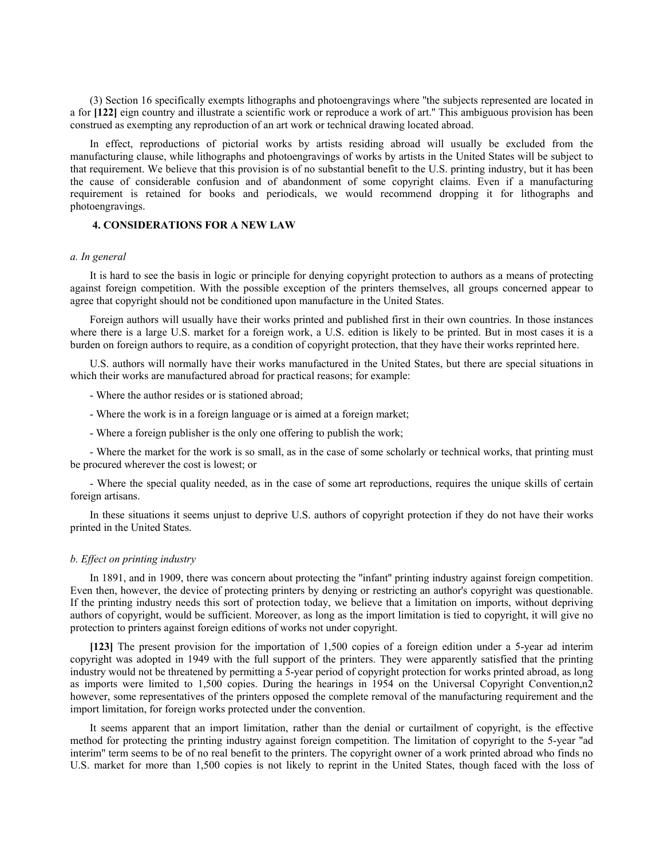(3) Section 16 specifically exempts lithographs and photoengravings where ''the subjects represented are located in a for **[122]** eign country and illustrate a scientific work or reproduce a work of art.'' This ambiguous provision has been construed as exempting any reproduction of an art work or technical drawing located abroad.

In effect, reproductions of pictorial works by artists residing abroad will usually be excluded from the manufacturing clause, while lithographs and photoengravings of works by artists in the United States will be subject to that requirement. We believe that this provision is of no substantial benefit to the U.S. printing industry, but it has been the cause of considerable confusion and of abandonment of some copyright claims. Even if a manufacturing requirement is retained for books and periodicals, we would recommend dropping it for lithographs and photoengravings.

# **4. CONSIDERATIONS FOR A NEW LAW**

#### *a. In general*

It is hard to see the basis in logic or principle for denying copyright protection to authors as a means of protecting against foreign competition. With the possible exception of the printers themselves, all groups concerned appear to agree that copyright should not be conditioned upon manufacture in the United States.

Foreign authors will usually have their works printed and published first in their own countries. In those instances where there is a large U.S. market for a foreign work, a U.S. edition is likely to be printed. But in most cases it is a burden on foreign authors to require, as a condition of copyright protection, that they have their works reprinted here.

U.S. authors will normally have their works manufactured in the United States, but there are special situations in which their works are manufactured abroad for practical reasons; for example:

- Where the author resides or is stationed abroad;
- Where the work is in a foreign language or is aimed at a foreign market;
- Where a foreign publisher is the only one offering to publish the work;

- Where the market for the work is so small, as in the case of some scholarly or technical works, that printing must be procured wherever the cost is lowest; or

- Where the special quality needed, as in the case of some art reproductions, requires the unique skills of certain foreign artisans.

In these situations it seems unjust to deprive U.S. authors of copyright protection if they do not have their works printed in the United States.

### *b. Effect on printing industry*

In 1891, and in 1909, there was concern about protecting the ''infant'' printing industry against foreign competition. Even then, however, the device of protecting printers by denying or restricting an author's copyright was questionable. If the printing industry needs this sort of protection today, we believe that a limitation on imports, without depriving authors of copyright, would be sufficient. Moreover, as long as the import limitation is tied to copyright, it will give no protection to printers against foreign editions of works not under copyright.

**[123]** The present provision for the importation of 1,500 copies of a foreign edition under a 5-year ad interim copyright was adopted in 1949 with the full support of the printers. They were apparently satisfied that the printing industry would not be threatened by permitting a 5-year period of copyright protection for works printed abroad, as long as imports were limited to 1,500 copies. During the hearings in 1954 on the Universal Copyright Convention,n2 however, some representatives of the printers opposed the complete removal of the manufacturing requirement and the import limitation, for foreign works protected under the convention.

It seems apparent that an import limitation, rather than the denial or curtailment of copyright, is the effective method for protecting the printing industry against foreign competition. The limitation of copyright to the 5-year ''ad interim'' term seems to be of no real benefit to the printers. The copyright owner of a work printed abroad who finds no U.S. market for more than 1,500 copies is not likely to reprint in the United States, though faced with the loss of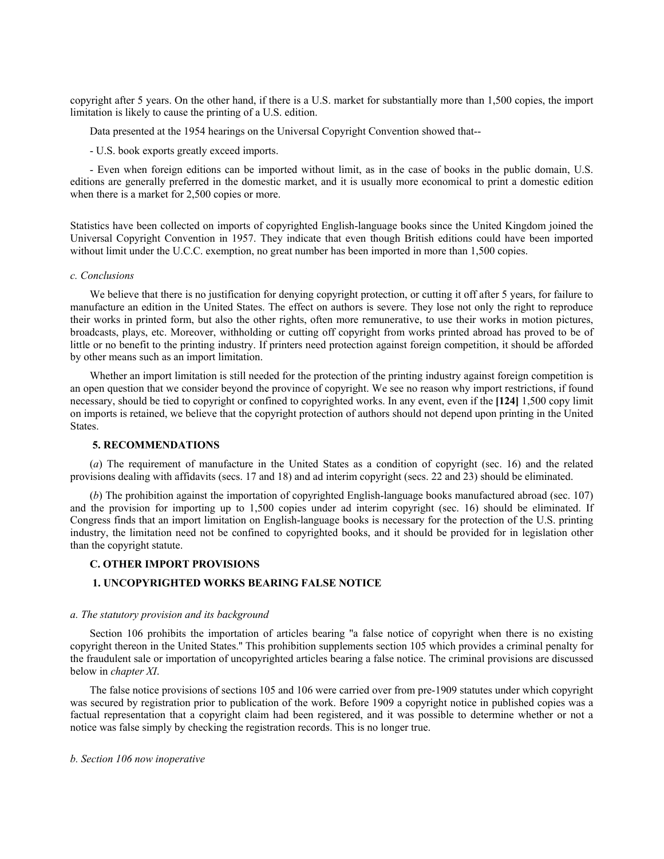copyright after 5 years. On the other hand, if there is a U.S. market for substantially more than 1,500 copies, the import limitation is likely to cause the printing of a U.S. edition.

Data presented at the 1954 hearings on the Universal Copyright Convention showed that--

- U.S. book exports greatly exceed imports.

- Even when foreign editions can be imported without limit, as in the case of books in the public domain, U.S. editions are generally preferred in the domestic market, and it is usually more economical to print a domestic edition when there is a market for 2,500 copies or more.

Statistics have been collected on imports of copyrighted English-language books since the United Kingdom joined the Universal Copyright Convention in 1957. They indicate that even though British editions could have been imported without limit under the U.C.C. exemption, no great number has been imported in more than 1,500 copies.

### *c. Conclusions*

We believe that there is no justification for denying copyright protection, or cutting it off after 5 years, for failure to manufacture an edition in the United States. The effect on authors is severe. They lose not only the right to reproduce their works in printed form, but also the other rights, often more remunerative, to use their works in motion pictures, broadcasts, plays, etc. Moreover, withholding or cutting off copyright from works printed abroad has proved to be of little or no benefit to the printing industry. If printers need protection against foreign competition, it should be afforded by other means such as an import limitation.

Whether an import limitation is still needed for the protection of the printing industry against foreign competition is an open question that we consider beyond the province of copyright. We see no reason why import restrictions, if found necessary, should be tied to copyright or confined to copyrighted works. In any event, even if the **[124]** 1,500 copy limit on imports is retained, we believe that the copyright protection of authors should not depend upon printing in the United States.

#### **5. RECOMMENDATIONS**

(*a*) The requirement of manufacture in the United States as a condition of copyright (sec. 16) and the related provisions dealing with affidavits (secs. 17 and 18) and ad interim copyright (secs. 22 and 23) should be eliminated.

(*b*) The prohibition against the importation of copyrighted English-language books manufactured abroad (sec. 107) and the provision for importing up to 1,500 copies under ad interim copyright (sec. 16) should be eliminated. If Congress finds that an import limitation on English-language books is necessary for the protection of the U.S. printing industry, the limitation need not be confined to copyrighted books, and it should be provided for in legislation other than the copyright statute.

#### **C. OTHER IMPORT PROVISIONS**

# **1. UNCOPYRIGHTED WORKS BEARING FALSE NOTICE**

#### *a. The statutory provision and its background*

Section 106 prohibits the importation of articles bearing "a false notice of copyright when there is no existing copyright thereon in the United States.'' This prohibition supplements section 105 which provides a criminal penalty for the fraudulent sale or importation of uncopyrighted articles bearing a false notice. The criminal provisions are discussed below in *chapter XI*.

The false notice provisions of sections 105 and 106 were carried over from pre-1909 statutes under which copyright was secured by registration prior to publication of the work. Before 1909 a copyright notice in published copies was a factual representation that a copyright claim had been registered, and it was possible to determine whether or not a notice was false simply by checking the registration records. This is no longer true.

#### *b. Section 106 now inoperative*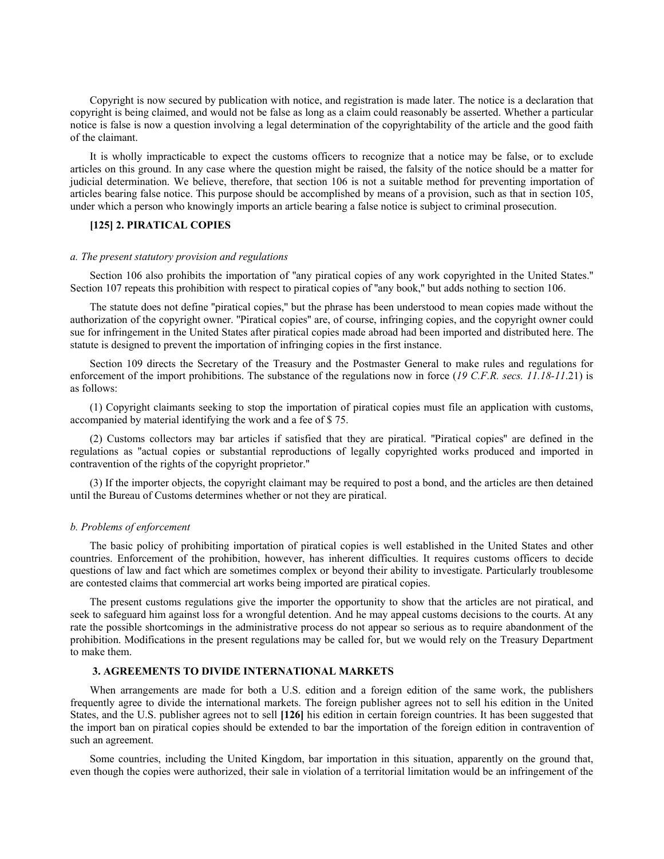Copyright is now secured by publication with notice, and registration is made later. The notice is a declaration that copyright is being claimed, and would not be false as long as a claim could reasonably be asserted. Whether a particular notice is false is now a question involving a legal determination of the copyrightability of the article and the good faith of the claimant.

It is wholly impracticable to expect the customs officers to recognize that a notice may be false, or to exclude articles on this ground. In any case where the question might be raised, the falsity of the notice should be a matter for judicial determination. We believe, therefore, that section 106 is not a suitable method for preventing importation of articles bearing false notice. This purpose should be accomplished by means of a provision, such as that in section 105, under which a person who knowingly imports an article bearing a false notice is subject to criminal prosecution.

# **[125] 2. PIRATICAL COPIES**

#### *a. The present statutory provision and regulations*

Section 106 also prohibits the importation of ''any piratical copies of any work copyrighted in the United States.'' Section 107 repeats this prohibition with respect to piratical copies of ''any book,'' but adds nothing to section 106.

The statute does not define ''piratical copies,'' but the phrase has been understood to mean copies made without the authorization of the copyright owner. ''Piratical copies'' are, of course, infringing copies, and the copyright owner could sue for infringement in the United States after piratical copies made abroad had been imported and distributed here. The statute is designed to prevent the importation of infringing copies in the first instance.

Section 109 directs the Secretary of the Treasury and the Postmaster General to make rules and regulations for enforcement of the import prohibitions. The substance of the regulations now in force (*19 C.F.R. secs. 11.18-11*.21) is as follows:

(1) Copyright claimants seeking to stop the importation of piratical copies must file an application with customs, accompanied by material identifying the work and a fee of \$ 75.

(2) Customs collectors may bar articles if satisfied that they are piratical. ''Piratical copies'' are defined in the regulations as ''actual copies or substantial reproductions of legally copyrighted works produced and imported in contravention of the rights of the copyright proprietor.''

(3) If the importer objects, the copyright claimant may be required to post a bond, and the articles are then detained until the Bureau of Customs determines whether or not they are piratical.

### *b. Problems of enforcement*

The basic policy of prohibiting importation of piratical copies is well established in the United States and other countries. Enforcement of the prohibition, however, has inherent difficulties. It requires customs officers to decide questions of law and fact which are sometimes complex or beyond their ability to investigate. Particularly troublesome are contested claims that commercial art works being imported are piratical copies.

The present customs regulations give the importer the opportunity to show that the articles are not piratical, and seek to safeguard him against loss for a wrongful detention. And he may appeal customs decisions to the courts. At any rate the possible shortcomings in the administrative process do not appear so serious as to require abandonment of the prohibition. Modifications in the present regulations may be called for, but we would rely on the Treasury Department to make them.

# **3. AGREEMENTS TO DIVIDE INTERNATIONAL MARKETS**

When arrangements are made for both a U.S. edition and a foreign edition of the same work, the publishers frequently agree to divide the international markets. The foreign publisher agrees not to sell his edition in the United States, and the U.S. publisher agrees not to sell **[126]** his edition in certain foreign countries. It has been suggested that the import ban on piratical copies should be extended to bar the importation of the foreign edition in contravention of such an agreement.

Some countries, including the United Kingdom, bar importation in this situation, apparently on the ground that, even though the copies were authorized, their sale in violation of a territorial limitation would be an infringement of the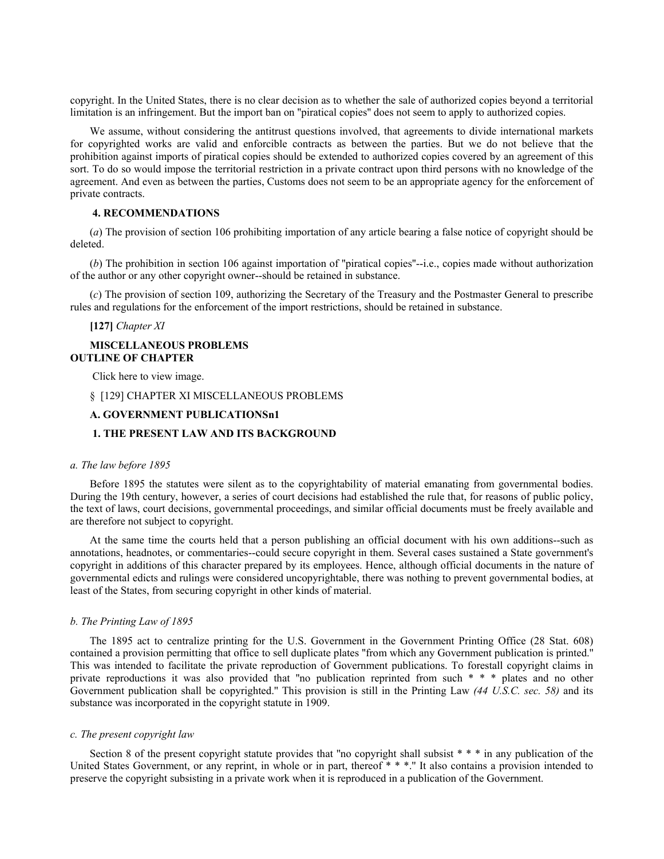copyright. In the United States, there is no clear decision as to whether the sale of authorized copies beyond a territorial limitation is an infringement. But the import ban on ''piratical copies'' does not seem to apply to authorized copies.

We assume, without considering the antitrust questions involved, that agreements to divide international markets for copyrighted works are valid and enforcible contracts as between the parties. But we do not believe that the prohibition against imports of piratical copies should be extended to authorized copies covered by an agreement of this sort. To do so would impose the territorial restriction in a private contract upon third persons with no knowledge of the agreement. And even as between the parties, Customs does not seem to be an appropriate agency for the enforcement of private contracts.

#### **4. RECOMMENDATIONS**

(*a*) The provision of section 106 prohibiting importation of any article bearing a false notice of copyright should be deleted.

(*b*) The prohibition in section 106 against importation of ''piratical copies''--i.e., copies made without authorization of the author or any other copyright owner--should be retained in substance.

(*c*) The provision of section 109, authorizing the Secretary of the Treasury and the Postmaster General to prescribe rules and regulations for the enforcement of the import restrictions, should be retained in substance.

## **[127]** *Chapter XI*

### **MISCELLANEOUS PROBLEMS OUTLINE OF CHAPTER**

Click here to view image.

§ [129] CHAPTER XI MISCELLANEOUS PROBLEMS

### **A. GOVERNMENT PUBLICATIONSn1**

# **1. THE PRESENT LAW AND ITS BACKGROUND**

### *a. The law before 1895*

Before 1895 the statutes were silent as to the copyrightability of material emanating from governmental bodies. During the 19th century, however, a series of court decisions had established the rule that, for reasons of public policy, the text of laws, court decisions, governmental proceedings, and similar official documents must be freely available and are therefore not subject to copyright.

At the same time the courts held that a person publishing an official document with his own additions--such as annotations, headnotes, or commentaries--could secure copyright in them. Several cases sustained a State government's copyright in additions of this character prepared by its employees. Hence, although official documents in the nature of governmental edicts and rulings were considered uncopyrightable, there was nothing to prevent governmental bodies, at least of the States, from securing copyright in other kinds of material.

### *b. The Printing Law of 1895*

The 1895 act to centralize printing for the U.S. Government in the Government Printing Office (28 Stat. 608) contained a provision permitting that office to sell duplicate plates ''from which any Government publication is printed.'' This was intended to facilitate the private reproduction of Government publications. To forestall copyright claims in private reproductions it was also provided that ''no publication reprinted from such \* \* \* plates and no other Government publication shall be copyrighted.'' This provision is still in the Printing Law *(44 U.S.C. sec. 58)* and its substance was incorporated in the copyright statute in 1909.

# *c. The present copyright law*

Section 8 of the present copyright statute provides that "no copyright shall subsist \* \* \* in any publication of the United States Government, or any reprint, in whole or in part, thereof \* \* \*." It also contains a provision intended to preserve the copyright subsisting in a private work when it is reproduced in a publication of the Government.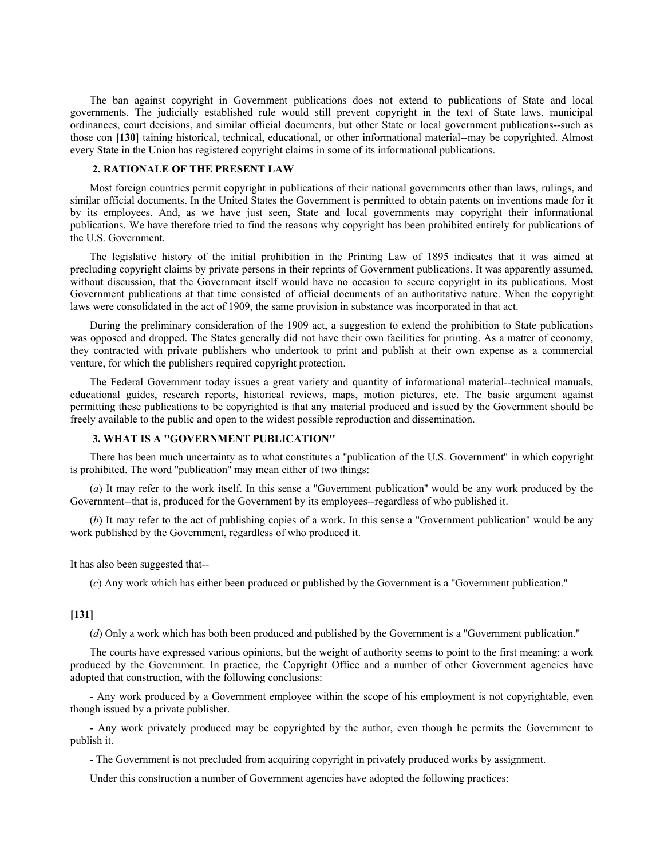The ban against copyright in Government publications does not extend to publications of State and local governments. The judicially established rule would still prevent copyright in the text of State laws, municipal ordinances, court decisions, and similar official documents, but other State or local government publications--such as those con **[130]** taining historical, technical, educational, or other informational material--may be copyrighted. Almost every State in the Union has registered copyright claims in some of its informational publications.

# **2. RATIONALE OF THE PRESENT LAW**

Most foreign countries permit copyright in publications of their national governments other than laws, rulings, and similar official documents. In the United States the Government is permitted to obtain patents on inventions made for it by its employees. And, as we have just seen, State and local governments may copyright their informational publications. We have therefore tried to find the reasons why copyright has been prohibited entirely for publications of the U.S. Government.

The legislative history of the initial prohibition in the Printing Law of 1895 indicates that it was aimed at precluding copyright claims by private persons in their reprints of Government publications. It was apparently assumed, without discussion, that the Government itself would have no occasion to secure copyright in its publications. Most Government publications at that time consisted of official documents of an authoritative nature. When the copyright laws were consolidated in the act of 1909, the same provision in substance was incorporated in that act.

During the preliminary consideration of the 1909 act, a suggestion to extend the prohibition to State publications was opposed and dropped. The States generally did not have their own facilities for printing. As a matter of economy, they contracted with private publishers who undertook to print and publish at their own expense as a commercial venture, for which the publishers required copyright protection.

The Federal Government today issues a great variety and quantity of informational material--technical manuals, educational guides, research reports, historical reviews, maps, motion pictures, etc. The basic argument against permitting these publications to be copyrighted is that any material produced and issued by the Government should be freely available to the public and open to the widest possible reproduction and dissemination.

# **3. WHAT IS A ''GOVERNMENT PUBLICATION''**

There has been much uncertainty as to what constitutes a ''publication of the U.S. Government'' in which copyright is prohibited. The word ''publication'' may mean either of two things:

(*a*) It may refer to the work itself. In this sense a ''Government publication'' would be any work produced by the Government--that is, produced for the Government by its employees--regardless of who published it.

(*b*) It may refer to the act of publishing copies of a work. In this sense a ''Government publication'' would be any work published by the Government, regardless of who produced it.

It has also been suggested that--

(*c*) Any work which has either been produced or published by the Government is a ''Government publication.''

# **[131]**

(*d*) Only a work which has both been produced and published by the Government is a ''Government publication.''

The courts have expressed various opinions, but the weight of authority seems to point to the first meaning: a work produced by the Government. In practice, the Copyright Office and a number of other Government agencies have adopted that construction, with the following conclusions:

- Any work produced by a Government employee within the scope of his employment is not copyrightable, even though issued by a private publisher.

- Any work privately produced may be copyrighted by the author, even though he permits the Government to publish it.

- The Government is not precluded from acquiring copyright in privately produced works by assignment.

Under this construction a number of Government agencies have adopted the following practices: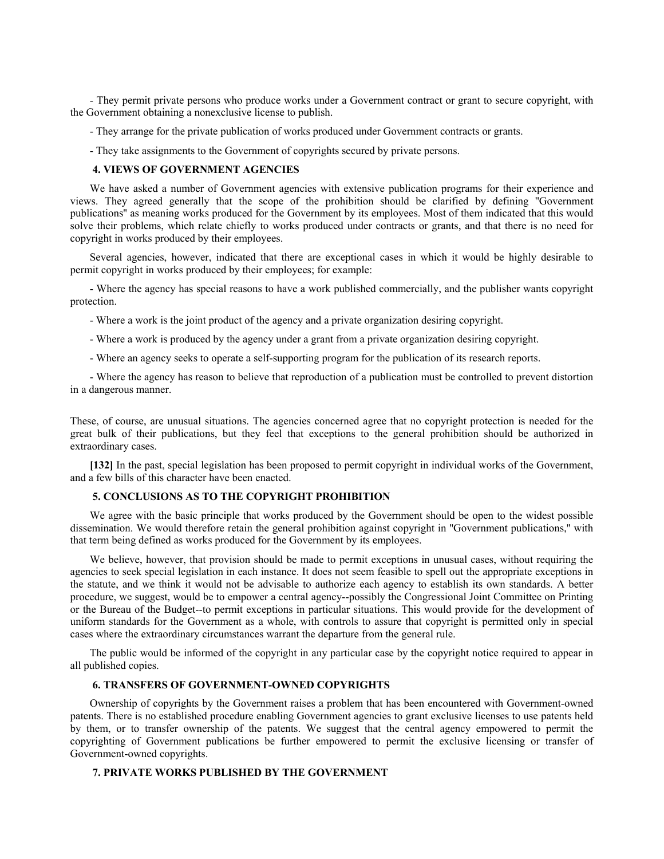- They permit private persons who produce works under a Government contract or grant to secure copyright, with the Government obtaining a nonexclusive license to publish.

- They arrange for the private publication of works produced under Government contracts or grants.

- They take assignments to the Government of copyrights secured by private persons.

# **4. VIEWS OF GOVERNMENT AGENCIES**

We have asked a number of Government agencies with extensive publication programs for their experience and views. They agreed generally that the scope of the prohibition should be clarified by defining ''Government publications'' as meaning works produced for the Government by its employees. Most of them indicated that this would solve their problems, which relate chiefly to works produced under contracts or grants, and that there is no need for copyright in works produced by their employees.

Several agencies, however, indicated that there are exceptional cases in which it would be highly desirable to permit copyright in works produced by their employees; for example:

- Where the agency has special reasons to have a work published commercially, and the publisher wants copyright protection.

- Where a work is the joint product of the agency and a private organization desiring copyright.

- Where a work is produced by the agency under a grant from a private organization desiring copyright.

- Where an agency seeks to operate a self-supporting program for the publication of its research reports.

- Where the agency has reason to believe that reproduction of a publication must be controlled to prevent distortion in a dangerous manner.

These, of course, are unusual situations. The agencies concerned agree that no copyright protection is needed for the great bulk of their publications, but they feel that exceptions to the general prohibition should be authorized in extraordinary cases.

**[132]** In the past, special legislation has been proposed to permit copyright in individual works of the Government, and a few bills of this character have been enacted.

## **5. CONCLUSIONS AS TO THE COPYRIGHT PROHIBITION**

We agree with the basic principle that works produced by the Government should be open to the widest possible dissemination. We would therefore retain the general prohibition against copyright in ''Government publications,'' with that term being defined as works produced for the Government by its employees.

We believe, however, that provision should be made to permit exceptions in unusual cases, without requiring the agencies to seek special legislation in each instance. It does not seem feasible to spell out the appropriate exceptions in the statute, and we think it would not be advisable to authorize each agency to establish its own standards. A better procedure, we suggest, would be to empower a central agency--possibly the Congressional Joint Committee on Printing or the Bureau of the Budget--to permit exceptions in particular situations. This would provide for the development of uniform standards for the Government as a whole, with controls to assure that copyright is permitted only in special cases where the extraordinary circumstances warrant the departure from the general rule.

The public would be informed of the copyright in any particular case by the copyright notice required to appear in all published copies.

# **6. TRANSFERS OF GOVERNMENT-OWNED COPYRIGHTS**

Ownership of copyrights by the Government raises a problem that has been encountered with Government-owned patents. There is no established procedure enabling Government agencies to grant exclusive licenses to use patents held by them, or to transfer ownership of the patents. We suggest that the central agency empowered to permit the copyrighting of Government publications be further empowered to permit the exclusive licensing or transfer of Government-owned copyrights.

# **7. PRIVATE WORKS PUBLISHED BY THE GOVERNMENT**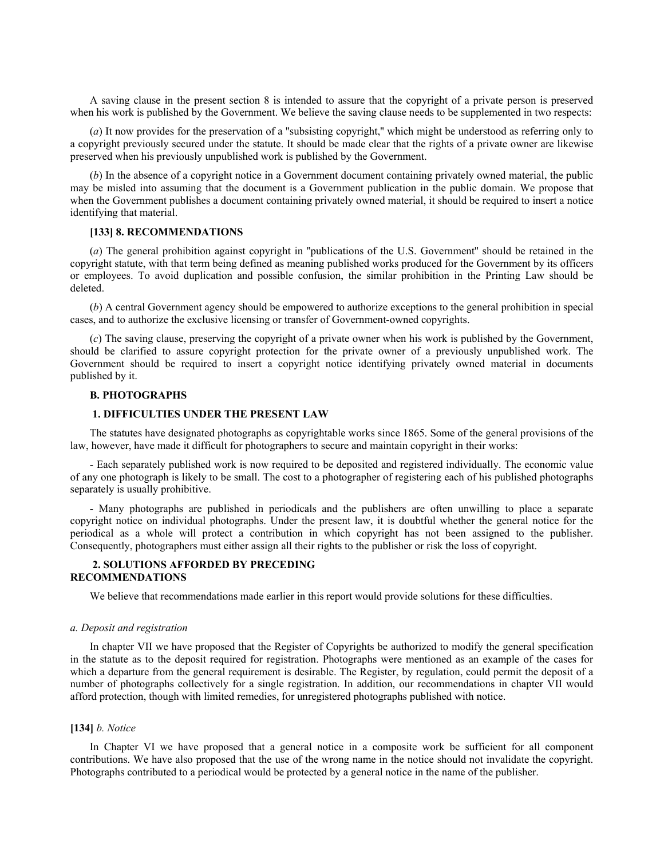A saving clause in the present section 8 is intended to assure that the copyright of a private person is preserved when his work is published by the Government. We believe the saving clause needs to be supplemented in two respects:

(*a*) It now provides for the preservation of a ''subsisting copyright,'' which might be understood as referring only to a copyright previously secured under the statute. It should be made clear that the rights of a private owner are likewise preserved when his previously unpublished work is published by the Government.

(*b*) In the absence of a copyright notice in a Government document containing privately owned material, the public may be misled into assuming that the document is a Government publication in the public domain. We propose that when the Government publishes a document containing privately owned material, it should be required to insert a notice identifying that material.

# **[133] 8. RECOMMENDATIONS**

(*a*) The general prohibition against copyright in ''publications of the U.S. Government'' should be retained in the copyright statute, with that term being defined as meaning published works produced for the Government by its officers or employees. To avoid duplication and possible confusion, the similar prohibition in the Printing Law should be deleted.

(*b*) A central Government agency should be empowered to authorize exceptions to the general prohibition in special cases, and to authorize the exclusive licensing or transfer of Government-owned copyrights.

(*c*) The saving clause, preserving the copyright of a private owner when his work is published by the Government, should be clarified to assure copyright protection for the private owner of a previously unpublished work. The Government should be required to insert a copyright notice identifying privately owned material in documents published by it.

# **B. PHOTOGRAPHS**

# **1. DIFFICULTIES UNDER THE PRESENT LAW**

The statutes have designated photographs as copyrightable works since 1865. Some of the general provisions of the law, however, have made it difficult for photographers to secure and maintain copyright in their works:

- Each separately published work is now required to be deposited and registered individually. The economic value of any one photograph is likely to be small. The cost to a photographer of registering each of his published photographs separately is usually prohibitive.

- Many photographs are published in periodicals and the publishers are often unwilling to place a separate copyright notice on individual photographs. Under the present law, it is doubtful whether the general notice for the periodical as a whole will protect a contribution in which copyright has not been assigned to the publisher. Consequently, photographers must either assign all their rights to the publisher or risk the loss of copyright.

# **2. SOLUTIONS AFFORDED BY PRECEDING RECOMMENDATIONS**

We believe that recommendations made earlier in this report would provide solutions for these difficulties.

# *a. Deposit and registration*

In chapter VII we have proposed that the Register of Copyrights be authorized to modify the general specification in the statute as to the deposit required for registration. Photographs were mentioned as an example of the cases for which a departure from the general requirement is desirable. The Register, by regulation, could permit the deposit of a number of photographs collectively for a single registration. In addition, our recommendations in chapter VII would afford protection, though with limited remedies, for unregistered photographs published with notice.

## **[134]** *b. Notice*

In Chapter VI we have proposed that a general notice in a composite work be sufficient for all component contributions. We have also proposed that the use of the wrong name in the notice should not invalidate the copyright. Photographs contributed to a periodical would be protected by a general notice in the name of the publisher.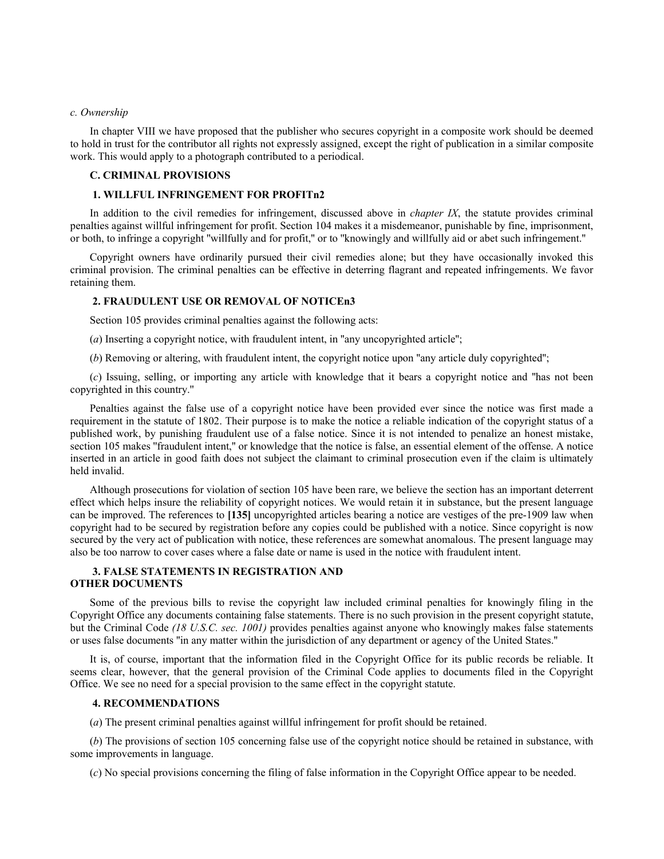### *c. Ownership*

In chapter VIII we have proposed that the publisher who secures copyright in a composite work should be deemed to hold in trust for the contributor all rights not expressly assigned, except the right of publication in a similar composite work. This would apply to a photograph contributed to a periodical.

### **C. CRIMINAL PROVISIONS**

#### **1. WILLFUL INFRINGEMENT FOR PROFITn2**

In addition to the civil remedies for infringement, discussed above in *chapter IX*, the statute provides criminal penalties against willful infringement for profit. Section 104 makes it a misdemeanor, punishable by fine, imprisonment, or both, to infringe a copyright ''willfully and for profit,'' or to ''knowingly and willfully aid or abet such infringement.''

Copyright owners have ordinarily pursued their civil remedies alone; but they have occasionally invoked this criminal provision. The criminal penalties can be effective in deterring flagrant and repeated infringements. We favor retaining them.

# **2. FRAUDULENT USE OR REMOVAL OF NOTICEn3**

Section 105 provides criminal penalties against the following acts:

(*a*) Inserting a copyright notice, with fraudulent intent, in ''any uncopyrighted article'';

(*b*) Removing or altering, with fraudulent intent, the copyright notice upon ''any article duly copyrighted'';

(*c*) Issuing, selling, or importing any article with knowledge that it bears a copyright notice and ''has not been copyrighted in this country.''

Penalties against the false use of a copyright notice have been provided ever since the notice was first made a requirement in the statute of 1802. Their purpose is to make the notice a reliable indication of the copyright status of a published work, by punishing fraudulent use of a false notice. Since it is not intended to penalize an honest mistake, section 105 makes ''fraudulent intent,'' or knowledge that the notice is false, an essential element of the offense. A notice inserted in an article in good faith does not subject the claimant to criminal prosecution even if the claim is ultimately held invalid.

Although prosecutions for violation of section 105 have been rare, we believe the section has an important deterrent effect which helps insure the reliability of copyright notices. We would retain it in substance, but the present language can be improved. The references to **[135]** uncopyrighted articles bearing a notice are vestiges of the pre-1909 law when copyright had to be secured by registration before any copies could be published with a notice. Since copyright is now secured by the very act of publication with notice, these references are somewhat anomalous. The present language may also be too narrow to cover cases where a false date or name is used in the notice with fraudulent intent.

# **3. FALSE STATEMENTS IN REGISTRATION AND OTHER DOCUMENTS**

Some of the previous bills to revise the copyright law included criminal penalties for knowingly filing in the Copyright Office any documents containing false statements. There is no such provision in the present copyright statute, but the Criminal Code *(18 U.S.C. sec. 1001)* provides penalties against anyone who knowingly makes false statements or uses false documents ''in any matter within the jurisdiction of any department or agency of the United States.''

It is, of course, important that the information filed in the Copyright Office for its public records be reliable. It seems clear, however, that the general provision of the Criminal Code applies to documents filed in the Copyright Office. We see no need for a special provision to the same effect in the copyright statute.

## **4. RECOMMENDATIONS**

(*a*) The present criminal penalties against willful infringement for profit should be retained.

(*b*) The provisions of section 105 concerning false use of the copyright notice should be retained in substance, with some improvements in language.

(*c*) No special provisions concerning the filing of false information in the Copyright Office appear to be needed.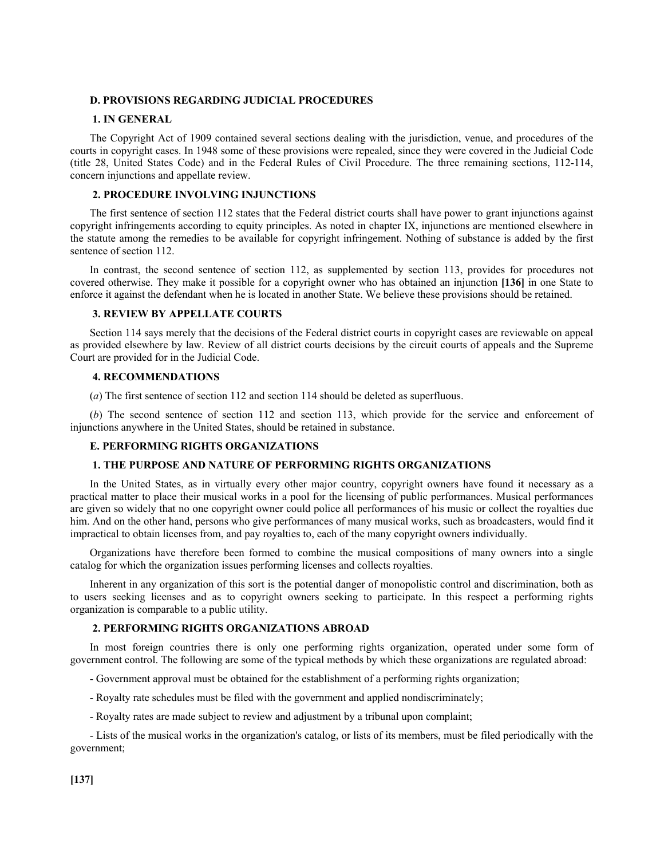# **D. PROVISIONS REGARDING JUDICIAL PROCEDURES**

### **1. IN GENERAL**

The Copyright Act of 1909 contained several sections dealing with the jurisdiction, venue, and procedures of the courts in copyright cases. In 1948 some of these provisions were repealed, since they were covered in the Judicial Code (title 28, United States Code) and in the Federal Rules of Civil Procedure. The three remaining sections, 112-114, concern injunctions and appellate review.

### **2. PROCEDURE INVOLVING INJUNCTIONS**

The first sentence of section 112 states that the Federal district courts shall have power to grant injunctions against copyright infringements according to equity principles. As noted in chapter IX, injunctions are mentioned elsewhere in the statute among the remedies to be available for copyright infringement. Nothing of substance is added by the first sentence of section 112.

In contrast, the second sentence of section 112, as supplemented by section 113, provides for procedures not covered otherwise. They make it possible for a copyright owner who has obtained an injunction **[136]** in one State to enforce it against the defendant when he is located in another State. We believe these provisions should be retained.

## **3. REVIEW BY APPELLATE COURTS**

Section 114 says merely that the decisions of the Federal district courts in copyright cases are reviewable on appeal as provided elsewhere by law. Review of all district courts decisions by the circuit courts of appeals and the Supreme Court are provided for in the Judicial Code.

# **4. RECOMMENDATIONS**

(*a*) The first sentence of section 112 and section 114 should be deleted as superfluous.

(*b*) The second sentence of section 112 and section 113, which provide for the service and enforcement of injunctions anywhere in the United States, should be retained in substance.

## **E. PERFORMING RIGHTS ORGANIZATIONS**

# **1. THE PURPOSE AND NATURE OF PERFORMING RIGHTS ORGANIZATIONS**

In the United States, as in virtually every other major country, copyright owners have found it necessary as a practical matter to place their musical works in a pool for the licensing of public performances. Musical performances are given so widely that no one copyright owner could police all performances of his music or collect the royalties due him. And on the other hand, persons who give performances of many musical works, such as broadcasters, would find it impractical to obtain licenses from, and pay royalties to, each of the many copyright owners individually.

Organizations have therefore been formed to combine the musical compositions of many owners into a single catalog for which the organization issues performing licenses and collects royalties.

Inherent in any organization of this sort is the potential danger of monopolistic control and discrimination, both as to users seeking licenses and as to copyright owners seeking to participate. In this respect a performing rights organization is comparable to a public utility.

# **2. PERFORMING RIGHTS ORGANIZATIONS ABROAD**

In most foreign countries there is only one performing rights organization, operated under some form of government control. The following are some of the typical methods by which these organizations are regulated abroad:

- Government approval must be obtained for the establishment of a performing rights organization;
- Royalty rate schedules must be filed with the government and applied nondiscriminately;
- Royalty rates are made subject to review and adjustment by a tribunal upon complaint;

- Lists of the musical works in the organization's catalog, or lists of its members, must be filed periodically with the government;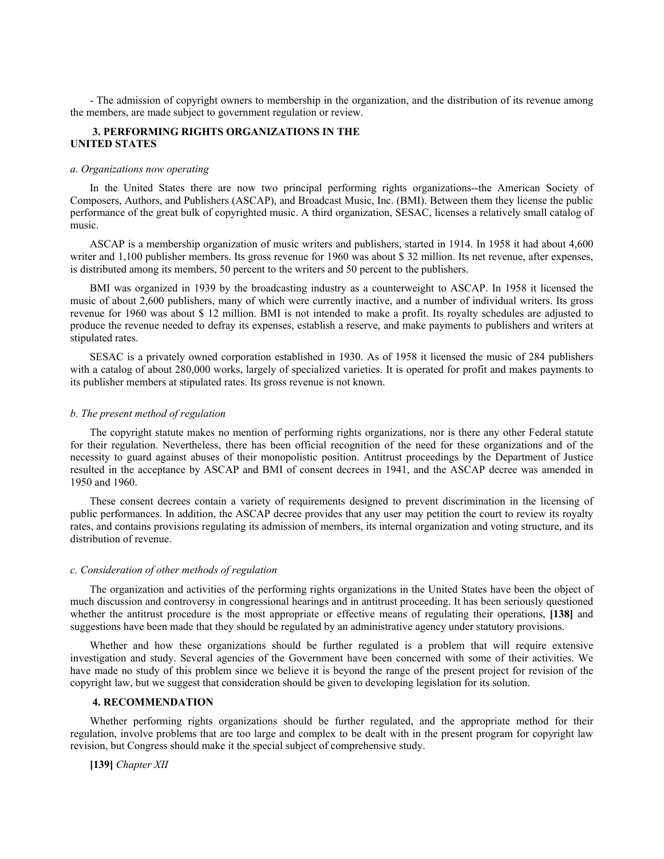- The admission of copyright owners to membership in the organization, and the distribution of its revenue among the members, are made subject to government regulation or review.

# **3. PERFORMING RIGHTS ORGANIZATIONS IN THE UNITED STATES**

#### *a. Organizations now operating*

In the United States there are now two principal performing rights organizations--the American Society of Composers, Authors, and Publishers (ASCAP), and Broadcast Music, Inc. (BMI). Between them they license the public performance of the great bulk of copyrighted music. A third organization, SESAC, licenses a relatively small catalog of music.

ASCAP is a membership organization of music writers and publishers, started in 1914. In 1958 it had about 4,600 writer and 1,100 publisher members. Its gross revenue for 1960 was about \$ 32 million. Its net revenue, after expenses, is distributed among its members, 50 percent to the writers and 50 percent to the publishers.

BMI was organized in 1939 by the broadcasting industry as a counterweight to ASCAP. In 1958 it licensed the music of about 2,600 publishers, many of which were currently inactive, and a number of individual writers. Its gross revenue for 1960 was about \$ 12 million. BMI is not intended to make a profit. Its royalty schedules are adjusted to produce the revenue needed to defray its expenses, establish a reserve, and make payments to publishers and writers at stipulated rates.

SESAC is a privately owned corporation established in 1930. As of 1958 it licensed the music of 284 publishers with a catalog of about 280,000 works, largely of specialized varieties. It is operated for profit and makes payments to its publisher members at stipulated rates. Its gross revenue is not known.

#### *b. The present method of regulation*

The copyright statute makes no mention of performing rights organizations, nor is there any other Federal statute for their regulation. Nevertheless, there has been official recognition of the need for these organizations and of the necessity to guard against abuses of their monopolistic position. Antitrust proceedings by the Department of Justice resulted in the acceptance by ASCAP and BMI of consent decrees in 1941, and the ASCAP decree was amended in 1950 and 1960.

These consent decrees contain a variety of requirements designed to prevent discrimination in the licensing of public performances. In addition, the ASCAP decree provides that any user may petition the court to review its royalty rates, and contains provisions regulating its admission of members, its internal organization and voting structure, and its distribution of revenue.

#### *c. Consideration of other methods of regulation*

The organization and activities of the performing rights organizations in the United States have been the object of much discussion and controversy in congressional hearings and in antitrust proceeding. It has been seriously questioned whether the antitrust procedure is the most appropriate or effective means of regulating their operations, **[138]** and suggestions have been made that they should be regulated by an administrative agency under statutory provisions.

Whether and how these organizations should be further regulated is a problem that will require extensive investigation and study. Several agencies of the Government have been concerned with some of their activities. We have made no study of this problem since we believe it is beyond the range of the present project for revision of the copyright law, but we suggest that consideration should be given to developing legislation for its solution.

#### **4. RECOMMENDATION**

Whether performing rights organizations should be further regulated, and the appropriate method for their regulation, involve problems that are too large and complex to be dealt with in the present program for copyright law revision, but Congress should make it the special subject of comprehensive study.

**[139]** *Chapter XII*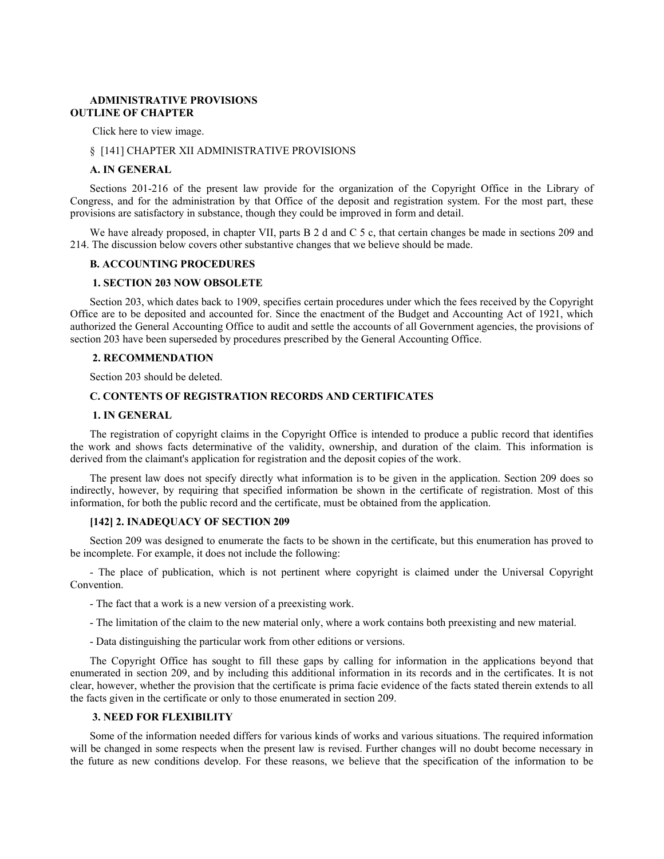# **ADMINISTRATIVE PROVISIONS OUTLINE OF CHAPTER**

Click here to view image.

# § [141] CHAPTER XII ADMINISTRATIVE PROVISIONS

#### **A. IN GENERAL**

Sections 201-216 of the present law provide for the organization of the Copyright Office in the Library of Congress, and for the administration by that Office of the deposit and registration system. For the most part, these provisions are satisfactory in substance, though they could be improved in form and detail.

We have already proposed, in chapter VII, parts B 2 d and C 5 c, that certain changes be made in sections 209 and 214. The discussion below covers other substantive changes that we believe should be made.

## **B. ACCOUNTING PROCEDURES**

#### **1. SECTION 203 NOW OBSOLETE**

Section 203, which dates back to 1909, specifies certain procedures under which the fees received by the Copyright Office are to be deposited and accounted for. Since the enactment of the Budget and Accounting Act of 1921, which authorized the General Accounting Office to audit and settle the accounts of all Government agencies, the provisions of section 203 have been superseded by procedures prescribed by the General Accounting Office.

# **2. RECOMMENDATION**

Section 203 should be deleted.

# **C. CONTENTS OF REGISTRATION RECORDS AND CERTIFICATES**

### **1. IN GENERAL**

The registration of copyright claims in the Copyright Office is intended to produce a public record that identifies the work and shows facts determinative of the validity, ownership, and duration of the claim. This information is derived from the claimant's application for registration and the deposit copies of the work.

The present law does not specify directly what information is to be given in the application. Section 209 does so indirectly, however, by requiring that specified information be shown in the certificate of registration. Most of this information, for both the public record and the certificate, must be obtained from the application.

# **[142] 2. INADEQUACY OF SECTION 209**

Section 209 was designed to enumerate the facts to be shown in the certificate, but this enumeration has proved to be incomplete. For example, it does not include the following:

- The place of publication, which is not pertinent where copyright is claimed under the Universal Copyright Convention.

- The fact that a work is a new version of a preexisting work.
- The limitation of the claim to the new material only, where a work contains both preexisting and new material.
- Data distinguishing the particular work from other editions or versions.

The Copyright Office has sought to fill these gaps by calling for information in the applications beyond that enumerated in section 209, and by including this additional information in its records and in the certificates. It is not clear, however, whether the provision that the certificate is prima facie evidence of the facts stated therein extends to all the facts given in the certificate or only to those enumerated in section 209.

# **3. NEED FOR FLEXIBILITY**

Some of the information needed differs for various kinds of works and various situations. The required information will be changed in some respects when the present law is revised. Further changes will no doubt become necessary in the future as new conditions develop. For these reasons, we believe that the specification of the information to be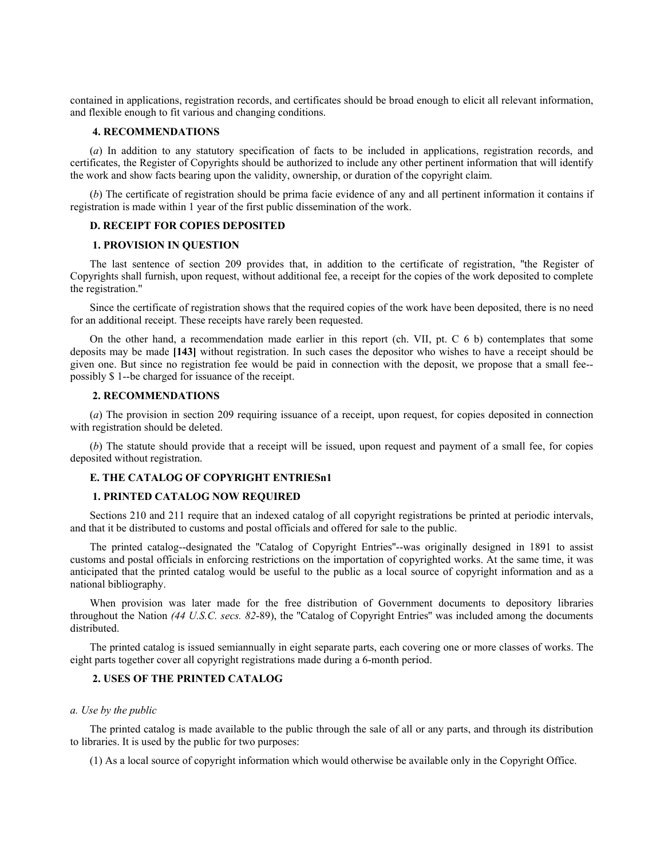contained in applications, registration records, and certificates should be broad enough to elicit all relevant information, and flexible enough to fit various and changing conditions.

# **4. RECOMMENDATIONS**

(*a*) In addition to any statutory specification of facts to be included in applications, registration records, and certificates, the Register of Copyrights should be authorized to include any other pertinent information that will identify the work and show facts bearing upon the validity, ownership, or duration of the copyright claim.

(*b*) The certificate of registration should be prima facie evidence of any and all pertinent information it contains if registration is made within 1 year of the first public dissemination of the work.

### **D. RECEIPT FOR COPIES DEPOSITED**

# **1. PROVISION IN QUESTION**

The last sentence of section 209 provides that, in addition to the certificate of registration, ''the Register of Copyrights shall furnish, upon request, without additional fee, a receipt for the copies of the work deposited to complete the registration.''

Since the certificate of registration shows that the required copies of the work have been deposited, there is no need for an additional receipt. These receipts have rarely been requested.

On the other hand, a recommendation made earlier in this report (ch. VII, pt. C 6 b) contemplates that some deposits may be made **[143]** without registration. In such cases the depositor who wishes to have a receipt should be given one. But since no registration fee would be paid in connection with the deposit, we propose that a small fee- possibly \$ 1--be charged for issuance of the receipt.

# **2. RECOMMENDATIONS**

(*a*) The provision in section 209 requiring issuance of a receipt, upon request, for copies deposited in connection with registration should be deleted.

(*b*) The statute should provide that a receipt will be issued, upon request and payment of a small fee, for copies deposited without registration.

# **E. THE CATALOG OF COPYRIGHT ENTRIESn1**

## **1. PRINTED CATALOG NOW REQUIRED**

Sections 210 and 211 require that an indexed catalog of all copyright registrations be printed at periodic intervals, and that it be distributed to customs and postal officials and offered for sale to the public.

The printed catalog--designated the ''Catalog of Copyright Entries''--was originally designed in 1891 to assist customs and postal officials in enforcing restrictions on the importation of copyrighted works. At the same time, it was anticipated that the printed catalog would be useful to the public as a local source of copyright information and as a national bibliography.

When provision was later made for the free distribution of Government documents to depository libraries throughout the Nation *(44 U.S.C. secs. 82*-89), the ''Catalog of Copyright Entries'' was included among the documents distributed.

The printed catalog is issued semiannually in eight separate parts, each covering one or more classes of works. The eight parts together cover all copyright registrations made during a 6-month period.

# **2. USES OF THE PRINTED CATALOG**

#### *a. Use by the public*

The printed catalog is made available to the public through the sale of all or any parts, and through its distribution to libraries. It is used by the public for two purposes:

(1) As a local source of copyright information which would otherwise be available only in the Copyright Office.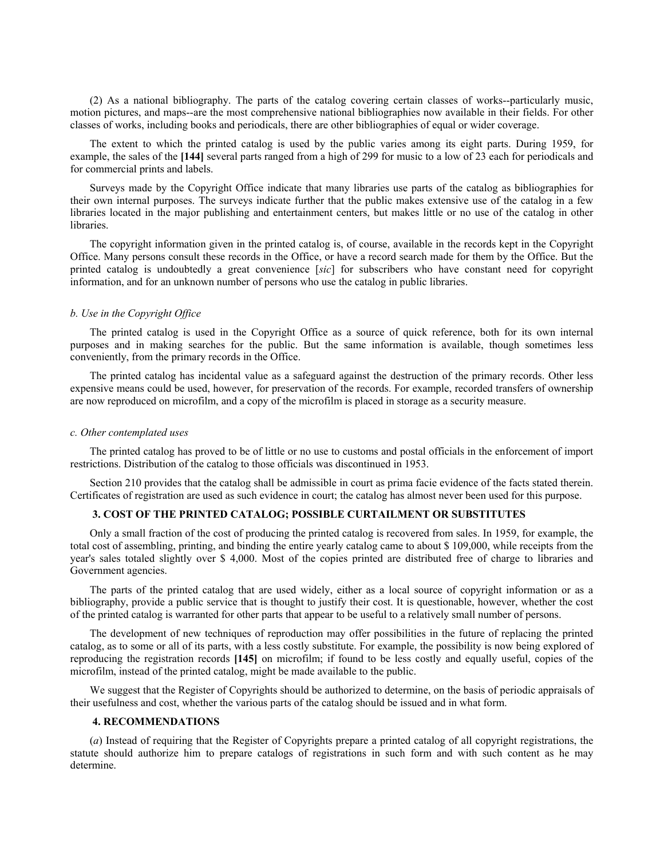(2) As a national bibliography. The parts of the catalog covering certain classes of works--particularly music, motion pictures, and maps--are the most comprehensive national bibliographies now available in their fields. For other classes of works, including books and periodicals, there are other bibliographies of equal or wider coverage.

The extent to which the printed catalog is used by the public varies among its eight parts. During 1959, for example, the sales of the **[144]** several parts ranged from a high of 299 for music to a low of 23 each for periodicals and for commercial prints and labels.

Surveys made by the Copyright Office indicate that many libraries use parts of the catalog as bibliographies for their own internal purposes. The surveys indicate further that the public makes extensive use of the catalog in a few libraries located in the major publishing and entertainment centers, but makes little or no use of the catalog in other libraries.

The copyright information given in the printed catalog is, of course, available in the records kept in the Copyright Office. Many persons consult these records in the Office, or have a record search made for them by the Office. But the printed catalog is undoubtedly a great convenience [*sic*] for subscribers who have constant need for copyright information, and for an unknown number of persons who use the catalog in public libraries.

# *b. Use in the Copyright Office*

The printed catalog is used in the Copyright Office as a source of quick reference, both for its own internal purposes and in making searches for the public. But the same information is available, though sometimes less conveniently, from the primary records in the Office.

The printed catalog has incidental value as a safeguard against the destruction of the primary records. Other less expensive means could be used, however, for preservation of the records. For example, recorded transfers of ownership are now reproduced on microfilm, and a copy of the microfilm is placed in storage as a security measure.

#### *c. Other contemplated uses*

The printed catalog has proved to be of little or no use to customs and postal officials in the enforcement of import restrictions. Distribution of the catalog to those officials was discontinued in 1953.

Section 210 provides that the catalog shall be admissible in court as prima facie evidence of the facts stated therein. Certificates of registration are used as such evidence in court; the catalog has almost never been used for this purpose.

# **3. COST OF THE PRINTED CATALOG; POSSIBLE CURTAILMENT OR SUBSTITUTES**

Only a small fraction of the cost of producing the printed catalog is recovered from sales. In 1959, for example, the total cost of assembling, printing, and binding the entire yearly catalog came to about \$ 109,000, while receipts from the year's sales totaled slightly over \$ 4,000. Most of the copies printed are distributed free of charge to libraries and Government agencies.

The parts of the printed catalog that are used widely, either as a local source of copyright information or as a bibliography, provide a public service that is thought to justify their cost. It is questionable, however, whether the cost of the printed catalog is warranted for other parts that appear to be useful to a relatively small number of persons.

The development of new techniques of reproduction may offer possibilities in the future of replacing the printed catalog, as to some or all of its parts, with a less costly substitute. For example, the possibility is now being explored of reproducing the registration records **[145]** on microfilm; if found to be less costly and equally useful, copies of the microfilm, instead of the printed catalog, might be made available to the public.

We suggest that the Register of Copyrights should be authorized to determine, on the basis of periodic appraisals of their usefulness and cost, whether the various parts of the catalog should be issued and in what form.

# **4. RECOMMENDATIONS**

(*a*) Instead of requiring that the Register of Copyrights prepare a printed catalog of all copyright registrations, the statute should authorize him to prepare catalogs of registrations in such form and with such content as he may determine.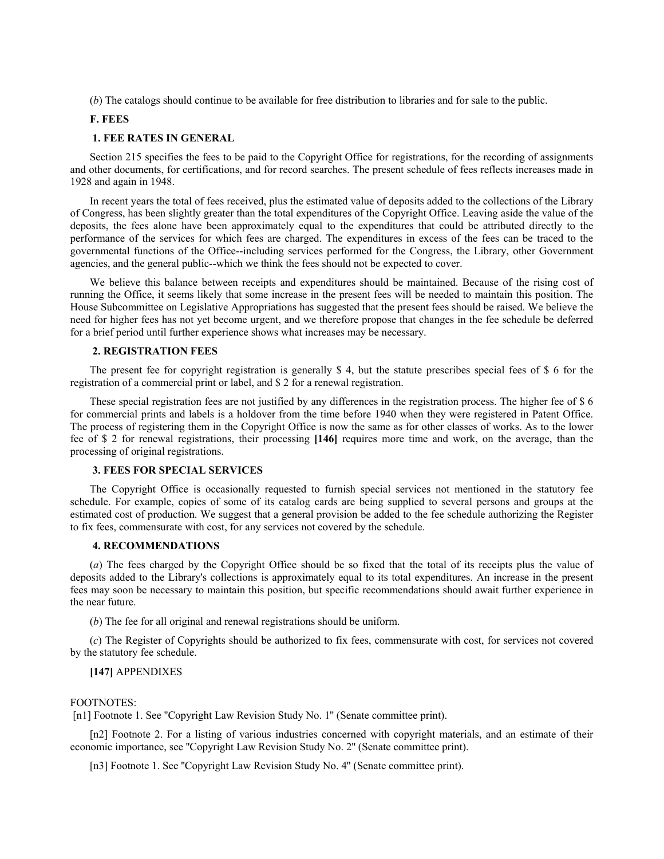(*b*) The catalogs should continue to be available for free distribution to libraries and for sale to the public.

# **F. FEES**

# **1. FEE RATES IN GENERAL**

Section 215 specifies the fees to be paid to the Copyright Office for registrations, for the recording of assignments and other documents, for certifications, and for record searches. The present schedule of fees reflects increases made in 1928 and again in 1948.

In recent years the total of fees received, plus the estimated value of deposits added to the collections of the Library of Congress, has been slightly greater than the total expenditures of the Copyright Office. Leaving aside the value of the deposits, the fees alone have been approximately equal to the expenditures that could be attributed directly to the performance of the services for which fees are charged. The expenditures in excess of the fees can be traced to the governmental functions of the Office--including services performed for the Congress, the Library, other Government agencies, and the general public--which we think the fees should not be expected to cover.

We believe this balance between receipts and expenditures should be maintained. Because of the rising cost of running the Office, it seems likely that some increase in the present fees will be needed to maintain this position. The House Subcommittee on Legislative Appropriations has suggested that the present fees should be raised. We believe the need for higher fees has not yet become urgent, and we therefore propose that changes in the fee schedule be deferred for a brief period until further experience shows what increases may be necessary.

## **2. REGISTRATION FEES**

The present fee for copyright registration is generally \$ 4, but the statute prescribes special fees of \$ 6 for the registration of a commercial print or label, and \$ 2 for a renewal registration.

These special registration fees are not justified by any differences in the registration process. The higher fee of \$ 6 for commercial prints and labels is a holdover from the time before 1940 when they were registered in Patent Office. The process of registering them in the Copyright Office is now the same as for other classes of works. As to the lower fee of \$ 2 for renewal registrations, their processing **[146]** requires more time and work, on the average, than the processing of original registrations.

# **3. FEES FOR SPECIAL SERVICES**

The Copyright Office is occasionally requested to furnish special services not mentioned in the statutory fee schedule. For example, copies of some of its catalog cards are being supplied to several persons and groups at the estimated cost of production. We suggest that a general provision be added to the fee schedule authorizing the Register to fix fees, commensurate with cost, for any services not covered by the schedule.

#### **4. RECOMMENDATIONS**

(*a*) The fees charged by the Copyright Office should be so fixed that the total of its receipts plus the value of deposits added to the Library's collections is approximately equal to its total expenditures. An increase in the present fees may soon be necessary to maintain this position, but specific recommendations should await further experience in the near future.

(*b*) The fee for all original and renewal registrations should be uniform.

(*c*) The Register of Copyrights should be authorized to fix fees, commensurate with cost, for services not covered by the statutory fee schedule.

# **[147]** APPENDIXES

#### FOOTNOTES:

[n1] Footnote 1. See ''Copyright Law Revision Study No. 1'' (Senate committee print).

[n2] Footnote 2. For a listing of various industries concerned with copyright materials, and an estimate of their economic importance, see ''Copyright Law Revision Study No. 2'' (Senate committee print).

[n3] Footnote 1. See "Copyright Law Revision Study No. 4" (Senate committee print).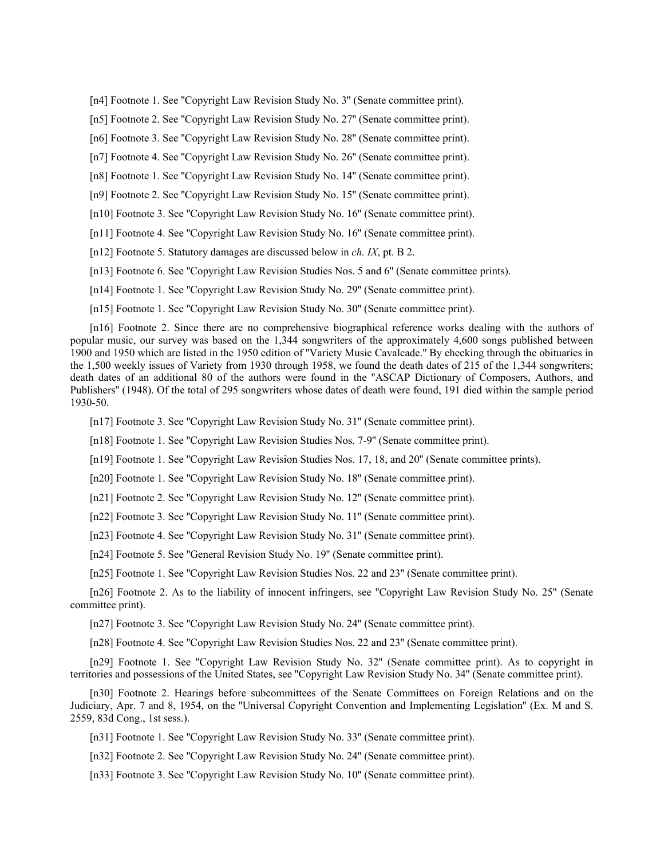- [n4] Footnote 1. See ''Copyright Law Revision Study No. 3'' (Senate committee print).
- [n5] Footnote 2. See "Copyright Law Revision Study No. 27" (Senate committee print).
- [n6] Footnote 3. See ''Copyright Law Revision Study No. 28'' (Senate committee print).
- [n7] Footnote 4. See ''Copyright Law Revision Study No. 26'' (Senate committee print).

[n8] Footnote 1. See ''Copyright Law Revision Study No. 14'' (Senate committee print).

- [n9] Footnote 2. See ''Copyright Law Revision Study No. 15'' (Senate committee print).
- [n10] Footnote 3. See ''Copyright Law Revision Study No. 16'' (Senate committee print).
- [n11] Footnote 4. See "Copyright Law Revision Study No. 16" (Senate committee print).
- [n12] Footnote 5. Statutory damages are discussed below in *ch. IX*, pt. B 2.
- [n13] Footnote 6. See "Copyright Law Revision Studies Nos. 5 and 6" (Senate committee prints).
- [n14] Footnote 1. See ''Copyright Law Revision Study No. 29'' (Senate committee print).
- [n15] Footnote 1. See ''Copyright Law Revision Study No. 30'' (Senate committee print).

[n16] Footnote 2. Since there are no comprehensive biographical reference works dealing with the authors of popular music, our survey was based on the 1,344 songwriters of the approximately 4,600 songs published between 1900 and 1950 which are listed in the 1950 edition of ''Variety Music Cavalcade.'' By checking through the obituaries in the 1,500 weekly issues of Variety from 1930 through 1958, we found the death dates of 215 of the 1,344 songwriters; death dates of an additional 80 of the authors were found in the ''ASCAP Dictionary of Composers, Authors, and Publishers'' (1948). Of the total of 295 songwriters whose dates of death were found, 191 died within the sample period 1930-50.

- [n17] Footnote 3. See ''Copyright Law Revision Study No. 31'' (Senate committee print).
- [n18] Footnote 1. See ''Copyright Law Revision Studies Nos. 7-9'' (Senate committee print).
- [n19] Footnote 1. See "Copyright Law Revision Studies Nos. 17, 18, and 20" (Senate committee prints).
- [n20] Footnote 1. See ''Copyright Law Revision Study No. 18'' (Senate committee print).
- [n21] Footnote 2. See ''Copyright Law Revision Study No. 12'' (Senate committee print).
- [n22] Footnote 3. See ''Copyright Law Revision Study No. 11'' (Senate committee print).
- [n23] Footnote 4. See ''Copyright Law Revision Study No. 31'' (Senate committee print).
- [n24] Footnote 5. See "General Revision Study No. 19" (Senate committee print).
- [n25] Footnote 1. See ''Copyright Law Revision Studies Nos. 22 and 23'' (Senate committee print).

[n26] Footnote 2. As to the liability of innocent infringers, see "Copyright Law Revision Study No. 25" (Senate committee print).

- [n27] Footnote 3. See ''Copyright Law Revision Study No. 24'' (Senate committee print).
- [n28] Footnote 4. See ''Copyright Law Revision Studies Nos. 22 and 23'' (Senate committee print).

[n29] Footnote 1. See "Copyright Law Revision Study No. 32" (Senate committee print). As to copyright in territories and possessions of the United States, see ''Copyright Law Revision Study No. 34'' (Senate committee print).

[n30] Footnote 2. Hearings before subcommittees of the Senate Committees on Foreign Relations and on the Judiciary, Apr. 7 and 8, 1954, on the ''Universal Copyright Convention and Implementing Legislation'' (Ex. M and S. 2559, 83d Cong., 1st sess.).

- [n31] Footnote 1. See "Copyright Law Revision Study No. 33" (Senate committee print).
- [n32] Footnote 2. See ''Copyright Law Revision Study No. 24'' (Senate committee print).
- [n33] Footnote 3. See ''Copyright Law Revision Study No. 10'' (Senate committee print).